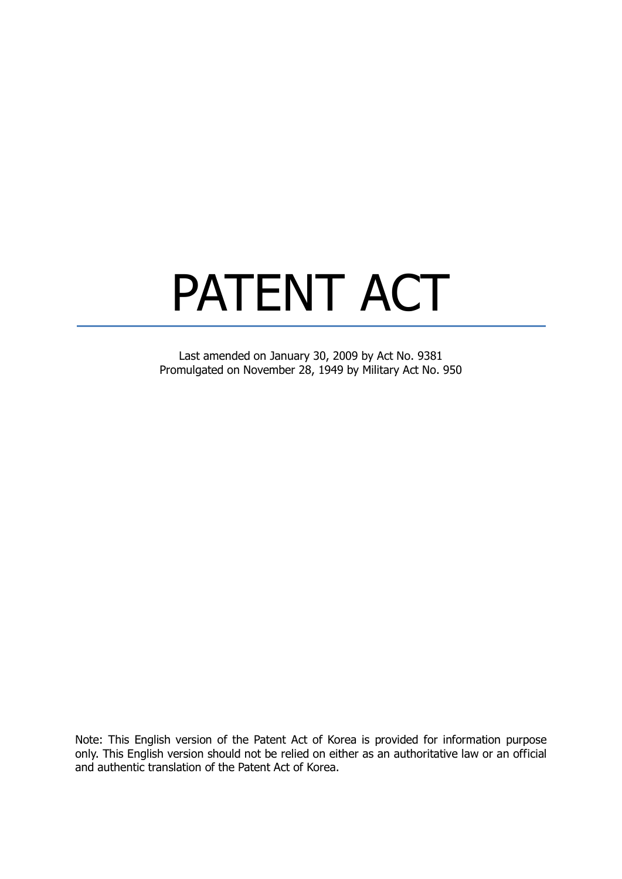# PATENT ACT

Last amended on January 30, 2009 by Act No. 9381 Promulgated on November 28, 1949 by Military Act No. 950

Note: This English version of the Patent Act of Korea is provided for information purpose only. This English version should not be relied on either as an authoritative law or an official and authentic translation of the Patent Act of Korea.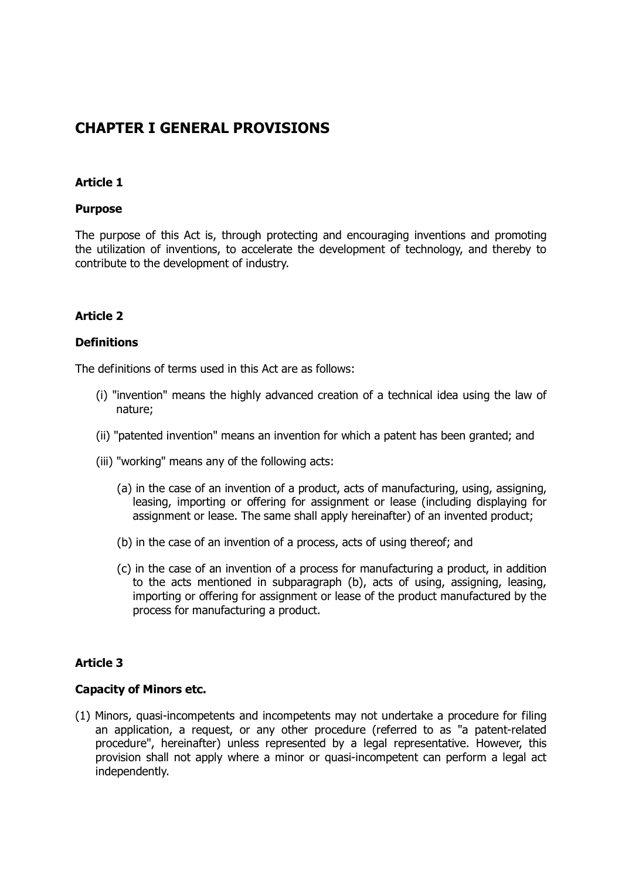# **CHAPTER I GENERAL PROVISIONS**

#### **Article 1**

#### **Purpose**

The purpose of this Act is, through protecting and encouraging inventions and promoting the utilization of inventions, to accelerate the development of technology, and thereby to contribute to the development of industry.

#### **Article 2**

#### **Definitions**

The definitions of terms used in this Act are as follows:

- (i) "invention" means the highly advanced creation of a technical idea using the law of nature;
- (ii) "patented invention" means an invention for which a patent has been granted; and
- (iii) "working" means any of the following acts:
	- (a) in the case of an invention of a product, acts of manufacturing, using, assigning, leasing, importing or offering for assignment or lease (including displaying for assignment or lease. The same shall apply hereinafter) of an invented product;
	- (b) in the case of an invention of a process, acts of using thereof; and
	- (c) in the case of an invention of a process for manufacturing a product, in addition to the acts mentioned in subparagraph (b), acts of using, assigning, leasing, importing or offering for assignment or lease of the product manufactured by the process for manufacturing a product.

#### **Article 3**

#### **Capacity of Minors etc.**

(1) Minors, quasi-incompetents and incompetents may not undertake a procedure for filing an application, a request, or any other procedure (referred to as "a patent-related procedure", hereinafter) unless represented by a legal representative. However, this provision shall not apply where a minor or quasi-incompetent can perform a legal act independently.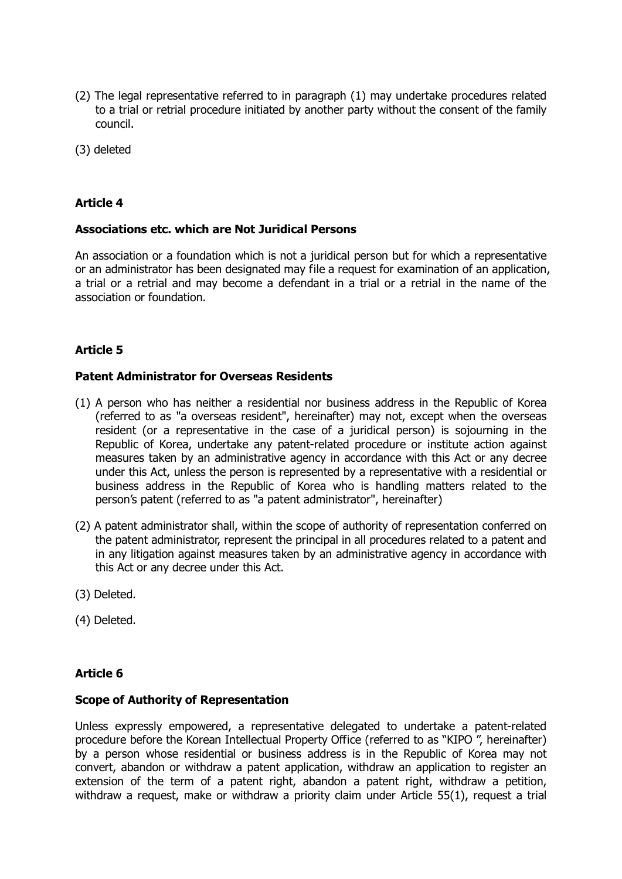- (2) The legal representative referred to in paragraph (1) may undertake procedures related to a trial or retrial procedure initiated by another party without the consent of the family council.
- (3) deleted

#### **Associations etc. which are Not Juridical Persons**

An association or a foundation which is not a juridical person but for which a representative or an administrator has been designated may file a request for examination of an application, a trial or a retrial and may become a defendant in a trial or a retrial in the name of the association or foundation.

# **Article 5**

#### **Patent Administrator for Overseas Residents**

- (1) A person who has neither a residential nor business address in the Republic of Korea (referred to as "a overseas resident", hereinafter) may not, except when the overseas resident (or a representative in the case of a juridical person) is sojourning in the Republic of Korea, undertake any patent-related procedure or institute action against measures taken by an administrative agency in accordance with this Act or any decree under this Act, unless the person is represented by a representative with a residential or business address in the Republic of Korea who is handling matters related to the person's patent (referred to as "a patent administrator", hereinafter)
- (2) A patent administrator shall, within the scope of authority of representation conferred on the patent administrator, represent the principal in all procedures related to a patent and in any litigation against measures taken by an administrative agency in accordance with this Act or any decree under this Act.
- (3) Deleted.
- (4) Deleted.

#### **Article 6**

#### **Scope of Authority of Representation**

Unless expressly empowered, a representative delegated to undertake a patent-related procedure before the Korean Intellectual Property Office (referred to as "KIPO ", hereinafter) by a person whose residential or business address is in the Republic of Korea may not convert, abandon or withdraw a patent application, withdraw an application to register an extension of the term of a patent right, abandon a patent right, withdraw a petition, withdraw a request, make or withdraw a priority claim under Article 55(1), request a trial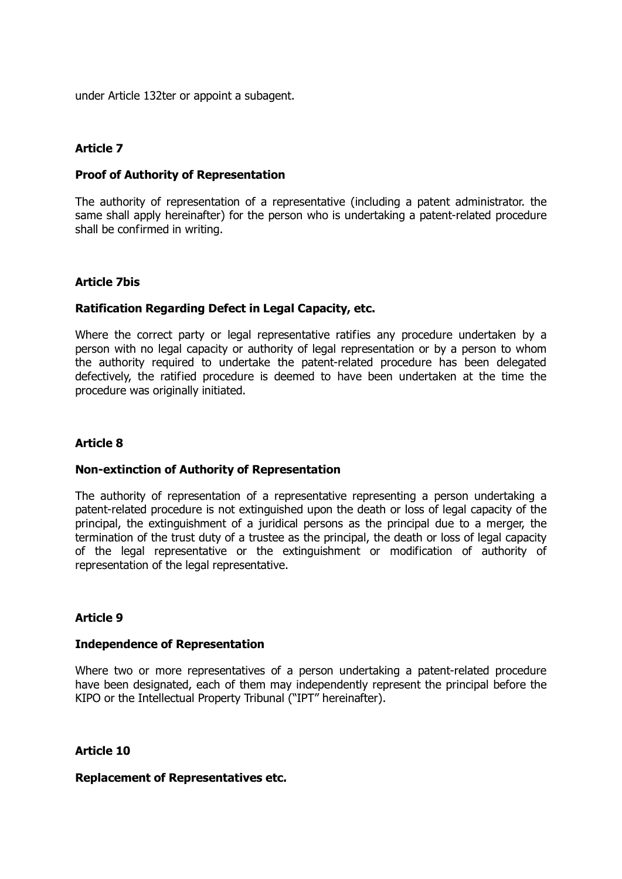under Article 132ter or appoint a subagent.

#### **Article 7**

#### **Proof of Authority of Representation**

The authority of representation of a representative (including a patent administrator. the same shall apply hereinafter) for the person who is undertaking a patent-related procedure shall be confirmed in writing.

#### **Article 7bis**

#### **Ratification Regarding Defect in Legal Capacity, etc.**

Where the correct party or legal representative ratifies any procedure undertaken by a person with no legal capacity or authority of legal representation or by a person to whom the authority required to undertake the patent-related procedure has been delegated defectively, the ratified procedure is deemed to have been undertaken at the time the procedure was originally initiated.

#### **Article 8**

#### **Non-extinction of Authority of Representation**

The authority of representation of a representative representing a person undertaking a patent-related procedure is not extinguished upon the death or loss of legal capacity of the principal, the extinguishment of a juridical persons as the principal due to a merger, the termination of the trust duty of a trustee as the principal, the death or loss of legal capacity of the legal representative or the extinguishment or modification of authority of representation of the legal representative.

#### **Article 9**

#### **Independence of Representation**

Where two or more representatives of a person undertaking a patent-related procedure have been designated, each of them may independently represent the principal before the KIPO or the Intellectual Property Tribunal ("IPT" hereinafter).

#### **Article 10**

#### **Replacement of Representatives etc.**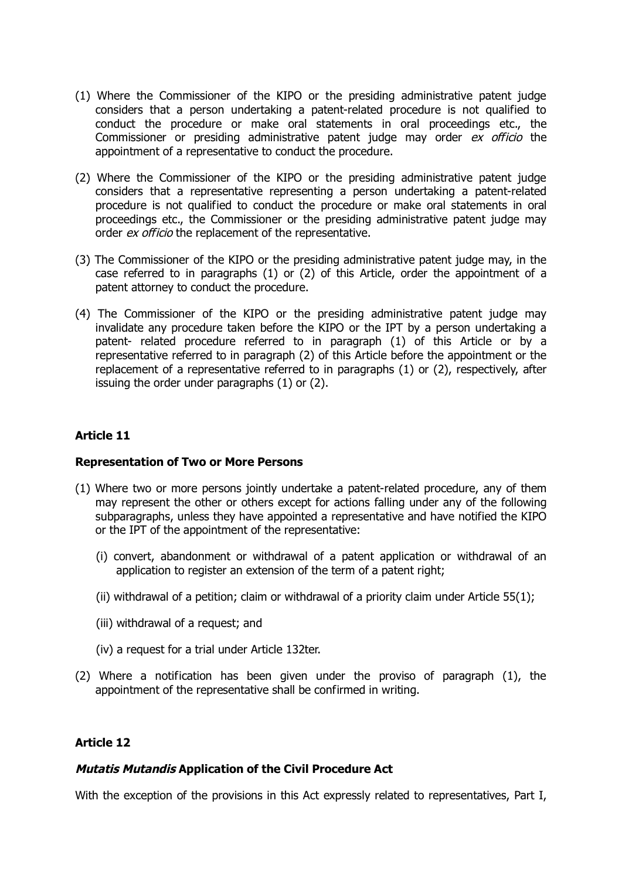- (1) Where the Commissioner of the KIPO or the presiding administrative patent judge considers that a person undertaking a patent-related procedure is not qualified to conduct the procedure or make oral statements in oral proceedings etc., the Commissioner or presiding administrative patent judge may order ex officio the appointment of a representative to conduct the procedure.
- (2) Where the Commissioner of the KIPO or the presiding administrative patent judge considers that a representative representing a person undertaking a patent-related procedure is not qualified to conduct the procedure or make oral statements in oral proceedings etc., the Commissioner or the presiding administrative patent judge may order ex officio the replacement of the representative.
- (3) The Commissioner of the KIPO or the presiding administrative patent judge may, in the case referred to in paragraphs (1) or (2) of this Article, order the appointment of a patent attorney to conduct the procedure.
- (4) The Commissioner of the KIPO or the presiding administrative patent judge may invalidate any procedure taken before the KIPO or the IPT by a person undertaking a patent- related procedure referred to in paragraph (1) of this Article or by a representative referred to in paragraph (2) of this Article before the appointment or the replacement of a representative referred to in paragraphs (1) or (2), respectively, after issuing the order under paragraphs (1) or (2).

#### **Representation of Two or More Persons**

- (1) Where two or more persons jointly undertake a patent-related procedure, any of them may represent the other or others except for actions falling under any of the following subparagraphs, unless they have appointed a representative and have notified the KIPO or the IPT of the appointment of the representative:
	- (i) convert, abandonment or withdrawal of a patent application or withdrawal of an application to register an extension of the term of a patent right;
	- (ii) withdrawal of a petition; claim or withdrawal of a priority claim under Article  $55(1)$ ;
	- (iii) withdrawal of a request; and
	- (iv) a request for a trial under Article 132ter.
- (2) Where a notification has been given under the proviso of paragraph (1), the appointment of the representative shall be confirmed in writing.

#### **Article 12**

#### **Mutatis Mutandis Application of the Civil Procedure Act**

With the exception of the provisions in this Act expressly related to representatives, Part I,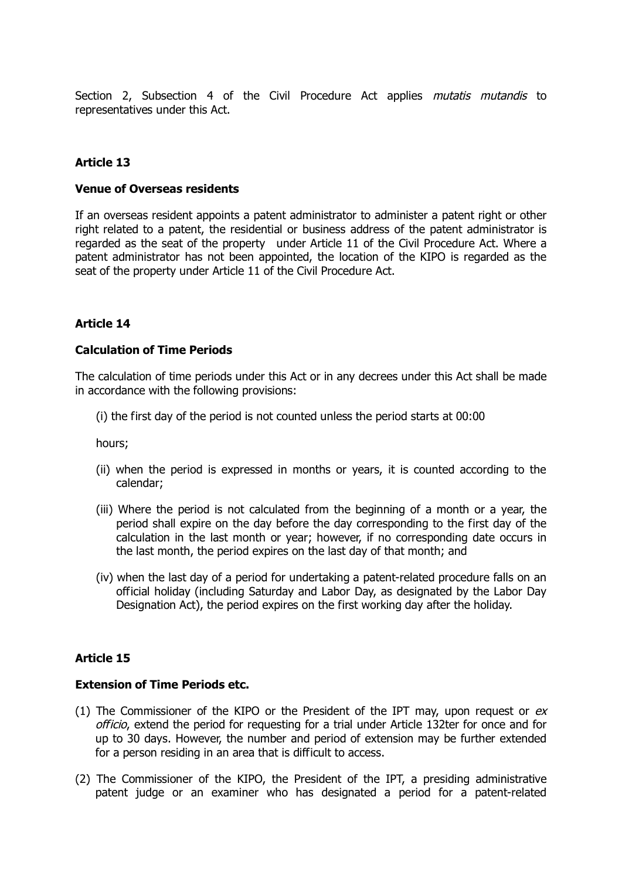Section 2, Subsection 4 of the Civil Procedure Act applies mutatis mutandis to representatives under this Act.

# **Article 13**

#### **Venue of Overseas residents**

If an overseas resident appoints a patent administrator to administer a patent right or other right related to a patent, the residential or business address of the patent administrator is regarded as the seat of the property under Article 11 of the Civil Procedure Act. Where a patent administrator has not been appointed, the location of the KIPO is regarded as the seat of the property under Article 11 of the Civil Procedure Act.

#### **Article 14**

#### **Calculation of Time Periods**

The calculation of time periods under this Act or in any decrees under this Act shall be made in accordance with the following provisions:

(i) the first day of the period is not counted unless the period starts at 00:00

hours;

- (ii) when the period is expressed in months or years, it is counted according to the calendar;
- (iii) Where the period is not calculated from the beginning of a month or a year, the period shall expire on the day before the day corresponding to the first day of the calculation in the last month or year; however, if no corresponding date occurs in the last month, the period expires on the last day of that month; and
- (iv) when the last day of a period for undertaking a patent-related procedure falls on an official holiday (including Saturday and Labor Day, as designated by the Labor Day Designation Act), the period expires on the first working day after the holiday.

#### **Article 15**

#### **Extension of Time Periods etc.**

- (1) The Commissioner of the KIPO or the President of the IPT may, upon request or  $ex$ officio, extend the period for requesting for a trial under Article 132ter for once and for up to 30 days. However, the number and period of extension may be further extended for a person residing in an area that is difficult to access.
- (2) The Commissioner of the KIPO, the President of the IPT, a presiding administrative patent judge or an examiner who has designated a period for a patent-related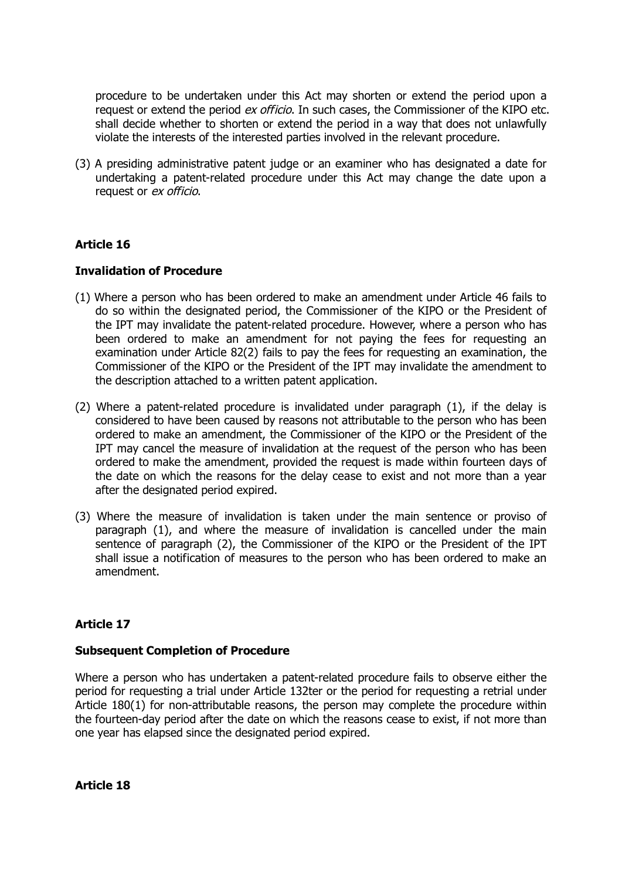procedure to be undertaken under this Act may shorten or extend the period upon a request or extend the period ex officio. In such cases, the Commissioner of the KIPO etc. shall decide whether to shorten or extend the period in a way that does not unlawfully violate the interests of the interested parties involved in the relevant procedure.

(3) A presiding administrative patent judge or an examiner who has designated a date for undertaking a patent-related procedure under this Act may change the date upon a request or ex officio.

# **Article 16**

#### **Invalidation of Procedure**

- (1) Where a person who has been ordered to make an amendment under Article 46 fails to do so within the designated period, the Commissioner of the KIPO or the President of the IPT may invalidate the patent-related procedure. However, where a person who has been ordered to make an amendment for not paying the fees for requesting an examination under Article 82(2) fails to pay the fees for requesting an examination, the Commissioner of the KIPO or the President of the IPT may invalidate the amendment to the description attached to a written patent application.
- (2) Where a patent-related procedure is invalidated under paragraph (1), if the delay is considered to have been caused by reasons not attributable to the person who has been ordered to make an amendment, the Commissioner of the KIPO or the President of the IPT may cancel the measure of invalidation at the request of the person who has been ordered to make the amendment, provided the request is made within fourteen days of the date on which the reasons for the delay cease to exist and not more than a year after the designated period expired.
- (3) Where the measure of invalidation is taken under the main sentence or proviso of paragraph (1), and where the measure of invalidation is cancelled under the main sentence of paragraph (2), the Commissioner of the KIPO or the President of the IPT shall issue a notification of measures to the person who has been ordered to make an amendment.

#### **Article 17**

#### **Subsequent Completion of Procedure**

Where a person who has undertaken a patent-related procedure fails to observe either the period for requesting a trial under Article 132ter or the period for requesting a retrial under Article 180(1) for non-attributable reasons, the person may complete the procedure within the fourteen-day period after the date on which the reasons cease to exist, if not more than one year has elapsed since the designated period expired.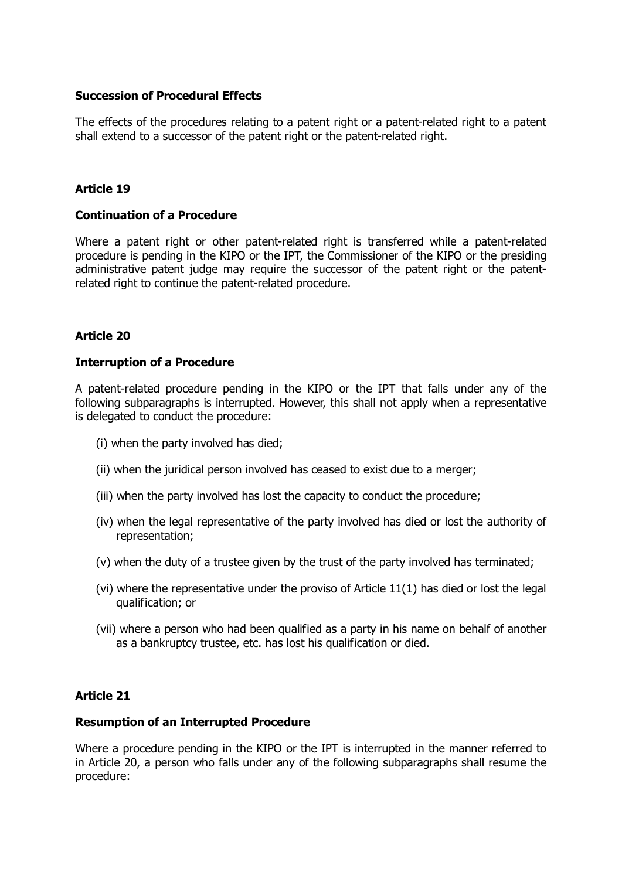#### **Succession of Procedural Effects**

The effects of the procedures relating to a patent right or a patent-related right to a patent shall extend to a successor of the patent right or the patent-related right.

#### **Article 19**

#### **Continuation of a Procedure**

Where a patent right or other patent-related right is transferred while a patent-related procedure is pending in the KIPO or the IPT, the Commissioner of the KIPO or the presiding administrative patent judge may require the successor of the patent right or the patentrelated right to continue the patent-related procedure.

#### **Article 20**

#### **Interruption of a Procedure**

A patent-related procedure pending in the KIPO or the IPT that falls under any of the following subparagraphs is interrupted. However, this shall not apply when a representative is delegated to conduct the procedure:

- (i) when the party involved has died;
- (ii) when the juridical person involved has ceased to exist due to a merger;
- (iii) when the party involved has lost the capacity to conduct the procedure;
- (iv) when the legal representative of the party involved has died or lost the authority of representation;
- (v) when the duty of a trustee given by the trust of the party involved has terminated;
- (vi) where the representative under the proviso of Article 11(1) has died or lost the legal qualification; or
- (vii) where a person who had been qualified as a party in his name on behalf of another as a bankruptcy trustee, etc. has lost his qualification or died.

#### **Article 21**

#### **Resumption of an Interrupted Procedure**

Where a procedure pending in the KIPO or the IPT is interrupted in the manner referred to in Article 20, a person who falls under any of the following subparagraphs shall resume the procedure: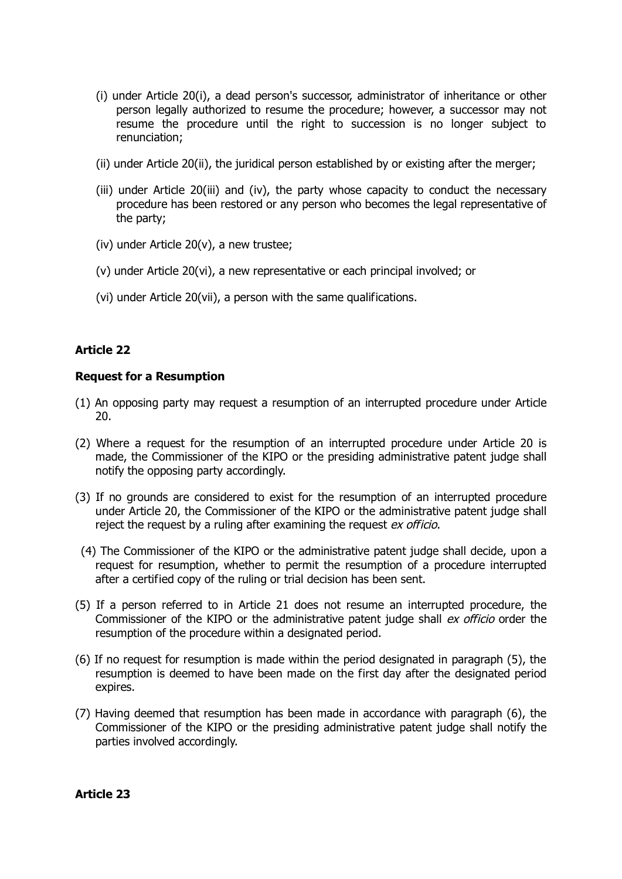- (i) under Article 20(i), a dead person's successor, administrator of inheritance or other person legally authorized to resume the procedure; however, a successor may not resume the procedure until the right to succession is no longer subject to renunciation;
- (ii) under Article 20(ii), the juridical person established by or existing after the merger;
- (iii) under Article 20(iii) and (iv), the party whose capacity to conduct the necessary procedure has been restored or any person who becomes the legal representative of the party;
- (iv) under Article 20(v), a new trustee;
- (v) under Article 20(vi), a new representative or each principal involved; or
- (vi) under Article 20(vii), a person with the same qualifications.

#### **Request for a Resumption**

- (1) An opposing party may request a resumption of an interrupted procedure under Article 20.
- (2) Where a request for the resumption of an interrupted procedure under Article 20 is made, the Commissioner of the KIPO or the presiding administrative patent judge shall notify the opposing party accordingly.
- (3) If no grounds are considered to exist for the resumption of an interrupted procedure under Article 20, the Commissioner of the KIPO or the administrative patent judge shall reject the request by a ruling after examining the request ex officio.
- (4) The Commissioner of the KIPO or the administrative patent judge shall decide, upon a request for resumption, whether to permit the resumption of a procedure interrupted after a certified copy of the ruling or trial decision has been sent.
- (5) If a person referred to in Article 21 does not resume an interrupted procedure, the Commissioner of the KIPO or the administrative patent judge shall ex officio order the resumption of the procedure within a designated period.
- (6) If no request for resumption is made within the period designated in paragraph (5), the resumption is deemed to have been made on the first day after the designated period expires.
- (7) Having deemed that resumption has been made in accordance with paragraph (6), the Commissioner of the KIPO or the presiding administrative patent judge shall notify the parties involved accordingly.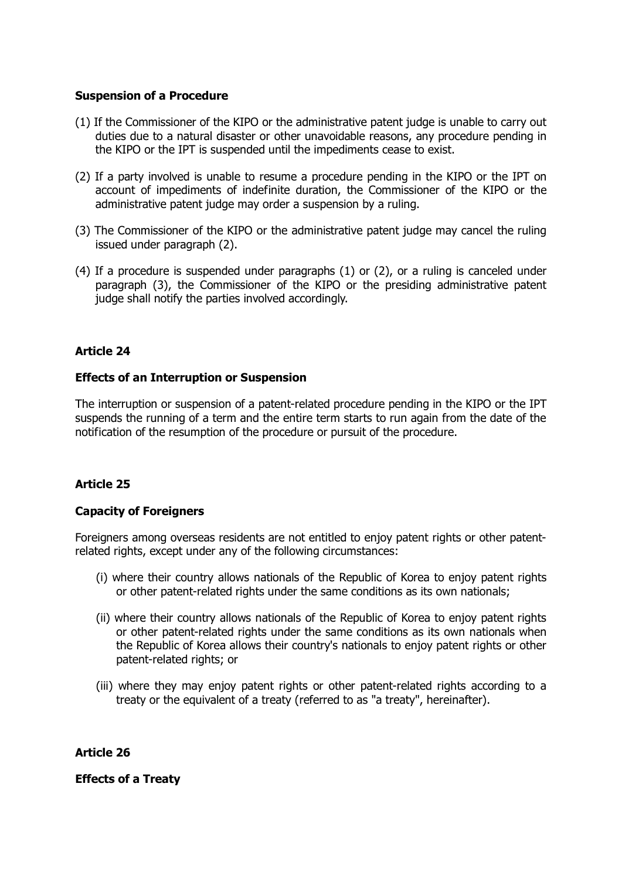#### **Suspension of a Procedure**

- (1) If the Commissioner of the KIPO or the administrative patent judge is unable to carry out duties due to a natural disaster or other unavoidable reasons, any procedure pending in the KIPO or the IPT is suspended until the impediments cease to exist.
- (2) If a party involved is unable to resume a procedure pending in the KIPO or the IPT on account of impediments of indefinite duration, the Commissioner of the KIPO or the administrative patent judge may order a suspension by a ruling.
- (3) The Commissioner of the KIPO or the administrative patent judge may cancel the ruling issued under paragraph (2).
- (4) If a procedure is suspended under paragraphs (1) or (2), or a ruling is canceled under paragraph (3), the Commissioner of the KIPO or the presiding administrative patent judge shall notify the parties involved accordingly.

# **Article 24**

# **Effects of an Interruption or Suspension**

The interruption or suspension of a patent-related procedure pending in the KIPO or the IPT suspends the running of a term and the entire term starts to run again from the date of the notification of the resumption of the procedure or pursuit of the procedure.

# **Article 25**

#### **Capacity of Foreigners**

Foreigners among overseas residents are not entitled to enjoy patent rights or other patentrelated rights, except under any of the following circumstances:

- (i) where their country allows nationals of the Republic of Korea to enjoy patent rights or other patent-related rights under the same conditions as its own nationals;
- (ii) where their country allows nationals of the Republic of Korea to enjoy patent rights or other patent-related rights under the same conditions as its own nationals when the Republic of Korea allows their country's nationals to enjoy patent rights or other patent-related rights; or
- (iii) where they may enjoy patent rights or other patent-related rights according to a treaty or the equivalent of a treaty (referred to as "a treaty", hereinafter).

**Article 26**

**Effects of a Treaty**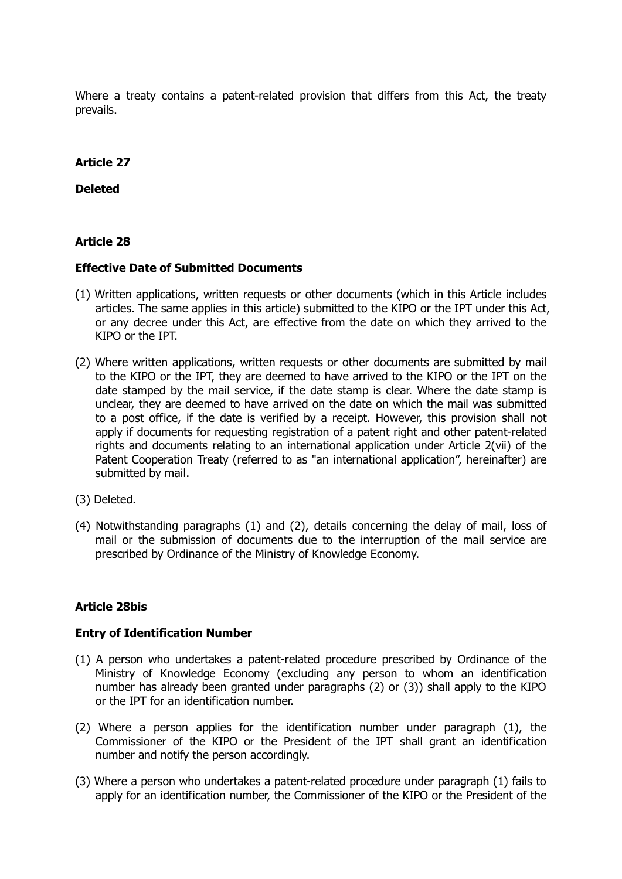Where a treaty contains a patent-related provision that differs from this Act, the treaty prevails.

#### **Article 27**

**Deleted**

#### **Article 28**

#### **Effective Date of Submitted Documents**

- (1) Written applications, written requests or other documents (which in this Article includes articles. The same applies in this article) submitted to the KIPO or the IPT under this Act, or any decree under this Act, are effective from the date on which they arrived to the KIPO or the IPT.
- (2) Where written applications, written requests or other documents are submitted by mail to the KIPO or the IPT, they are deemed to have arrived to the KIPO or the IPT on the date stamped by the mail service, if the date stamp is clear. Where the date stamp is unclear, they are deemed to have arrived on the date on which the mail was submitted to a post office, if the date is verified by a receipt. However, this provision shall not apply if documents for requesting registration of a patent right and other patent-related rights and documents relating to an international application under Article 2(vii) of the Patent Cooperation Treaty (referred to as "an international application", hereinafter) are submitted by mail.
- (3) Deleted.
- (4) Notwithstanding paragraphs (1) and (2), details concerning the delay of mail, loss of mail or the submission of documents due to the interruption of the mail service are prescribed by Ordinance of the Ministry of Knowledge Economy.

#### **Article 28bis**

#### **Entry of Identification Number**

- (1) A person who undertakes a patent-related procedure prescribed by Ordinance of the Ministry of Knowledge Economy (excluding any person to whom an identification number has already been granted under paragraphs (2) or (3)) shall apply to the KIPO or the IPT for an identification number.
- (2) Where a person applies for the identification number under paragraph (1), the Commissioner of the KIPO or the President of the IPT shall grant an identification number and notify the person accordingly.
- (3) Where a person who undertakes a patent-related procedure under paragraph (1) fails to apply for an identification number, the Commissioner of the KIPO or the President of the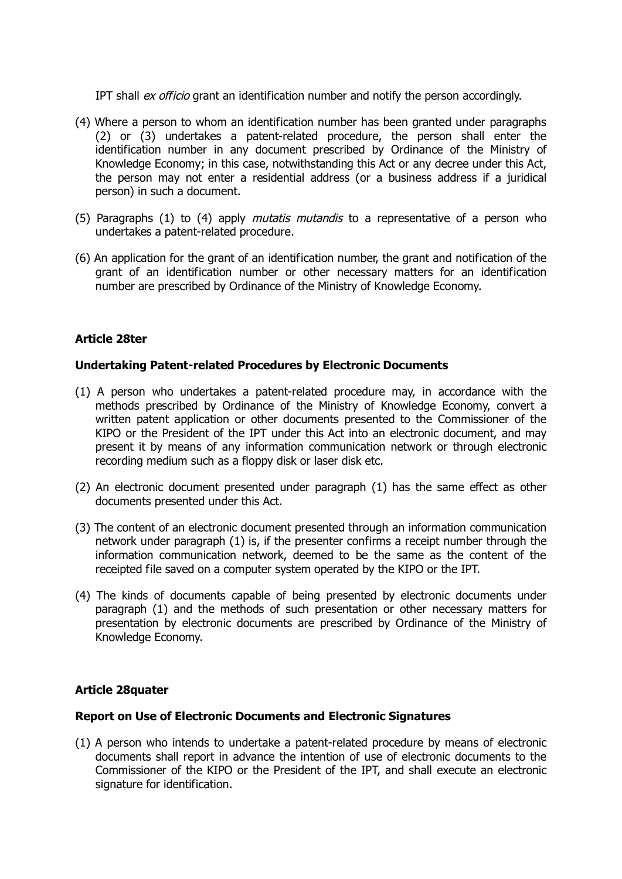IPT shall ex officio grant an identification number and notify the person accordingly.

- (4) Where a person to whom an identification number has been granted under paragraphs (2) or (3) undertakes a patent-related procedure, the person shall enter the identification number in any document prescribed by Ordinance of the Ministry of Knowledge Economy; in this case, notwithstanding this Act or any decree under this Act, the person may not enter a residential address (or a business address if a juridical person) in such a document.
- (5) Paragraphs (1) to (4) apply mutatis mutandis to a representative of a person who undertakes a patent-related procedure.
- (6) An application for the grant of an identification number, the grant and notification of the grant of an identification number or other necessary matters for an identification number are prescribed by Ordinance of the Ministry of Knowledge Economy.

# **Article 28ter**

# **Undertaking Patent-related Procedures by Electronic Documents**

- (1) A person who undertakes a patent-related procedure may, in accordance with the methods prescribed by Ordinance of the Ministry of Knowledge Economy, convert a written patent application or other documents presented to the Commissioner of the KIPO or the President of the IPT under this Act into an electronic document, and may present it by means of any information communication network or through electronic recording medium such as a floppy disk or laser disk etc.
- (2) An electronic document presented under paragraph (1) has the same effect as other documents presented under this Act.
- (3) The content of an electronic document presented through an information communication network under paragraph (1) is, if the presenter confirms a receipt number through the information communication network, deemed to be the same as the content of the receipted file saved on a computer system operated by the KIPO or the IPT.
- (4) The kinds of documents capable of being presented by electronic documents under paragraph (1) and the methods of such presentation or other necessary matters for presentation by electronic documents are prescribed by Ordinance of the Ministry of Knowledge Economy.

#### **Article 28quater**

#### **Report on Use of Electronic Documents and Electronic Signatures**

(1) A person who intends to undertake a patent-related procedure by means of electronic documents shall report in advance the intention of use of electronic documents to the Commissioner of the KIPO or the President of the IPT, and shall execute an electronic signature for identification.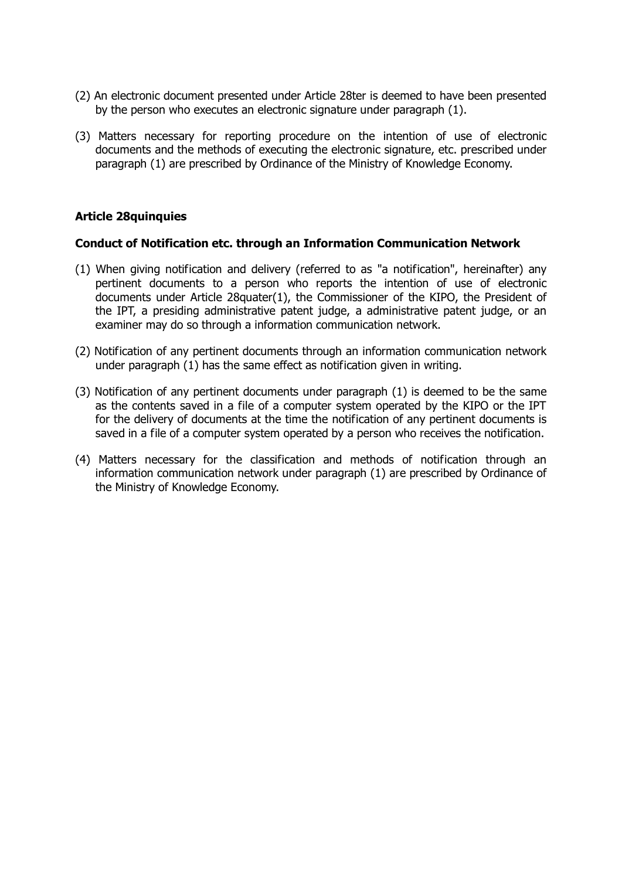- (2) An electronic document presented under Article 28ter is deemed to have been presented by the person who executes an electronic signature under paragraph (1).
- (3) Matters necessary for reporting procedure on the intention of use of electronic documents and the methods of executing the electronic signature, etc. prescribed under paragraph (1) are prescribed by Ordinance of the Ministry of Knowledge Economy.

#### **Article 28quinquies**

#### **Conduct of Notification etc. through an Information Communication Network**

- (1) When giving notification and delivery (referred to as "a notification", hereinafter) any pertinent documents to a person who reports the intention of use of electronic documents under Article 28quater(1), the Commissioner of the KIPO, the President of the IPT, a presiding administrative patent judge, a administrative patent judge, or an examiner may do so through a information communication network.
- (2) Notification of any pertinent documents through an information communication network under paragraph (1) has the same effect as notification given in writing.
- (3) Notification of any pertinent documents under paragraph (1) is deemed to be the same as the contents saved in a file of a computer system operated by the KIPO or the IPT for the delivery of documents at the time the notification of any pertinent documents is saved in a file of a computer system operated by a person who receives the notification.
- (4) Matters necessary for the classification and methods of notification through an information communication network under paragraph (1) are prescribed by Ordinance of the Ministry of Knowledge Economy.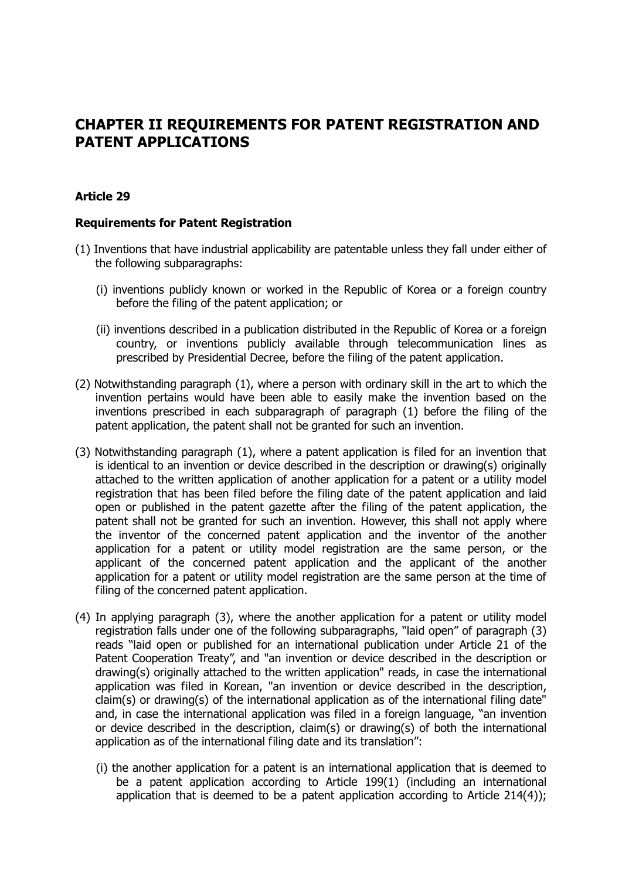# **CHAPTER II REQUIREMENTS FOR PATENT REGISTRATION AND PATENT APPLICATIONS**

# **Article 29**

#### **Requirements for Patent Registration**

- (1) Inventions that have industrial applicability are patentable unless they fall under either of the following subparagraphs:
	- (i) inventions publicly known or worked in the Republic of Korea or a foreign country before the filing of the patent application; or
	- (ii) inventions described in a publication distributed in the Republic of Korea or a foreign country, or inventions publicly available through telecommunication lines as prescribed by Presidential Decree, before the filing of the patent application.
- (2) Notwithstanding paragraph (1), where a person with ordinary skill in the art to which the invention pertains would have been able to easily make the invention based on the inventions prescribed in each subparagraph of paragraph (1) before the filing of the patent application, the patent shall not be granted for such an invention.
- (3) Notwithstanding paragraph (1), where a patent application is filed for an invention that is identical to an invention or device described in the description or drawing(s) originally attached to the written application of another application for a patent or a utility model registration that has been filed before the filing date of the patent application and laid open or published in the patent gazette after the filing of the patent application, the patent shall not be granted for such an invention. However, this shall not apply where the inventor of the concerned patent application and the inventor of the another application for a patent or utility model registration are the same person, or the applicant of the concerned patent application and the applicant of the another application for a patent or utility model registration are the same person at the time of filing of the concerned patent application.
- (4) In applying paragraph (3), where the another application for a patent or utility model registration falls under one of the following subparagraphs, "laid open" of paragraph (3) reads "laid open or published for an international publication under Article 21 of the Patent Cooperation Treaty", and "an invention or device described in the description or drawing(s) originally attached to the written application" reads, in case the international application was filed in Korean, "an invention or device described in the description, claim(s) or drawing(s) of the international application as of the international filing date" and, in case the international application was filed in a foreign language, "an invention or device described in the description, claim(s) or drawing(s) of both the international application as of the international filing date and its translation":
	- (i) the another application for a patent is an international application that is deemed to be a patent application according to Article 199(1) (including an international application that is deemed to be a patent application according to Article 214(4));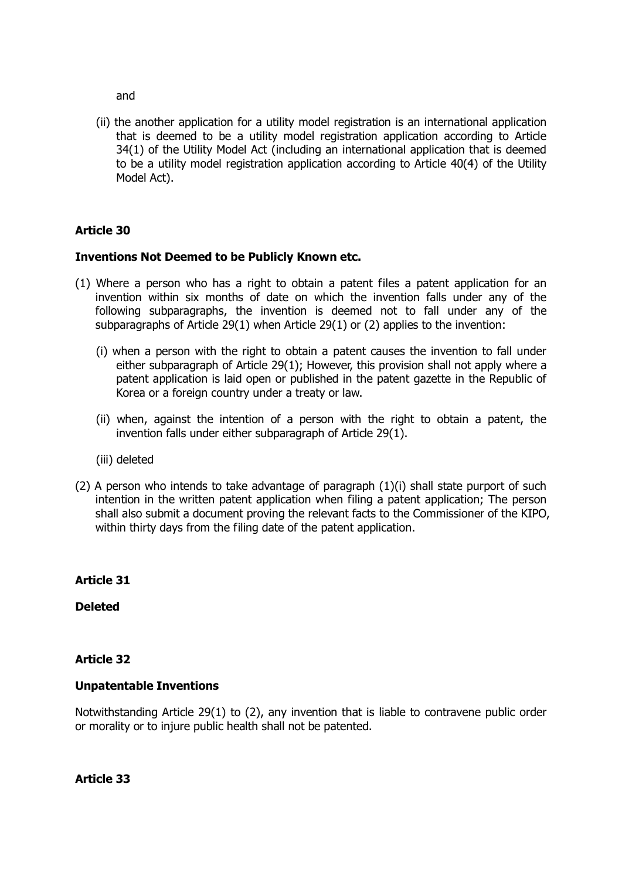and

(ii) the another application for a utility model registration is an international application that is deemed to be a utility model registration application according to Article 34(1) of the Utility Model Act (including an international application that is deemed to be a utility model registration application according to Article 40(4) of the Utility Model Act).

# **Article 30**

#### **Inventions Not Deemed to be Publicly Known etc.**

- (1) Where a person who has a right to obtain a patent files a patent application for an invention within six months of date on which the invention falls under any of the following subparagraphs, the invention is deemed not to fall under any of the subparagraphs of Article 29(1) when Article 29(1) or (2) applies to the invention:
	- (i) when a person with the right to obtain a patent causes the invention to fall under either subparagraph of Article 29(1); However, this provision shall not apply where a patent application is laid open or published in the patent gazette in the Republic of Korea or a foreign country under a treaty or law.
	- (ii) when, against the intention of a person with the right to obtain a patent, the invention falls under either subparagraph of Article 29(1).
	- (iii) deleted
- $(2)$  A person who intends to take advantage of paragraph  $(1)(i)$  shall state purport of such intention in the written patent application when filing a patent application; The person shall also submit a document proving the relevant facts to the Commissioner of the KIPO, within thirty days from the filing date of the patent application.

# **Article 31**

**Deleted**

# **Article 32**

#### **Unpatentable Inventions**

Notwithstanding Article 29(1) to (2), any invention that is liable to contravene public order or morality or to injure public health shall not be patented.

**Article 33**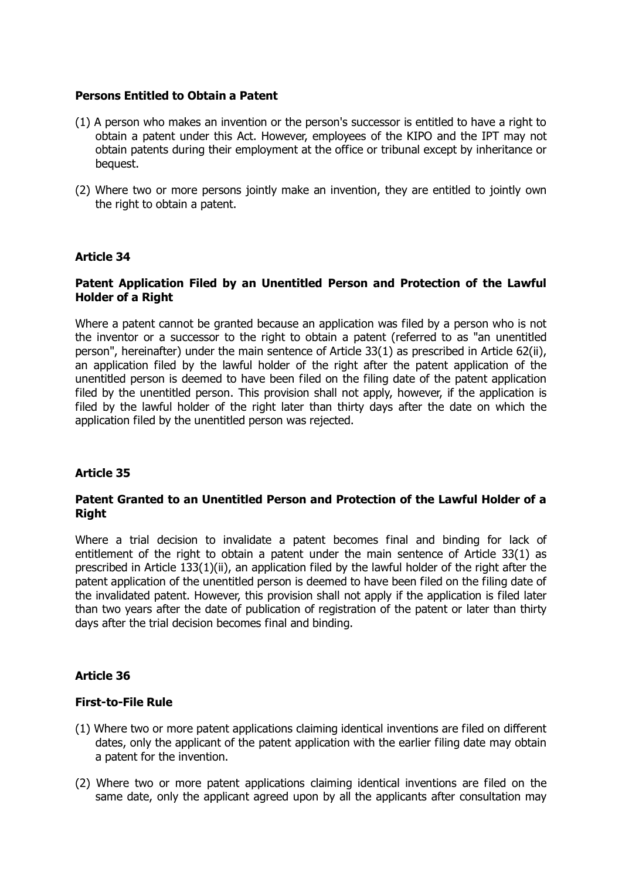#### **Persons Entitled to Obtain a Patent**

- (1) A person who makes an invention or the person's successor is entitled to have a right to obtain a patent under this Act. However, employees of the KIPO and the IPT may not obtain patents during their employment at the office or tribunal except by inheritance or bequest.
- (2) Where two or more persons jointly make an invention, they are entitled to jointly own the right to obtain a patent.

#### **Article 34**

#### **Patent Application Filed by an Unentitled Person and Protection of the Lawful Holder of a Right**

Where a patent cannot be granted because an application was filed by a person who is not the inventor or a successor to the right to obtain a patent (referred to as "an unentitled person", hereinafter) under the main sentence of Article 33(1) as prescribed in Article 62(ii), an application filed by the lawful holder of the right after the patent application of the unentitled person is deemed to have been filed on the filing date of the patent application filed by the unentitled person. This provision shall not apply, however, if the application is filed by the lawful holder of the right later than thirty days after the date on which the application filed by the unentitled person was rejected.

#### **Article 35**

#### **Patent Granted to an Unentitled Person and Protection of the Lawful Holder of a Right**

Where a trial decision to invalidate a patent becomes final and binding for lack of entitlement of the right to obtain a patent under the main sentence of Article 33(1) as prescribed in Article 133(1)(ii), an application filed by the lawful holder of the right after the patent application of the unentitled person is deemed to have been filed on the filing date of the invalidated patent. However, this provision shall not apply if the application is filed later than two years after the date of publication of registration of the patent or later than thirty days after the trial decision becomes final and binding.

#### **Article 36**

#### **First-to-File Rule**

- (1) Where two or more patent applications claiming identical inventions are filed on different dates, only the applicant of the patent application with the earlier filing date may obtain a patent for the invention.
- (2) Where two or more patent applications claiming identical inventions are filed on the same date, only the applicant agreed upon by all the applicants after consultation may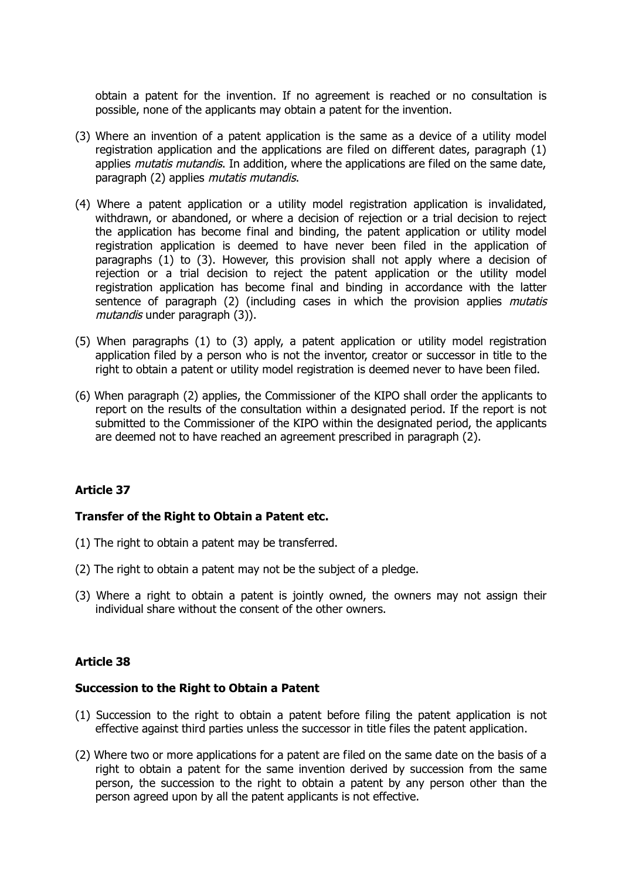obtain a patent for the invention. If no agreement is reached or no consultation is possible, none of the applicants may obtain a patent for the invention.

- (3) Where an invention of a patent application is the same as a device of a utility model registration application and the applications are filed on different dates, paragraph (1) applies *mutatis mutandis*. In addition, where the applications are filed on the same date, paragraph (2) applies *mutatis mutandis*.
- (4) Where a patent application or a utility model registration application is invalidated, withdrawn, or abandoned, or where a decision of rejection or a trial decision to reject the application has become final and binding, the patent application or utility model registration application is deemed to have never been filed in the application of paragraphs (1) to (3). However, this provision shall not apply where a decision of rejection or a trial decision to reject the patent application or the utility model registration application has become final and binding in accordance with the latter sentence of paragraph (2) (including cases in which the provision applies *mutatis* mutandis under paragraph (3)).
- (5) When paragraphs (1) to (3) apply, a patent application or utility model registration application filed by a person who is not the inventor, creator or successor in title to the right to obtain a patent or utility model registration is deemed never to have been filed.
- (6) When paragraph (2) applies, the Commissioner of the KIPO shall order the applicants to report on the results of the consultation within a designated period. If the report is not submitted to the Commissioner of the KIPO within the designated period, the applicants are deemed not to have reached an agreement prescribed in paragraph (2).

# **Article 37**

#### **Transfer of the Right to Obtain a Patent etc.**

- (1) The right to obtain a patent may be transferred.
- (2) The right to obtain a patent may not be the subject of a pledge.
- (3) Where a right to obtain a patent is jointly owned, the owners may not assign their individual share without the consent of the other owners.

#### **Article 38**

#### **Succession to the Right to Obtain a Patent**

- (1) Succession to the right to obtain a patent before filing the patent application is not effective against third parties unless the successor in title files the patent application.
- (2) Where two or more applications for a patent are filed on the same date on the basis of a right to obtain a patent for the same invention derived by succession from the same person, the succession to the right to obtain a patent by any person other than the person agreed upon by all the patent applicants is not effective.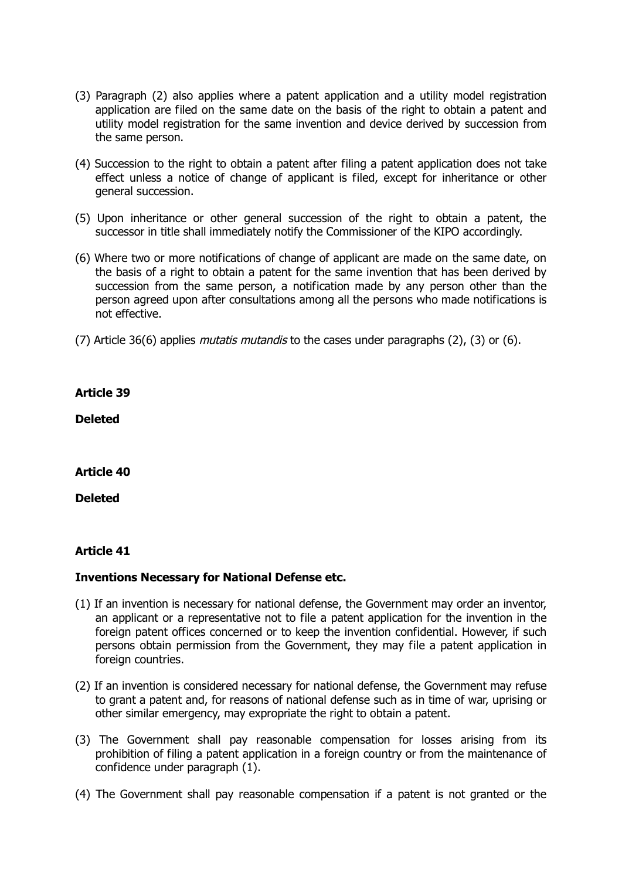- (3) Paragraph (2) also applies where a patent application and a utility model registration application are filed on the same date on the basis of the right to obtain a patent and utility model registration for the same invention and device derived by succession from the same person.
- (4) Succession to the right to obtain a patent after filing a patent application does not take effect unless a notice of change of applicant is filed, except for inheritance or other general succession.
- (5) Upon inheritance or other general succession of the right to obtain a patent, the successor in title shall immediately notify the Commissioner of the KIPO accordingly.
- (6) Where two or more notifications of change of applicant are made on the same date, on the basis of a right to obtain a patent for the same invention that has been derived by succession from the same person, a notification made by any person other than the person agreed upon after consultations among all the persons who made notifications is not effective.
- (7) Article 36(6) applies *mutatis mutandis* to the cases under paragraphs (2), (3) or (6).

**Deleted**

#### **Article 40**

**Deleted**

#### **Article 41**

#### **Inventions Necessary for National Defense etc.**

- (1) If an invention is necessary for national defense, the Government may order an inventor, an applicant or a representative not to file a patent application for the invention in the foreign patent offices concerned or to keep the invention confidential. However, if such persons obtain permission from the Government, they may file a patent application in foreign countries.
- (2) If an invention is considered necessary for national defense, the Government may refuse to grant a patent and, for reasons of national defense such as in time of war, uprising or other similar emergency, may expropriate the right to obtain a patent.
- (3) The Government shall pay reasonable compensation for losses arising from its prohibition of filing a patent application in a foreign country or from the maintenance of confidence under paragraph (1).
- (4) The Government shall pay reasonable compensation if a patent is not granted or the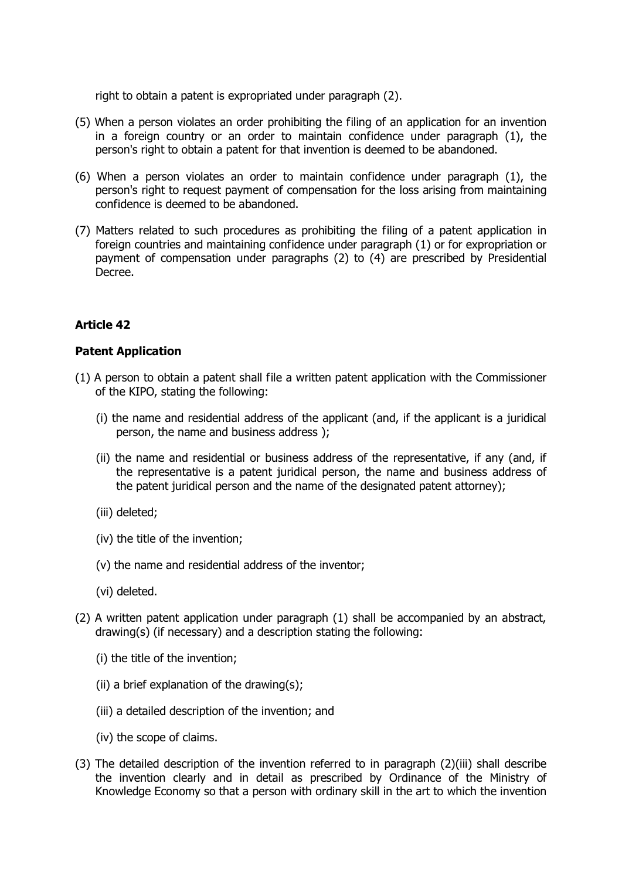right to obtain a patent is expropriated under paragraph (2).

- (5) When a person violates an order prohibiting the filing of an application for an invention in a foreign country or an order to maintain confidence under paragraph (1), the person's right to obtain a patent for that invention is deemed to be abandoned.
- (6) When a person violates an order to maintain confidence under paragraph (1), the person's right to request payment of compensation for the loss arising from maintaining confidence is deemed to be abandoned.
- (7) Matters related to such procedures as prohibiting the filing of a patent application in foreign countries and maintaining confidence under paragraph (1) or for expropriation or payment of compensation under paragraphs (2) to (4) are prescribed by Presidential Decree.

# **Article 42**

#### **Patent Application**

- (1) A person to obtain a patent shall file a written patent application with the Commissioner of the KIPO, stating the following:
	- (i) the name and residential address of the applicant (and, if the applicant is a juridical person, the name and business address );
	- (ii) the name and residential or business address of the representative, if any (and, if the representative is a patent juridical person, the name and business address of the patent juridical person and the name of the designated patent attorney);
	- (iii) deleted;
	- (iv) the title of the invention;
	- (v) the name and residential address of the inventor;
	- (vi) deleted.
- (2) A written patent application under paragraph (1) shall be accompanied by an abstract, drawing(s) (if necessary) and a description stating the following:
	- (i) the title of the invention;
	- (ii) a brief explanation of the drawing(s);
	- (iii) a detailed description of the invention; and
	- (iv) the scope of claims.
- (3) The detailed description of the invention referred to in paragraph (2)(iii) shall describe the invention clearly and in detail as prescribed by Ordinance of the Ministry of Knowledge Economy so that a person with ordinary skill in the art to which the invention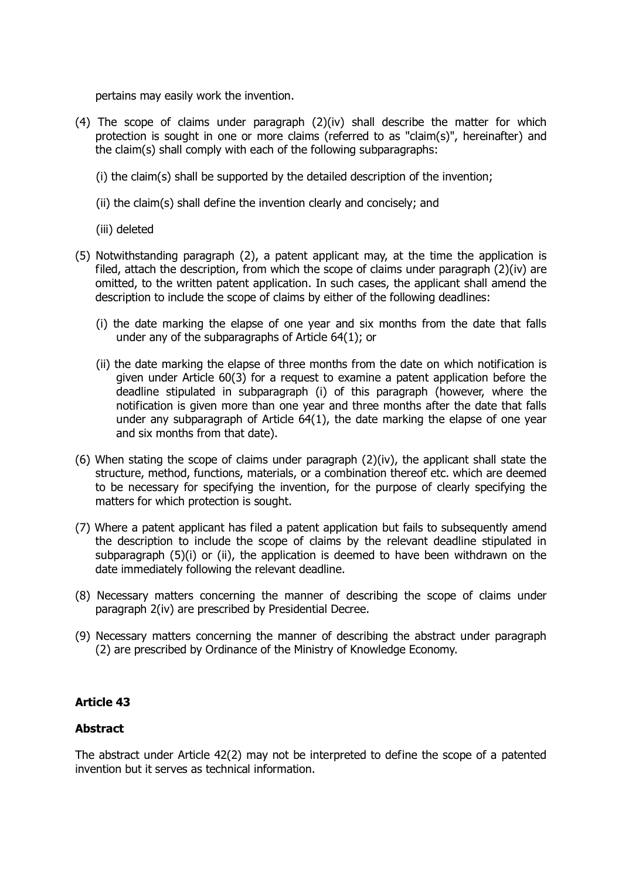pertains may easily work the invention.

- (4) The scope of claims under paragraph (2)(iv) shall describe the matter for which protection is sought in one or more claims (referred to as "claim(s)", hereinafter) and the claim(s) shall comply with each of the following subparagraphs:
	- (i) the claim(s) shall be supported by the detailed description of the invention;
	- (ii) the claim(s) shall define the invention clearly and concisely; and
	- (iii) deleted
- (5) Notwithstanding paragraph (2), a patent applicant may, at the time the application is filed, attach the description, from which the scope of claims under paragraph (2)(iv) are omitted, to the written patent application. In such cases, the applicant shall amend the description to include the scope of claims by either of the following deadlines:
	- (i) the date marking the elapse of one year and six months from the date that falls under any of the subparagraphs of Article 64(1); or
	- (ii) the date marking the elapse of three months from the date on which notification is given under Article 60(3) for a request to examine a patent application before the deadline stipulated in subparagraph (i) of this paragraph (however, where the notification is given more than one year and three months after the date that falls under any subparagraph of Article  $64(1)$ , the date marking the elapse of one year and six months from that date).
- (6) When stating the scope of claims under paragraph  $(2)(iv)$ , the applicant shall state the structure, method, functions, materials, or a combination thereof etc. which are deemed to be necessary for specifying the invention, for the purpose of clearly specifying the matters for which protection is sought.
- (7) Where a patent applicant has filed a patent application but fails to subsequently amend the description to include the scope of claims by the relevant deadline stipulated in subparagraph (5)(i) or (ii), the application is deemed to have been withdrawn on the date immediately following the relevant deadline.
- (8) Necessary matters concerning the manner of describing the scope of claims under paragraph 2(iv) are prescribed by Presidential Decree.
- (9) Necessary matters concerning the manner of describing the abstract under paragraph (2) are prescribed by Ordinance of the Ministry of Knowledge Economy.

#### **Article 43**

#### **Abstract**

The abstract under Article 42(2) may not be interpreted to define the scope of a patented invention but it serves as technical information.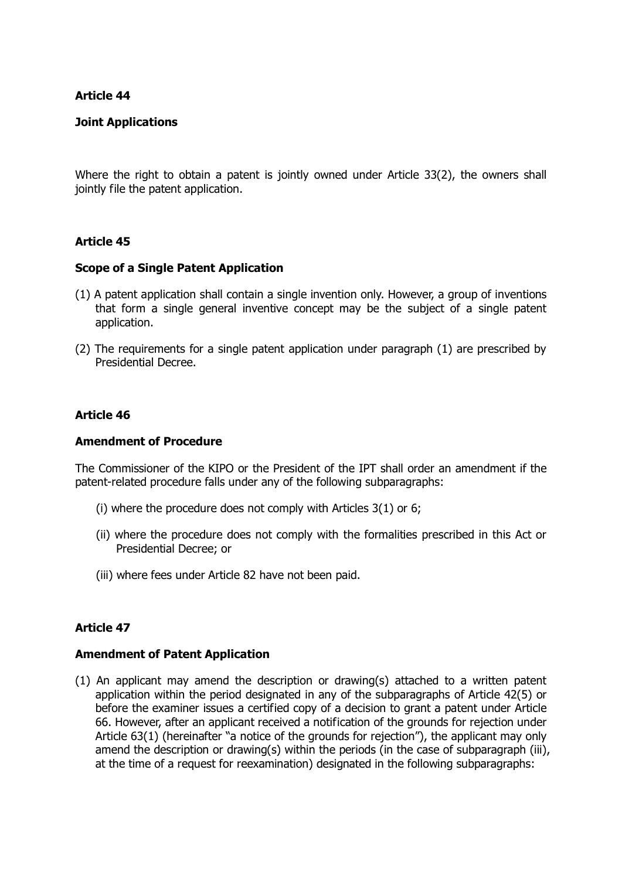#### **Joint Applications**

Where the right to obtain a patent is jointly owned under Article 33(2), the owners shall jointly file the patent application.

#### **Article 45**

#### **Scope of a Single Patent Application**

- (1) A patent application shall contain a single invention only. However, a group of inventions that form a single general inventive concept may be the subject of a single patent application.
- (2) The requirements for a single patent application under paragraph (1) are prescribed by Presidential Decree.

#### **Article 46**

#### **Amendment of Procedure**

The Commissioner of the KIPO or the President of the IPT shall order an amendment if the patent-related procedure falls under any of the following subparagraphs:

- (i) where the procedure does not comply with Articles 3(1) or 6;
- (ii) where the procedure does not comply with the formalities prescribed in this Act or Presidential Decree; or
- (iii) where fees under Article 82 have not been paid.

#### **Article 47**

#### **Amendment of Patent Application**

(1) An applicant may amend the description or drawing(s) attached to a written patent application within the period designated in any of the subparagraphs of Article 42(5) or before the examiner issues a certified copy of a decision to grant a patent under Article 66. However, after an applicant received a notification of the grounds for rejection under Article 63(1) (hereinafter "a notice of the grounds for rejection"), the applicant may only amend the description or drawing(s) within the periods (in the case of subparagraph (iii), at the time of a request for reexamination) designated in the following subparagraphs: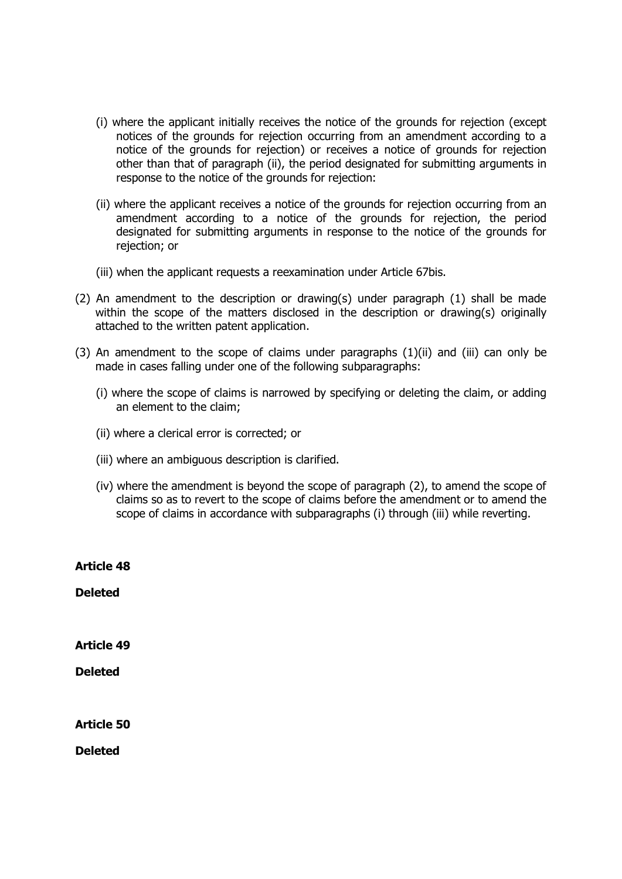- (i) where the applicant initially receives the notice of the grounds for rejection (except notices of the grounds for rejection occurring from an amendment according to a notice of the grounds for rejection) or receives a notice of grounds for rejection other than that of paragraph (ii), the period designated for submitting arguments in response to the notice of the grounds for rejection:
- (ii) where the applicant receives a notice of the grounds for rejection occurring from an amendment according to a notice of the grounds for rejection, the period designated for submitting arguments in response to the notice of the grounds for rejection; or
- (iii) when the applicant requests a reexamination under Article 67bis.
- (2) An amendment to the description or drawing(s) under paragraph (1) shall be made within the scope of the matters disclosed in the description or drawing(s) originally attached to the written patent application.
- (3) An amendment to the scope of claims under paragraphs  $(1)(ii)$  and  $(iii)$  can only be made in cases falling under one of the following subparagraphs:
	- (i) where the scope of claims is narrowed by specifying or deleting the claim, or adding an element to the claim;
	- (ii) where a clerical error is corrected; or
	- (iii) where an ambiguous description is clarified.
	- (iv) where the amendment is beyond the scope of paragraph (2), to amend the scope of claims so as to revert to the scope of claims before the amendment or to amend the scope of claims in accordance with subparagraphs (i) through (iii) while reverting.

**Article 48 Deleted Article 49 Deleted Article 50**

**Deleted**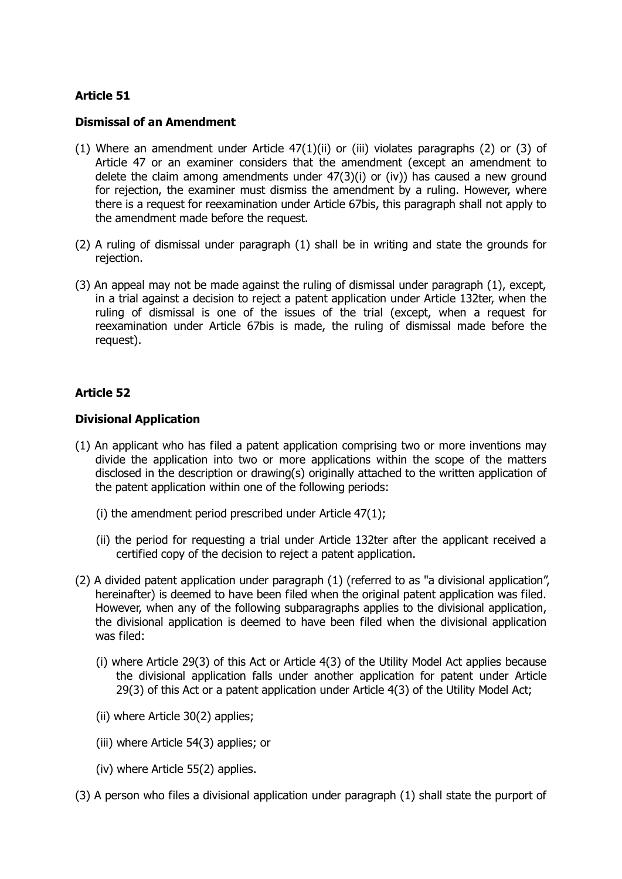#### **Dismissal of an Amendment**

- (1) Where an amendment under Article  $47(1)(ii)$  or (iii) violates paragraphs (2) or (3) of Article 47 or an examiner considers that the amendment (except an amendment to delete the claim among amendments under 47(3)(i) or (iv)) has caused a new ground for rejection, the examiner must dismiss the amendment by a ruling. However, where there is a request for reexamination under Article 67bis, this paragraph shall not apply to the amendment made before the request.
- (2) A ruling of dismissal under paragraph (1) shall be in writing and state the grounds for rejection.
- (3) An appeal may not be made against the ruling of dismissal under paragraph (1), except, in a trial against a decision to reject a patent application under Article 132ter, when the ruling of dismissal is one of the issues of the trial (except, when a request for reexamination under Article 67bis is made, the ruling of dismissal made before the request).

# **Article 52**

#### **Divisional Application**

- (1) An applicant who has filed a patent application comprising two or more inventions may divide the application into two or more applications within the scope of the matters disclosed in the description or drawing(s) originally attached to the written application of the patent application within one of the following periods:
	- (i) the amendment period prescribed under Article 47(1);
	- (ii) the period for requesting a trial under Article 132ter after the applicant received a certified copy of the decision to reject a patent application.
- (2) A divided patent application under paragraph (1) (referred to as "a divisional application", hereinafter) is deemed to have been filed when the original patent application was filed. However, when any of the following subparagraphs applies to the divisional application, the divisional application is deemed to have been filed when the divisional application was filed:
	- (i) where Article 29(3) of this Act or Article 4(3) of the Utility Model Act applies because the divisional application falls under another application for patent under Article 29(3) of this Act or a patent application under Article 4(3) of the Utility Model Act;
	- (ii) where Article 30(2) applies;
	- (iii) where Article 54(3) applies; or
	- (iv) where Article 55(2) applies.
- (3) A person who files a divisional application under paragraph (1) shall state the purport of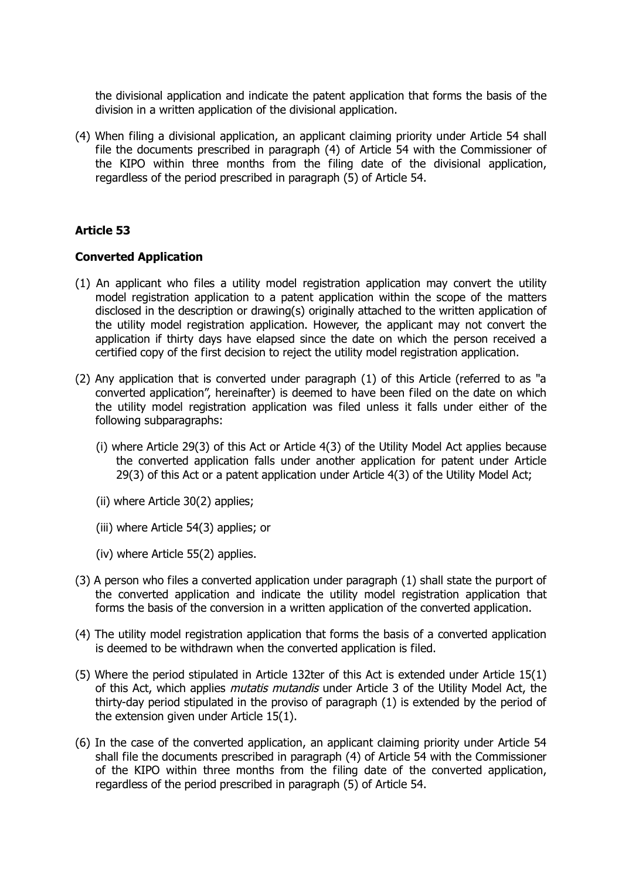the divisional application and indicate the patent application that forms the basis of the division in a written application of the divisional application.

(4) When filing a divisional application, an applicant claiming priority under Article 54 shall file the documents prescribed in paragraph (4) of Article 54 with the Commissioner of the KIPO within three months from the filing date of the divisional application, regardless of the period prescribed in paragraph (5) of Article 54.

# **Article 53**

#### **Converted Application**

- (1) An applicant who files a utility model registration application may convert the utility model registration application to a patent application within the scope of the matters disclosed in the description or drawing(s) originally attached to the written application of the utility model registration application. However, the applicant may not convert the application if thirty days have elapsed since the date on which the person received a certified copy of the first decision to reject the utility model registration application.
- (2) Any application that is converted under paragraph (1) of this Article (referred to as "a converted application", hereinafter) is deemed to have been filed on the date on which the utility model registration application was filed unless it falls under either of the following subparagraphs:
	- (i) where Article 29(3) of this Act or Article 4(3) of the Utility Model Act applies because the converted application falls under another application for patent under Article 29(3) of this Act or a patent application under Article 4(3) of the Utility Model Act;
	- (ii) where Article 30(2) applies;
	- (iii) where Article 54(3) applies; or
	- (iv) where Article 55(2) applies.
- (3) A person who files a converted application under paragraph (1) shall state the purport of the converted application and indicate the utility model registration application that forms the basis of the conversion in a written application of the converted application.
- (4) The utility model registration application that forms the basis of a converted application is deemed to be withdrawn when the converted application is filed.
- (5) Where the period stipulated in Article 132ter of this Act is extended under Article 15(1) of this Act, which applies *mutatis mutandis* under Article 3 of the Utility Model Act, the thirty-day period stipulated in the proviso of paragraph (1) is extended by the period of the extension given under Article 15(1).
- (6) In the case of the converted application, an applicant claiming priority under Article 54 shall file the documents prescribed in paragraph (4) of Article 54 with the Commissioner of the KIPO within three months from the filing date of the converted application, regardless of the period prescribed in paragraph (5) of Article 54.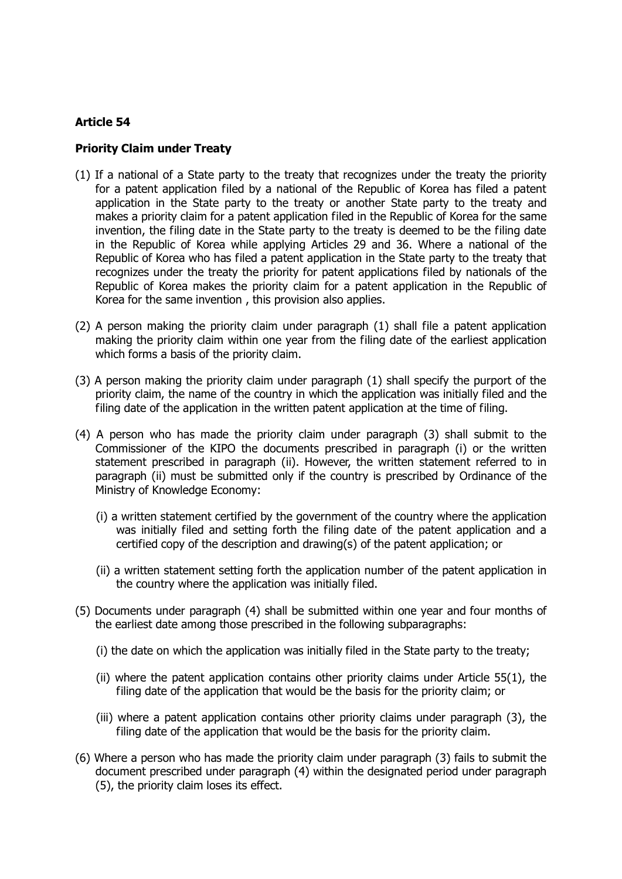#### **Priority Claim under Treaty**

- (1) If a national of a State party to the treaty that recognizes under the treaty the priority for a patent application filed by a national of the Republic of Korea has filed a patent application in the State party to the treaty or another State party to the treaty and makes a priority claim for a patent application filed in the Republic of Korea for the same invention, the filing date in the State party to the treaty is deemed to be the filing date in the Republic of Korea while applying Articles 29 and 36. Where a national of the Republic of Korea who has filed a patent application in the State party to the treaty that recognizes under the treaty the priority for patent applications filed by nationals of the Republic of Korea makes the priority claim for a patent application in the Republic of Korea for the same invention , this provision also applies.
- (2) A person making the priority claim under paragraph (1) shall file a patent application making the priority claim within one year from the filing date of the earliest application which forms a basis of the priority claim.
- (3) A person making the priority claim under paragraph (1) shall specify the purport of the priority claim, the name of the country in which the application was initially filed and the filing date of the application in the written patent application at the time of filing.
- (4) A person who has made the priority claim under paragraph (3) shall submit to the Commissioner of the KIPO the documents prescribed in paragraph (i) or the written statement prescribed in paragraph (ii). However, the written statement referred to in paragraph (ii) must be submitted only if the country is prescribed by Ordinance of the Ministry of Knowledge Economy:
	- (i) a written statement certified by the government of the country where the application was initially filed and setting forth the filing date of the patent application and a certified copy of the description and drawing(s) of the patent application; or
	- (ii) a written statement setting forth the application number of the patent application in the country where the application was initially filed.
- (5) Documents under paragraph (4) shall be submitted within one year and four months of the earliest date among those prescribed in the following subparagraphs:
	- (i) the date on which the application was initially filed in the State party to the treaty;
	- (ii) where the patent application contains other priority claims under Article 55(1), the filing date of the application that would be the basis for the priority claim; or
	- (iii) where a patent application contains other priority claims under paragraph (3), the filing date of the application that would be the basis for the priority claim.
- (6) Where a person who has made the priority claim under paragraph (3) fails to submit the document prescribed under paragraph (4) within the designated period under paragraph (5), the priority claim loses its effect.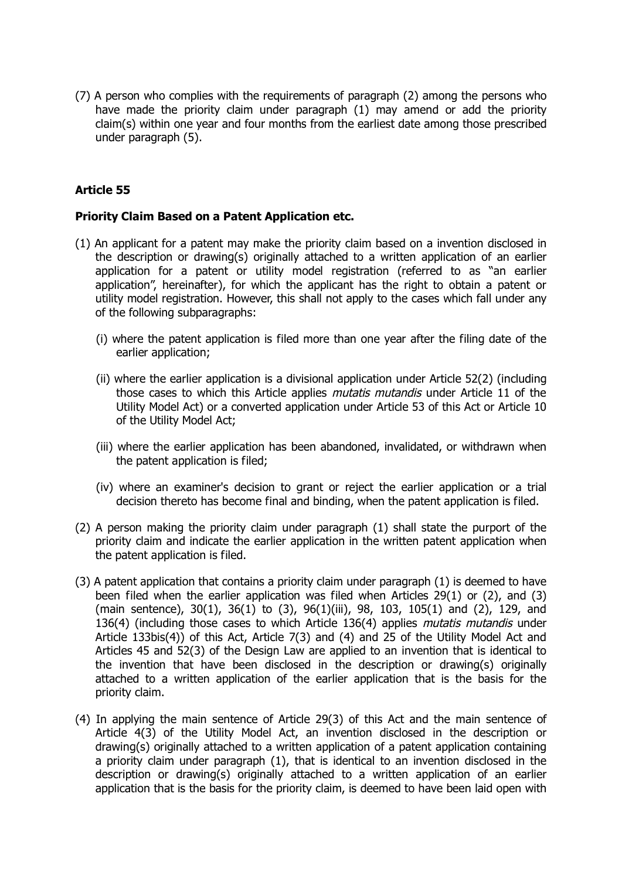(7) A person who complies with the requirements of paragraph (2) among the persons who have made the priority claim under paragraph (1) may amend or add the priority claim(s) within one year and four months from the earliest date among those prescribed under paragraph (5).

# **Article 55**

#### **Priority Claim Based on a Patent Application etc.**

- (1) An applicant for a patent may make the priority claim based on a invention disclosed in the description or drawing(s) originally attached to a written application of an earlier application for a patent or utility model registration (referred to as "an earlier application", hereinafter), for which the applicant has the right to obtain a patent or utility model registration. However, this shall not apply to the cases which fall under any of the following subparagraphs:
	- (i) where the patent application is filed more than one year after the filing date of the earlier application;
	- (ii) where the earlier application is a divisional application under Article 52(2) (including those cases to which this Article applies *mutatis mutandis* under Article 11 of the Utility Model Act) or a converted application under Article 53 of this Act or Article 10 of the Utility Model Act;
	- (iii) where the earlier application has been abandoned, invalidated, or withdrawn when the patent application is filed;
	- (iv) where an examiner's decision to grant or reject the earlier application or a trial decision thereto has become final and binding, when the patent application is filed.
- (2) A person making the priority claim under paragraph (1) shall state the purport of the priority claim and indicate the earlier application in the written patent application when the patent application is filed.
- (3) A patent application that contains a priority claim under paragraph (1) is deemed to have been filed when the earlier application was filed when Articles 29(1) or (2), and (3) (main sentence), 30(1), 36(1) to (3), 96(1)(iii), 98, 103, 105(1) and (2), 129, and 136(4) (including those cases to which Article 136(4) applies *mutatis mutandis* under Article 133bis(4)) of this Act, Article 7(3) and (4) and 25 of the Utility Model Act and Articles 45 and 52(3) of the Design Law are applied to an invention that is identical to the invention that have been disclosed in the description or drawing(s) originally attached to a written application of the earlier application that is the basis for the priority claim.
- (4) In applying the main sentence of Article 29(3) of this Act and the main sentence of Article 4(3) of the Utility Model Act, an invention disclosed in the description or drawing(s) originally attached to a written application of a patent application containing a priority claim under paragraph (1), that is identical to an invention disclosed in the description or drawing(s) originally attached to a written application of an earlier application that is the basis for the priority claim, is deemed to have been laid open with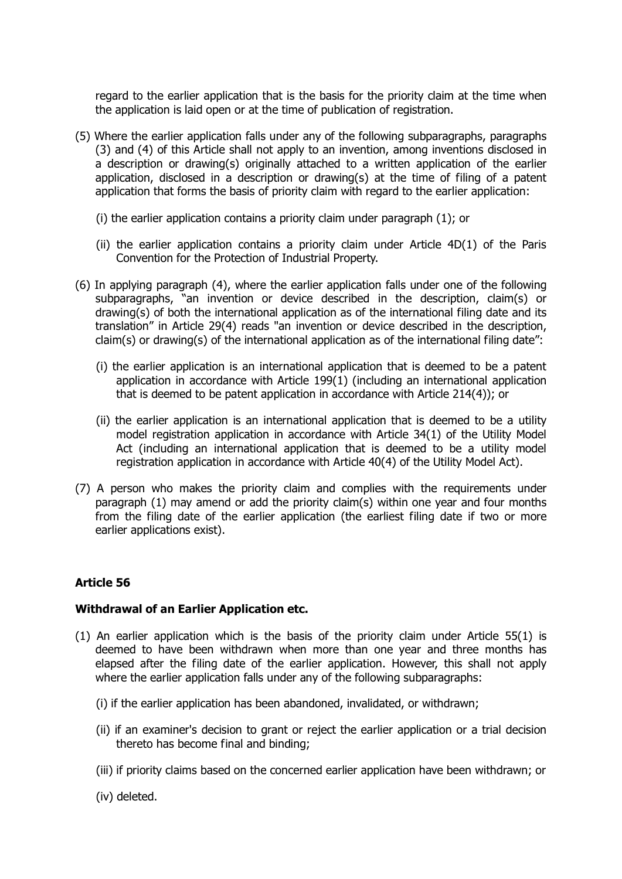regard to the earlier application that is the basis for the priority claim at the time when the application is laid open or at the time of publication of registration.

- (5) Where the earlier application falls under any of the following subparagraphs, paragraphs (3) and (4) of this Article shall not apply to an invention, among inventions disclosed in a description or drawing(s) originally attached to a written application of the earlier application, disclosed in a description or drawing(s) at the time of filing of a patent application that forms the basis of priority claim with regard to the earlier application:
	- (i) the earlier application contains a priority claim under paragraph (1); or
	- (ii) the earlier application contains a priority claim under Article 4D(1) of the Paris Convention for the Protection of Industrial Property.
- (6) In applying paragraph (4), where the earlier application falls under one of the following subparagraphs, "an invention or device described in the description, claim(s) or drawing(s) of both the international application as of the international filing date and its translation" in Article 29(4) reads "an invention or device described in the description, claim(s) or drawing(s) of the international application as of the international filing date":
	- (i) the earlier application is an international application that is deemed to be a patent application in accordance with Article 199(1) (including an international application that is deemed to be patent application in accordance with Article 214(4)); or
	- (ii) the earlier application is an international application that is deemed to be a utility model registration application in accordance with Article 34(1) of the Utility Model Act (including an international application that is deemed to be a utility model registration application in accordance with Article 40(4) of the Utility Model Act).
- (7) A person who makes the priority claim and complies with the requirements under paragraph (1) may amend or add the priority claim(s) within one year and four months from the filing date of the earlier application (the earliest filing date if two or more earlier applications exist).

# **Article 56**

#### **Withdrawal of an Earlier Application etc.**

- (1) An earlier application which is the basis of the priority claim under Article 55(1) is deemed to have been withdrawn when more than one year and three months has elapsed after the filing date of the earlier application. However, this shall not apply where the earlier application falls under any of the following subparagraphs:
	- (i) if the earlier application has been abandoned, invalidated, or withdrawn;
	- (ii) if an examiner's decision to grant or reject the earlier application or a trial decision thereto has become final and binding;
	- (iii) if priority claims based on the concerned earlier application have been withdrawn; or
	- (iv) deleted.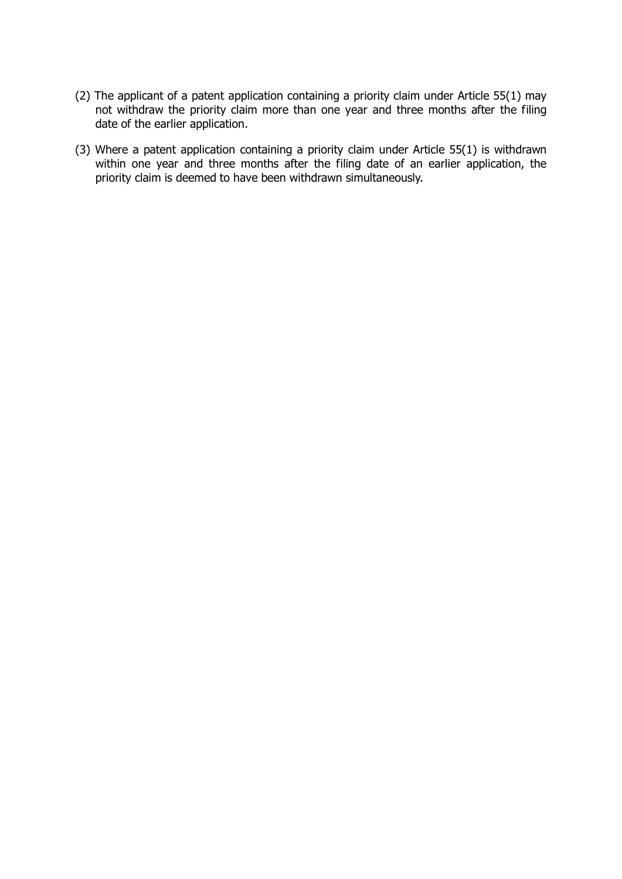- (2) The applicant of a patent application containing a priority claim under Article 55(1) may not withdraw the priority claim more than one year and three months after the filing date of the earlier application.
- (3) Where a patent application containing a priority claim under Article 55(1) is withdrawn within one year and three months after the filing date of an earlier application, the priority claim is deemed to have been withdrawn simultaneously.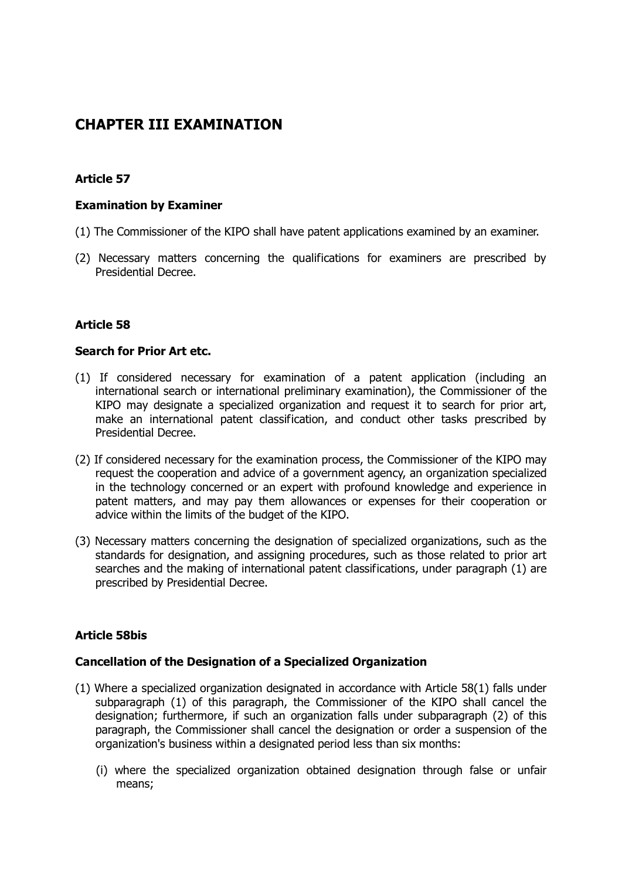# **CHAPTER III EXAMINATION**

# **Article 57**

#### **Examination by Examiner**

- (1) The Commissioner of the KIPO shall have patent applications examined by an examiner.
- (2) Necessary matters concerning the qualifications for examiners are prescribed by Presidential Decree.

#### **Article 58**

#### **Search for Prior Art etc.**

- (1) If considered necessary for examination of a patent application (including an international search or international preliminary examination), the Commissioner of the KIPO may designate a specialized organization and request it to search for prior art, make an international patent classification, and conduct other tasks prescribed by Presidential Decree.
- (2) If considered necessary for the examination process, the Commissioner of the KIPO may request the cooperation and advice of a government agency, an organization specialized in the technology concerned or an expert with profound knowledge and experience in patent matters, and may pay them allowances or expenses for their cooperation or advice within the limits of the budget of the KIPO.
- (3) Necessary matters concerning the designation of specialized organizations, such as the standards for designation, and assigning procedures, such as those related to prior art searches and the making of international patent classifications, under paragraph (1) are prescribed by Presidential Decree.

#### **Article 58bis**

#### **Cancellation of the Designation of a Specialized Organization**

- (1) Where a specialized organization designated in accordance with Article 58(1) falls under subparagraph (1) of this paragraph, the Commissioner of the KIPO shall cancel the designation; furthermore, if such an organization falls under subparagraph (2) of this paragraph, the Commissioner shall cancel the designation or order a suspension of the organization's business within a designated period less than six months:
	- (i) where the specialized organization obtained designation through false or unfair means;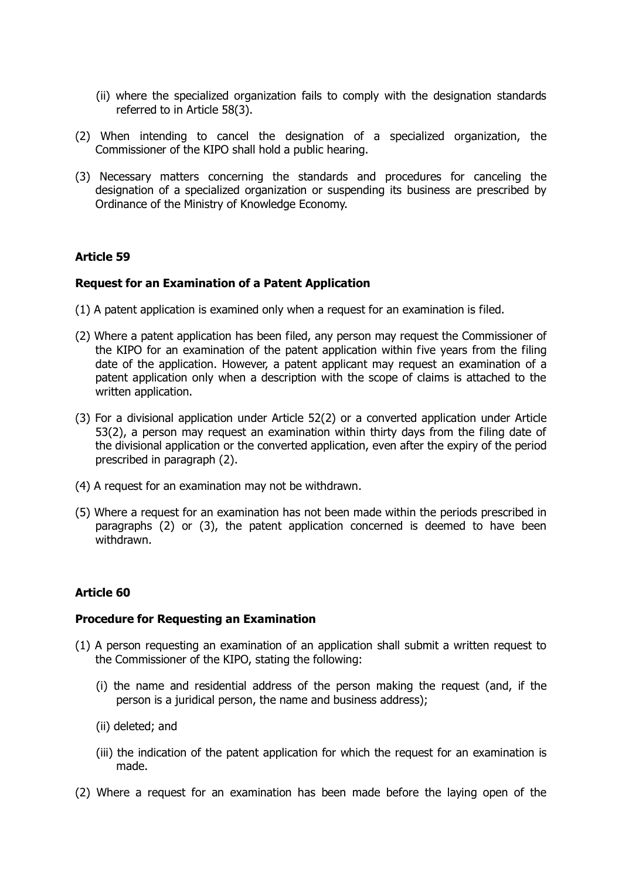- (ii) where the specialized organization fails to comply with the designation standards referred to in Article 58(3).
- (2) When intending to cancel the designation of a specialized organization, the Commissioner of the KIPO shall hold a public hearing.
- (3) Necessary matters concerning the standards and procedures for canceling the designation of a specialized organization or suspending its business are prescribed by Ordinance of the Ministry of Knowledge Economy.

#### **Request for an Examination of a Patent Application**

- (1) A patent application is examined only when a request for an examination is filed.
- (2) Where a patent application has been filed, any person may request the Commissioner of the KIPO for an examination of the patent application within five years from the filing date of the application. However, a patent applicant may request an examination of a patent application only when a description with the scope of claims is attached to the written application.
- (3) For a divisional application under Article 52(2) or a converted application under Article 53(2), a person may request an examination within thirty days from the filing date of the divisional application or the converted application, even after the expiry of the period prescribed in paragraph (2).
- (4) A request for an examination may not be withdrawn.
- (5) Where a request for an examination has not been made within the periods prescribed in paragraphs (2) or (3), the patent application concerned is deemed to have been withdrawn.

# **Article 60**

#### **Procedure for Requesting an Examination**

- (1) A person requesting an examination of an application shall submit a written request to the Commissioner of the KIPO, stating the following:
	- (i) the name and residential address of the person making the request (and, if the person is a juridical person, the name and business address);
	- (ii) deleted; and
	- (iii) the indication of the patent application for which the request for an examination is made.
- (2) Where a request for an examination has been made before the laying open of the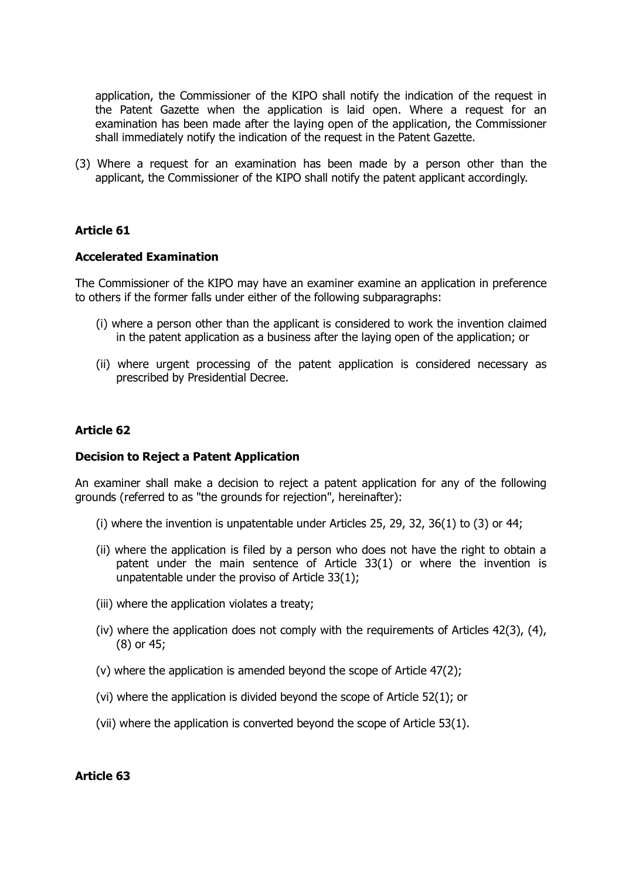application, the Commissioner of the KIPO shall notify the indication of the request in the Patent Gazette when the application is laid open. Where a request for an examination has been made after the laying open of the application, the Commissioner shall immediately notify the indication of the request in the Patent Gazette.

(3) Where a request for an examination has been made by a person other than the applicant, the Commissioner of the KIPO shall notify the patent applicant accordingly.

#### **Article 61**

#### **Accelerated Examination**

The Commissioner of the KIPO may have an examiner examine an application in preference to others if the former falls under either of the following subparagraphs:

- (i) where a person other than the applicant is considered to work the invention claimed in the patent application as a business after the laying open of the application; or
- (ii) where urgent processing of the patent application is considered necessary as prescribed by Presidential Decree.

#### **Article 62**

#### **Decision to Reject a Patent Application**

An examiner shall make a decision to reject a patent application for any of the following grounds (referred to as "the grounds for rejection", hereinafter):

- (i) where the invention is unpatentable under Articles 25, 29, 32, 36(1) to (3) or 44;
- (ii) where the application is filed by a person who does not have the right to obtain a patent under the main sentence of Article 33(1) or where the invention is unpatentable under the proviso of Article 33(1);
- (iii) where the application violates a treaty;
- (iv) where the application does not comply with the requirements of Articles 42(3), (4), (8) or 45;
- (v) where the application is amended beyond the scope of Article 47(2);
- (vi) where the application is divided beyond the scope of Article 52(1); or
- (vii) where the application is converted beyond the scope of Article 53(1).

#### **Article 63**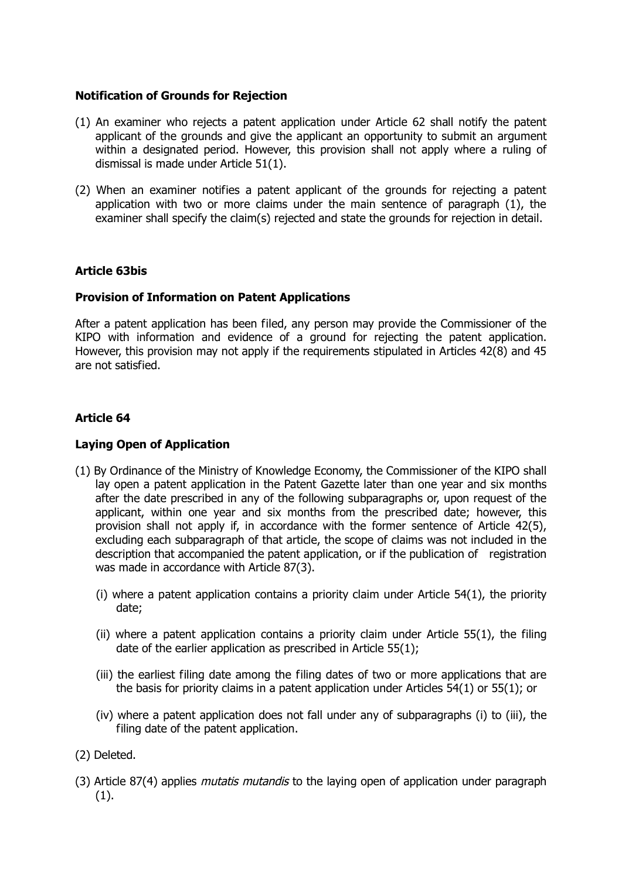#### **Notification of Grounds for Rejection**

- (1) An examiner who rejects a patent application under Article 62 shall notify the patent applicant of the grounds and give the applicant an opportunity to submit an argument within a designated period. However, this provision shall not apply where a ruling of dismissal is made under Article 51(1).
- (2) When an examiner notifies a patent applicant of the grounds for rejecting a patent application with two or more claims under the main sentence of paragraph (1), the examiner shall specify the claim(s) rejected and state the grounds for rejection in detail.

#### **Article 63bis**

#### **Provision of Information on Patent Applications**

After a patent application has been filed, any person may provide the Commissioner of the KIPO with information and evidence of a ground for rejecting the patent application. However, this provision may not apply if the requirements stipulated in Articles 42(8) and 45 are not satisfied.

# **Article 64**

#### **Laying Open of Application**

- (1) By Ordinance of the Ministry of Knowledge Economy, the Commissioner of the KIPO shall lay open a patent application in the Patent Gazette later than one year and six months after the date prescribed in any of the following subparagraphs or, upon request of the applicant, within one year and six months from the prescribed date; however, this provision shall not apply if, in accordance with the former sentence of Article 42(5), excluding each subparagraph of that article, the scope of claims was not included in the description that accompanied the patent application, or if the publication of registration was made in accordance with Article 87(3).
	- (i) where a patent application contains a priority claim under Article 54(1), the priority date;
	- (ii) where a patent application contains a priority claim under Article 55(1), the filing date of the earlier application as prescribed in Article 55(1);
	- (iii) the earliest filing date among the filing dates of two or more applications that are the basis for priority claims in a patent application under Articles 54(1) or 55(1); or
	- (iv) where a patent application does not fall under any of subparagraphs (i) to (iii), the filing date of the patent application.
- (2) Deleted.
- (3) Article 87(4) applies *mutatis mutandis* to the laying open of application under paragraph (1).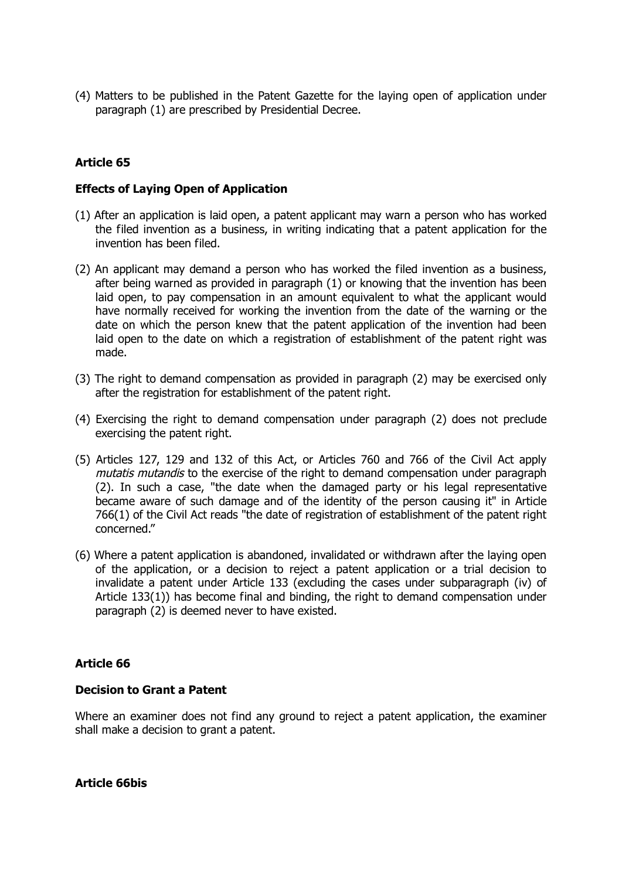(4) Matters to be published in the Patent Gazette for the laying open of application under paragraph (1) are prescribed by Presidential Decree.

# **Article 65**

#### **Effects of Laying Open of Application**

- (1) After an application is laid open, a patent applicant may warn a person who has worked the filed invention as a business, in writing indicating that a patent application for the invention has been filed.
- (2) An applicant may demand a person who has worked the filed invention as a business, after being warned as provided in paragraph (1) or knowing that the invention has been laid open, to pay compensation in an amount equivalent to what the applicant would have normally received for working the invention from the date of the warning or the date on which the person knew that the patent application of the invention had been laid open to the date on which a registration of establishment of the patent right was made.
- (3) The right to demand compensation as provided in paragraph (2) may be exercised only after the registration for establishment of the patent right.
- (4) Exercising the right to demand compensation under paragraph (2) does not preclude exercising the patent right.
- (5) Articles 127, 129 and 132 of this Act, or Articles 760 and 766 of the Civil Act apply mutatis mutandis to the exercise of the right to demand compensation under paragraph (2). In such a case, "the date when the damaged party or his legal representative became aware of such damage and of the identity of the person causing it" in Article 766(1) of the Civil Act reads "the date of registration of establishment of the patent right concerned."
- (6) Where a patent application is abandoned, invalidated or withdrawn after the laying open of the application, or a decision to reject a patent application or a trial decision to invalidate a patent under Article 133 (excluding the cases under subparagraph (iv) of Article 133(1)) has become final and binding, the right to demand compensation under paragraph (2) is deemed never to have existed.

#### **Article 66**

#### **Decision to Grant a Patent**

Where an examiner does not find any ground to reject a patent application, the examiner shall make a decision to grant a patent.

**Article 66bis**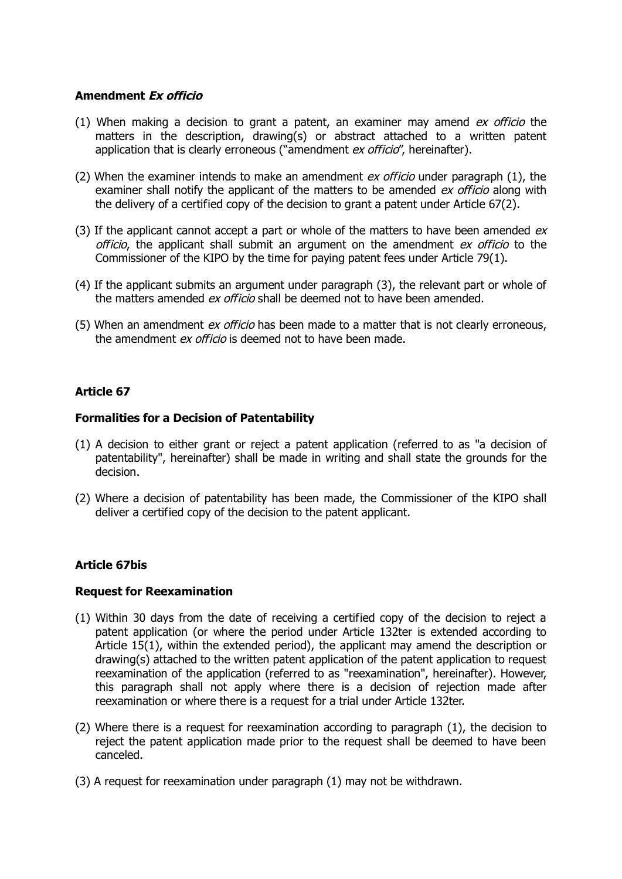#### **Amendment Ex officio**

- (1) When making a decision to grant a patent, an examiner may amend  $ex$  officio the matters in the description, drawing(s) or abstract attached to a written patent application that is clearly erroneous ("amendment ex officio", hereinafter).
- (2) When the examiner intends to make an amendment  $ex$  officio under paragraph (1), the examiner shall notify the applicant of the matters to be amended *ex officio* along with the delivery of a certified copy of the decision to grant a patent under Article 67(2).
- (3) If the applicant cannot accept a part or whole of the matters to have been amended  $ex$ officio, the applicant shall submit an argument on the amendment ex officio to the Commissioner of the KIPO by the time for paying patent fees under Article 79(1).
- (4) If the applicant submits an argument under paragraph (3), the relevant part or whole of the matters amended ex officio shall be deemed not to have been amended.
- (5) When an amendment ex officio has been made to a matter that is not clearly erroneous, the amendment *ex officio* is deemed not to have been made.

# **Article 67**

#### **Formalities for a Decision of Patentability**

- (1) A decision to either grant or reject a patent application (referred to as "a decision of patentability", hereinafter) shall be made in writing and shall state the grounds for the decision.
- (2) Where a decision of patentability has been made, the Commissioner of the KIPO shall deliver a certified copy of the decision to the patent applicant.

#### **Article 67bis**

#### **Request for Reexamination**

- (1) Within 30 days from the date of receiving a certified copy of the decision to reject a patent application (or where the period under Article 132ter is extended according to Article 15(1), within the extended period), the applicant may amend the description or drawing(s) attached to the written patent application of the patent application to request reexamination of the application (referred to as "reexamination", hereinafter). However, this paragraph shall not apply where there is a decision of rejection made after reexamination or where there is a request for a trial under Article 132ter.
- (2) Where there is a request for reexamination according to paragraph (1), the decision to reject the patent application made prior to the request shall be deemed to have been canceled.
- (3) A request for reexamination under paragraph (1) may not be withdrawn.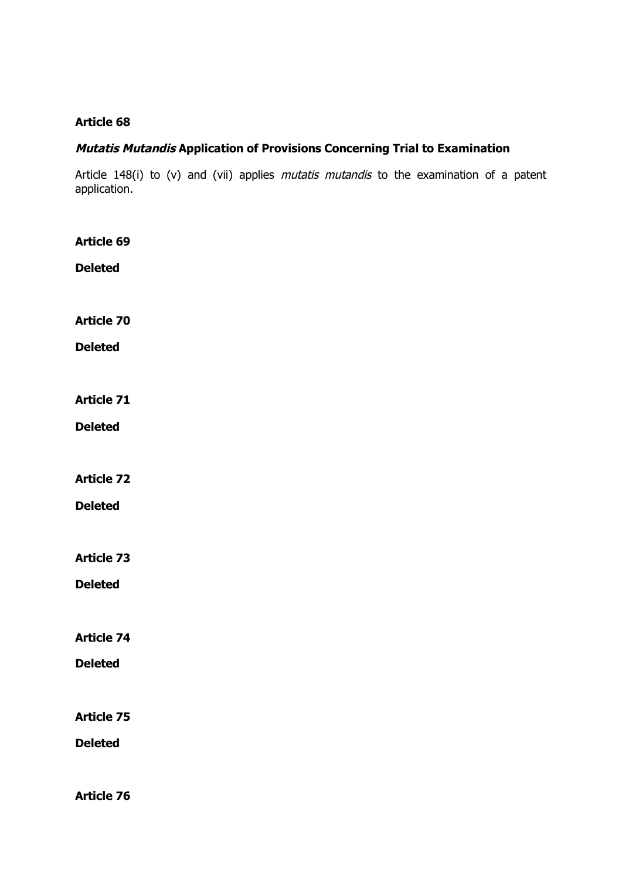# **Mutatis Mutandis Application of Provisions Concerning Trial to Examination**

Article 148(i) to (v) and (vii) applies *mutatis mutandis* to the examination of a patent application.

| <b>Article 69</b> |  |  |  |
|-------------------|--|--|--|
| <b>Deleted</b>    |  |  |  |
|                   |  |  |  |
| <b>Article 70</b> |  |  |  |
| <b>Deleted</b>    |  |  |  |
|                   |  |  |  |
| <b>Article 71</b> |  |  |  |
| <b>Deleted</b>    |  |  |  |
|                   |  |  |  |
| <b>Article 72</b> |  |  |  |
| <b>Deleted</b>    |  |  |  |
|                   |  |  |  |
| <b>Article 73</b> |  |  |  |
| <b>Deleted</b>    |  |  |  |
|                   |  |  |  |
| <b>Article 74</b> |  |  |  |
| <b>Deleted</b>    |  |  |  |
|                   |  |  |  |
| <b>Article 75</b> |  |  |  |
| <b>Deleted</b>    |  |  |  |
| <b>Article 76</b> |  |  |  |
|                   |  |  |  |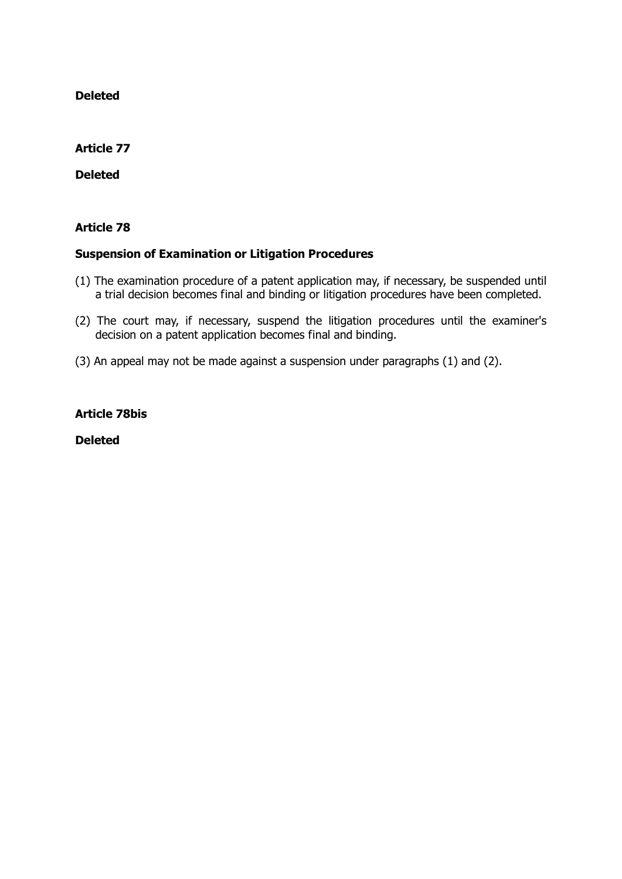**Deleted**

# **Article 77**

**Deleted**

# **Article 78**

#### **Suspension of Examination or Litigation Procedures**

- (1) The examination procedure of a patent application may, if necessary, be suspended until a trial decision becomes final and binding or litigation procedures have been completed.
- (2) The court may, if necessary, suspend the litigation procedures until the examiner's decision on a patent application becomes final and binding.
- (3) An appeal may not be made against a suspension under paragraphs (1) and (2).

#### **Article 78bis**

**Deleted**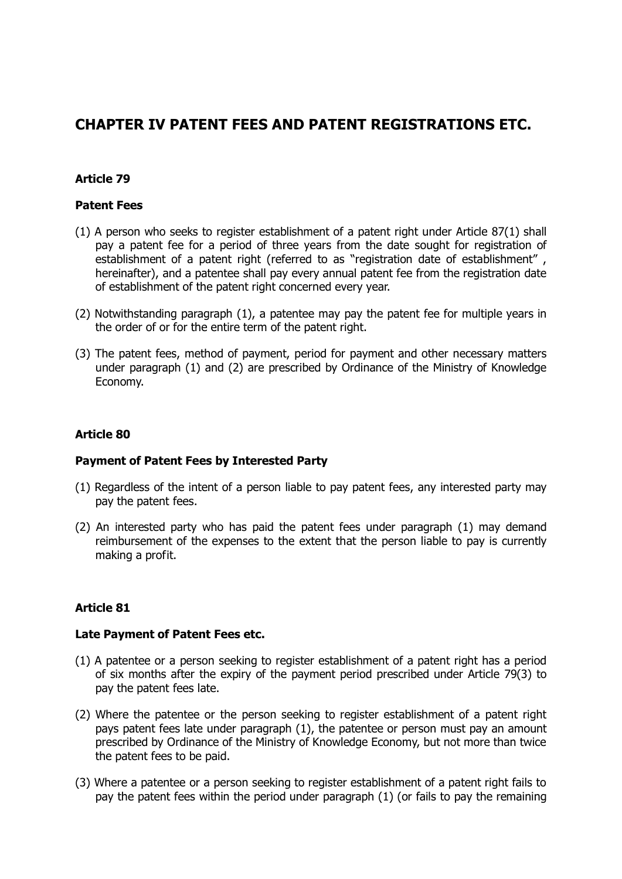# **CHAPTER IV PATENT FEES AND PATENT REGISTRATIONS ETC.**

## **Article 79**

## **Patent Fees**

- (1) A person who seeks to register establishment of a patent right under Article 87(1) shall pay a patent fee for a period of three years from the date sought for registration of establishment of a patent right (referred to as "registration date of establishment" , hereinafter), and a patentee shall pay every annual patent fee from the registration date of establishment of the patent right concerned every year.
- (2) Notwithstanding paragraph (1), a patentee may pay the patent fee for multiple years in the order of or for the entire term of the patent right.
- (3) The patent fees, method of payment, period for payment and other necessary matters under paragraph (1) and (2) are prescribed by Ordinance of the Ministry of Knowledge Economy.

## **Article 80**

## **Payment of Patent Fees by Interested Party**

- (1) Regardless of the intent of a person liable to pay patent fees, any interested party may pay the patent fees.
- (2) An interested party who has paid the patent fees under paragraph (1) may demand reimbursement of the expenses to the extent that the person liable to pay is currently making a profit.

## **Article 81**

## **Late Payment of Patent Fees etc.**

- (1) A patentee or a person seeking to register establishment of a patent right has a period of six months after the expiry of the payment period prescribed under Article 79(3) to pay the patent fees late.
- (2) Where the patentee or the person seeking to register establishment of a patent right pays patent fees late under paragraph (1), the patentee or person must pay an amount prescribed by Ordinance of the Ministry of Knowledge Economy, but not more than twice the patent fees to be paid.
- (3) Where a patentee or a person seeking to register establishment of a patent right fails to pay the patent fees within the period under paragraph (1) (or fails to pay the remaining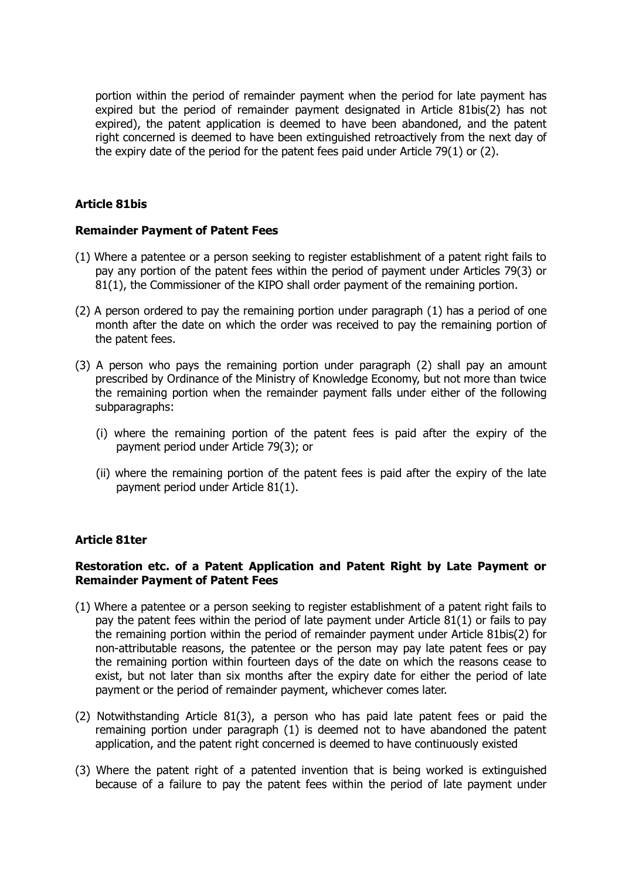portion within the period of remainder payment when the period for late payment has expired but the period of remainder payment designated in Article 81bis(2) has not expired), the patent application is deemed to have been abandoned, and the patent right concerned is deemed to have been extinguished retroactively from the next day of the expiry date of the period for the patent fees paid under Article 79(1) or (2).

## **Article 81bis**

## **Remainder Payment of Patent Fees**

- (1) Where a patentee or a person seeking to register establishment of a patent right fails to pay any portion of the patent fees within the period of payment under Articles 79(3) or 81(1), the Commissioner of the KIPO shall order payment of the remaining portion.
- (2) A person ordered to pay the remaining portion under paragraph (1) has a period of one month after the date on which the order was received to pay the remaining portion of the patent fees.
- (3) A person who pays the remaining portion under paragraph (2) shall pay an amount prescribed by Ordinance of the Ministry of Knowledge Economy, but not more than twice the remaining portion when the remainder payment falls under either of the following subparagraphs:
	- (i) where the remaining portion of the patent fees is paid after the expiry of the payment period under Article 79(3); or
	- (ii) where the remaining portion of the patent fees is paid after the expiry of the late payment period under Article 81(1).

## **Article 81ter**

## **Restoration etc. of a Patent Application and Patent Right by Late Payment or Remainder Payment of Patent Fees**

- (1) Where a patentee or a person seeking to register establishment of a patent right fails to pay the patent fees within the period of late payment under Article 81(1) or fails to pay the remaining portion within the period of remainder payment under Article 81bis(2) for non-attributable reasons, the patentee or the person may pay late patent fees or pay the remaining portion within fourteen days of the date on which the reasons cease to exist, but not later than six months after the expiry date for either the period of late payment or the period of remainder payment, whichever comes later.
- (2) Notwithstanding Article 81(3), a person who has paid late patent fees or paid the remaining portion under paragraph (1) is deemed not to have abandoned the patent application, and the patent right concerned is deemed to have continuously existed
- (3) Where the patent right of a patented invention that is being worked is extinguished because of a failure to pay the patent fees within the period of late payment under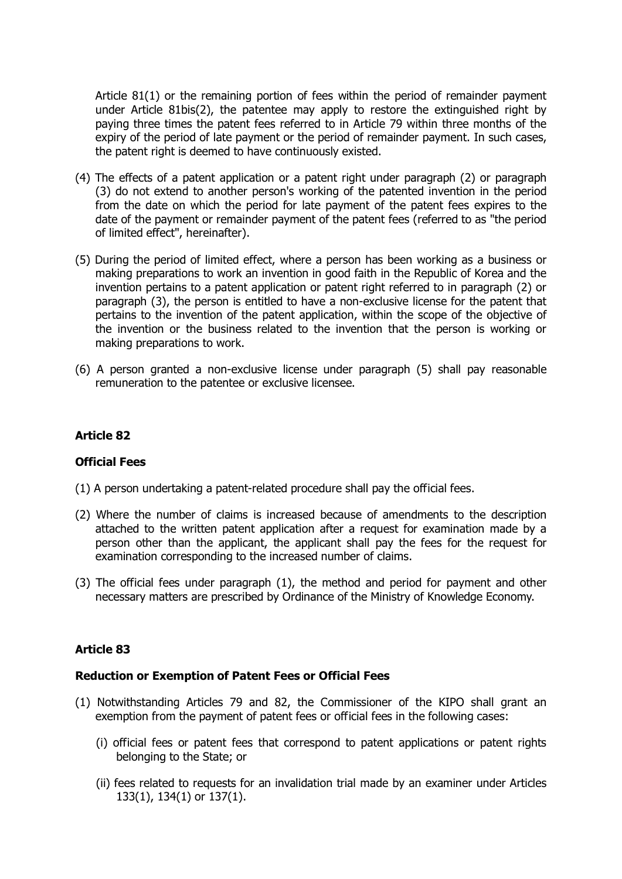Article 81(1) or the remaining portion of fees within the period of remainder payment under Article 81bis(2), the patentee may apply to restore the extinguished right by paying three times the patent fees referred to in Article 79 within three months of the expiry of the period of late payment or the period of remainder payment. In such cases, the patent right is deemed to have continuously existed.

- (4) The effects of a patent application or a patent right under paragraph (2) or paragraph (3) do not extend to another person's working of the patented invention in the period from the date on which the period for late payment of the patent fees expires to the date of the payment or remainder payment of the patent fees (referred to as "the period of limited effect", hereinafter).
- (5) During the period of limited effect, where a person has been working as a business or making preparations to work an invention in good faith in the Republic of Korea and the invention pertains to a patent application or patent right referred to in paragraph (2) or paragraph (3), the person is entitled to have a non-exclusive license for the patent that pertains to the invention of the patent application, within the scope of the objective of the invention or the business related to the invention that the person is working or making preparations to work.
- (6) A person granted a non-exclusive license under paragraph (5) shall pay reasonable remuneration to the patentee or exclusive licensee.

## **Article 82**

## **Official Fees**

- (1) A person undertaking a patent-related procedure shall pay the official fees.
- (2) Where the number of claims is increased because of amendments to the description attached to the written patent application after a request for examination made by a person other than the applicant, the applicant shall pay the fees for the request for examination corresponding to the increased number of claims.
- (3) The official fees under paragraph (1), the method and period for payment and other necessary matters are prescribed by Ordinance of the Ministry of Knowledge Economy.

## **Article 83**

## **Reduction or Exemption of Patent Fees or Official Fees**

- (1) Notwithstanding Articles 79 and 82, the Commissioner of the KIPO shall grant an exemption from the payment of patent fees or official fees in the following cases:
	- (i) official fees or patent fees that correspond to patent applications or patent rights belonging to the State; or
	- (ii) fees related to requests for an invalidation trial made by an examiner under Articles 133(1), 134(1) or 137(1).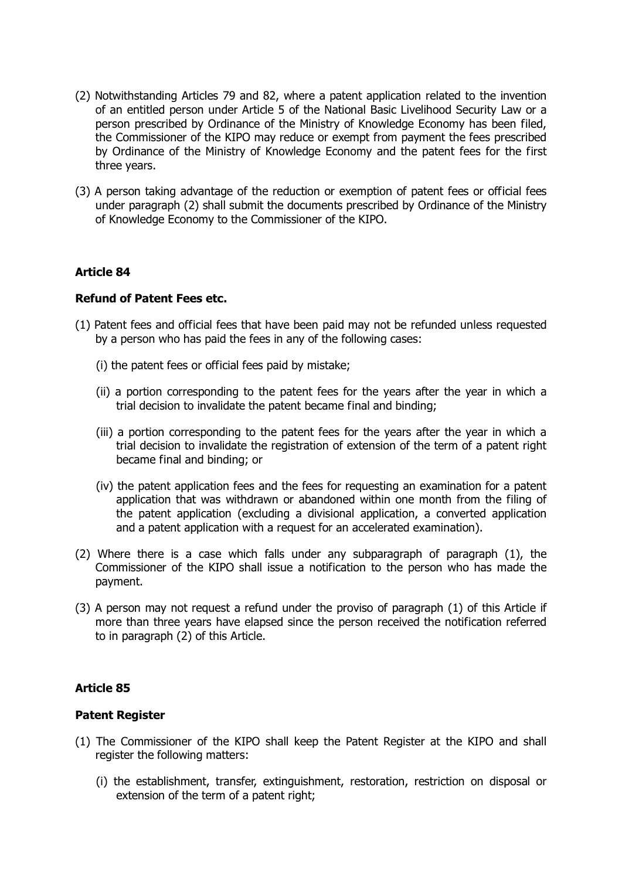- (2) Notwithstanding Articles 79 and 82, where a patent application related to the invention of an entitled person under Article 5 of the National Basic Livelihood Security Law or a person prescribed by Ordinance of the Ministry of Knowledge Economy has been filed, the Commissioner of the KIPO may reduce or exempt from payment the fees prescribed by Ordinance of the Ministry of Knowledge Economy and the patent fees for the first three years.
- (3) A person taking advantage of the reduction or exemption of patent fees or official fees under paragraph (2) shall submit the documents prescribed by Ordinance of the Ministry of Knowledge Economy to the Commissioner of the KIPO.

## **Refund of Patent Fees etc.**

- (1) Patent fees and official fees that have been paid may not be refunded unless requested by a person who has paid the fees in any of the following cases:
	- (i) the patent fees or official fees paid by mistake;
	- (ii) a portion corresponding to the patent fees for the years after the year in which a trial decision to invalidate the patent became final and binding;
	- (iii) a portion corresponding to the patent fees for the years after the year in which a trial decision to invalidate the registration of extension of the term of a patent right became final and binding; or
	- (iv) the patent application fees and the fees for requesting an examination for a patent application that was withdrawn or abandoned within one month from the filing of the patent application (excluding a divisional application, a converted application and a patent application with a request for an accelerated examination).
- (2) Where there is a case which falls under any subparagraph of paragraph (1), the Commissioner of the KIPO shall issue a notification to the person who has made the payment.
- (3) A person may not request a refund under the proviso of paragraph (1) of this Article if more than three years have elapsed since the person received the notification referred to in paragraph (2) of this Article.

## **Article 85**

## **Patent Register**

- (1) The Commissioner of the KIPO shall keep the Patent Register at the KIPO and shall register the following matters:
	- (i) the establishment, transfer, extinguishment, restoration, restriction on disposal or extension of the term of a patent right;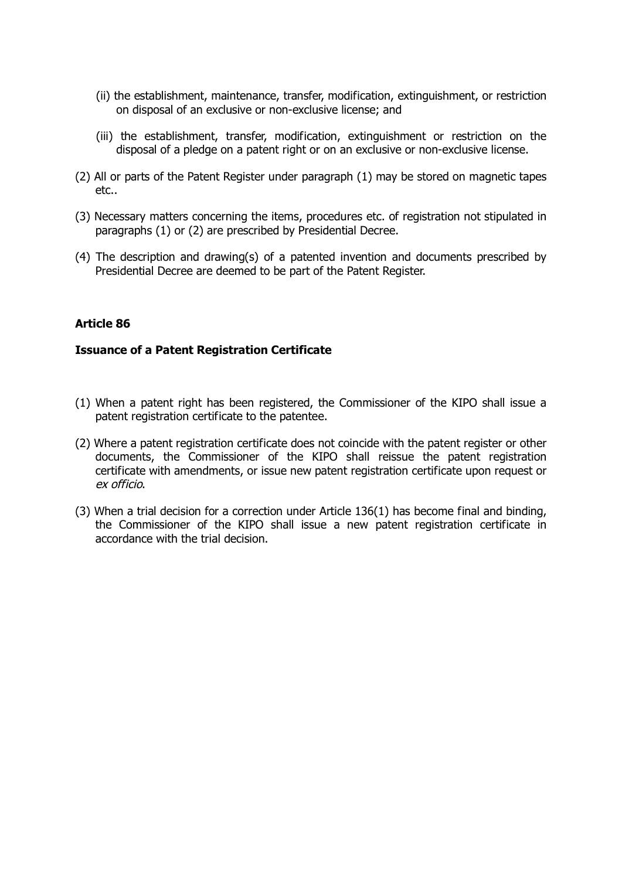- (ii) the establishment, maintenance, transfer, modification, extinguishment, or restriction on disposal of an exclusive or non-exclusive license; and
- (iii) the establishment, transfer, modification, extinguishment or restriction on the disposal of a pledge on a patent right or on an exclusive or non-exclusive license.
- (2) All or parts of the Patent Register under paragraph (1) may be stored on magnetic tapes etc..
- (3) Necessary matters concerning the items, procedures etc. of registration not stipulated in paragraphs (1) or (2) are prescribed by Presidential Decree.
- (4) The description and drawing(s) of a patented invention and documents prescribed by Presidential Decree are deemed to be part of the Patent Register.

## **Issuance of a Patent Registration Certificate**

- (1) When a patent right has been registered, the Commissioner of the KIPO shall issue a patent registration certificate to the patentee.
- (2) Where a patent registration certificate does not coincide with the patent register or other documents, the Commissioner of the KIPO shall reissue the patent registration certificate with amendments, or issue new patent registration certificate upon request or ex officio.
- (3) When a trial decision for a correction under Article 136(1) has become final and binding, the Commissioner of the KIPO shall issue a new patent registration certificate in accordance with the trial decision.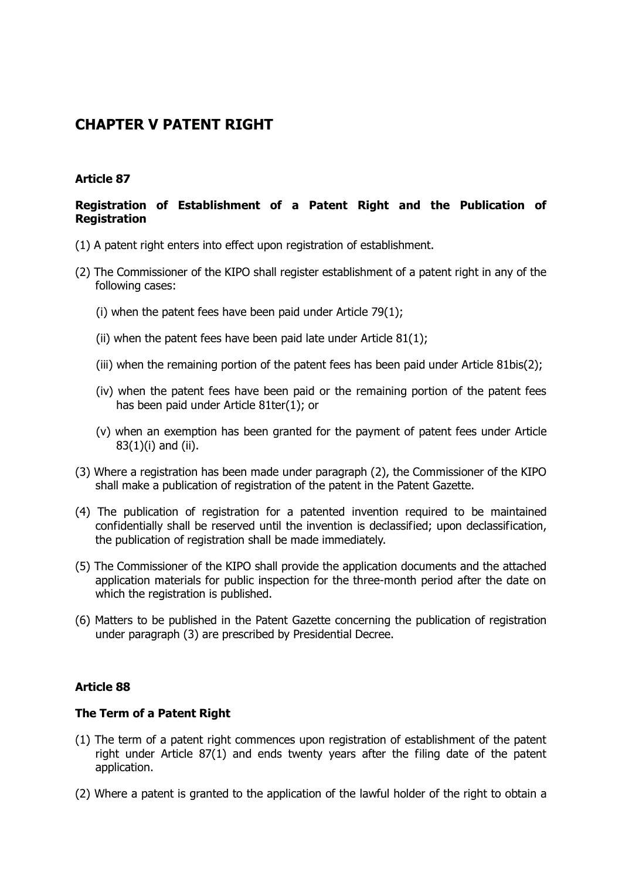# **CHAPTER V PATENT RIGHT**

## **Article 87**

## **Registration of Establishment of a Patent Right and the Publication of Registration**

- (1) A patent right enters into effect upon registration of establishment.
- (2) The Commissioner of the KIPO shall register establishment of a patent right in any of the following cases:
	- (i) when the patent fees have been paid under Article 79(1);
	- (ii) when the patent fees have been paid late under Article 81(1);
	- (iii) when the remaining portion of the patent fees has been paid under Article 81bis(2);
	- (iv) when the patent fees have been paid or the remaining portion of the patent fees has been paid under Article 81ter(1); or
	- (v) when an exemption has been granted for the payment of patent fees under Article 83(1)(i) and (ii).
- (3) Where a registration has been made under paragraph (2), the Commissioner of the KIPO shall make a publication of registration of the patent in the Patent Gazette.
- (4) The publication of registration for a patented invention required to be maintained confidentially shall be reserved until the invention is declassified; upon declassification, the publication of registration shall be made immediately.
- (5) The Commissioner of the KIPO shall provide the application documents and the attached application materials for public inspection for the three-month period after the date on which the registration is published.
- (6) Matters to be published in the Patent Gazette concerning the publication of registration under paragraph (3) are prescribed by Presidential Decree.

## **Article 88**

## **The Term of a Patent Right**

- (1) The term of a patent right commences upon registration of establishment of the patent right under Article 87(1) and ends twenty years after the filing date of the patent application.
- (2) Where a patent is granted to the application of the lawful holder of the right to obtain a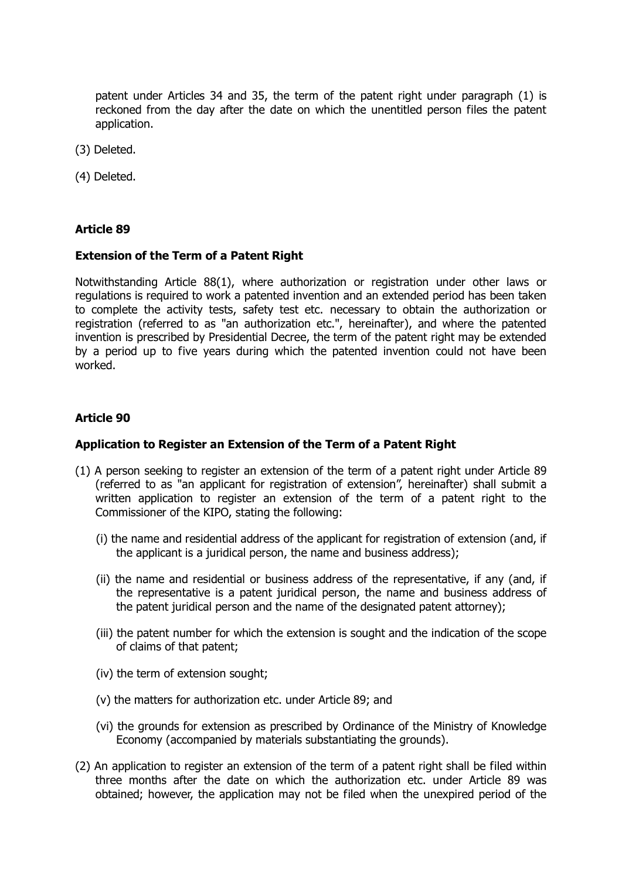patent under Articles 34 and 35, the term of the patent right under paragraph (1) is reckoned from the day after the date on which the unentitled person files the patent application.

- (3) Deleted.
- (4) Deleted.

## **Article 89**

#### **Extension of the Term of a Patent Right**

Notwithstanding Article 88(1), where authorization or registration under other laws or regulations is required to work a patented invention and an extended period has been taken to complete the activity tests, safety test etc. necessary to obtain the authorization or registration (referred to as "an authorization etc.", hereinafter), and where the patented invention is prescribed by Presidential Decree, the term of the patent right may be extended by a period up to five years during which the patented invention could not have been worked.

## **Article 90**

#### **Application to Register an Extension of the Term of a Patent Right**

- (1) A person seeking to register an extension of the term of a patent right under Article 89 (referred to as "an applicant for registration of extension", hereinafter) shall submit a written application to register an extension of the term of a patent right to the Commissioner of the KIPO, stating the following:
	- (i) the name and residential address of the applicant for registration of extension (and, if the applicant is a juridical person, the name and business address);
	- (ii) the name and residential or business address of the representative, if any (and, if the representative is a patent juridical person, the name and business address of the patent juridical person and the name of the designated patent attorney);
	- (iii) the patent number for which the extension is sought and the indication of the scope of claims of that patent;
	- (iv) the term of extension sought;
	- (v) the matters for authorization etc. under Article 89; and
	- (vi) the grounds for extension as prescribed by Ordinance of the Ministry of Knowledge Economy (accompanied by materials substantiating the grounds).
- (2) An application to register an extension of the term of a patent right shall be filed within three months after the date on which the authorization etc. under Article 89 was obtained; however, the application may not be filed when the unexpired period of the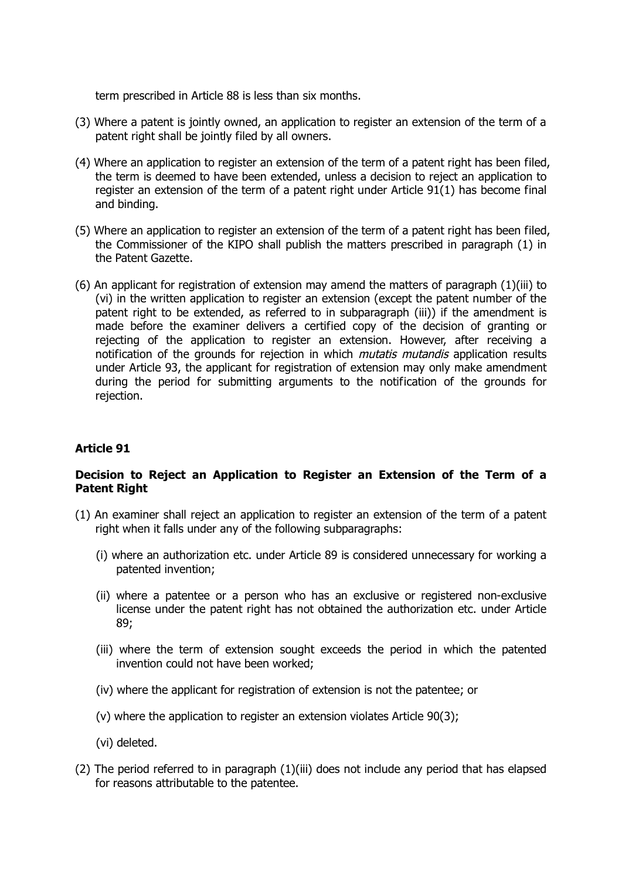term prescribed in Article 88 is less than six months.

- (3) Where a patent is jointly owned, an application to register an extension of the term of a patent right shall be jointly filed by all owners.
- (4) Where an application to register an extension of the term of a patent right has been filed, the term is deemed to have been extended, unless a decision to reject an application to register an extension of the term of a patent right under Article 91(1) has become final and binding.
- (5) Where an application to register an extension of the term of a patent right has been filed, the Commissioner of the KIPO shall publish the matters prescribed in paragraph (1) in the Patent Gazette.
- (6) An applicant for registration of extension may amend the matters of paragraph (1)(iii) to (vi) in the written application to register an extension (except the patent number of the patent right to be extended, as referred to in subparagraph (iii)) if the amendment is made before the examiner delivers a certified copy of the decision of granting or rejecting of the application to register an extension. However, after receiving a notification of the grounds for rejection in which *mutatis mutandis* application results under Article 93, the applicant for registration of extension may only make amendment during the period for submitting arguments to the notification of the grounds for rejection.

## **Article 91**

## **Decision to Reject an Application to Register an Extension of the Term of a Patent Right**

- (1) An examiner shall reject an application to register an extension of the term of a patent right when it falls under any of the following subparagraphs:
	- (i) where an authorization etc. under Article 89 is considered unnecessary for working a patented invention;
	- (ii) where a patentee or a person who has an exclusive or registered non-exclusive license under the patent right has not obtained the authorization etc. under Article 89;
	- (iii) where the term of extension sought exceeds the period in which the patented invention could not have been worked;
	- (iv) where the applicant for registration of extension is not the patentee; or
	- (v) where the application to register an extension violates Article 90(3);
	- (vi) deleted.
- (2) The period referred to in paragraph (1)(iii) does not include any period that has elapsed for reasons attributable to the patentee.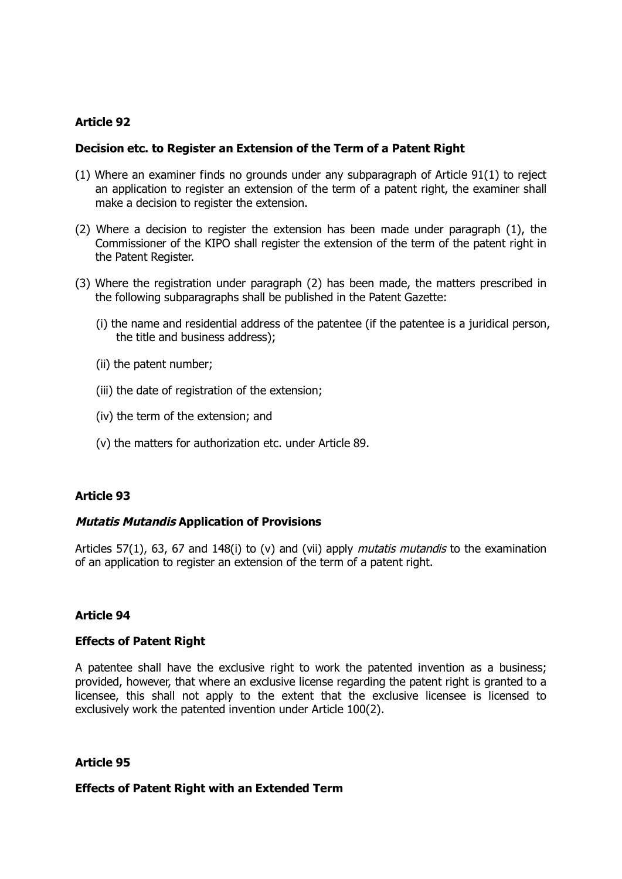#### **Decision etc. to Register an Extension of the Term of a Patent Right**

- (1) Where an examiner finds no grounds under any subparagraph of Article 91(1) to reject an application to register an extension of the term of a patent right, the examiner shall make a decision to register the extension.
- (2) Where a decision to register the extension has been made under paragraph (1), the Commissioner of the KIPO shall register the extension of the term of the patent right in the Patent Register.
- (3) Where the registration under paragraph (2) has been made, the matters prescribed in the following subparagraphs shall be published in the Patent Gazette:
	- (i) the name and residential address of the patentee (if the patentee is a juridical person, the title and business address);
	- (ii) the patent number;
	- (iii) the date of registration of the extension;
	- (iv) the term of the extension; and
	- (v) the matters for authorization etc. under Article 89.

## **Article 93**

## **Mutatis Mutandis Application of Provisions**

Articles 57(1), 63, 67 and 148(i) to (v) and (vii) apply *mutatis mutandis* to the examination of an application to register an extension of the term of a patent right.

## **Article 94**

#### **Effects of Patent Right**

A patentee shall have the exclusive right to work the patented invention as a business; provided, however, that where an exclusive license regarding the patent right is granted to a licensee, this shall not apply to the extent that the exclusive licensee is licensed to exclusively work the patented invention under Article 100(2).

## **Article 95**

#### **Effects of Patent Right with an Extended Term**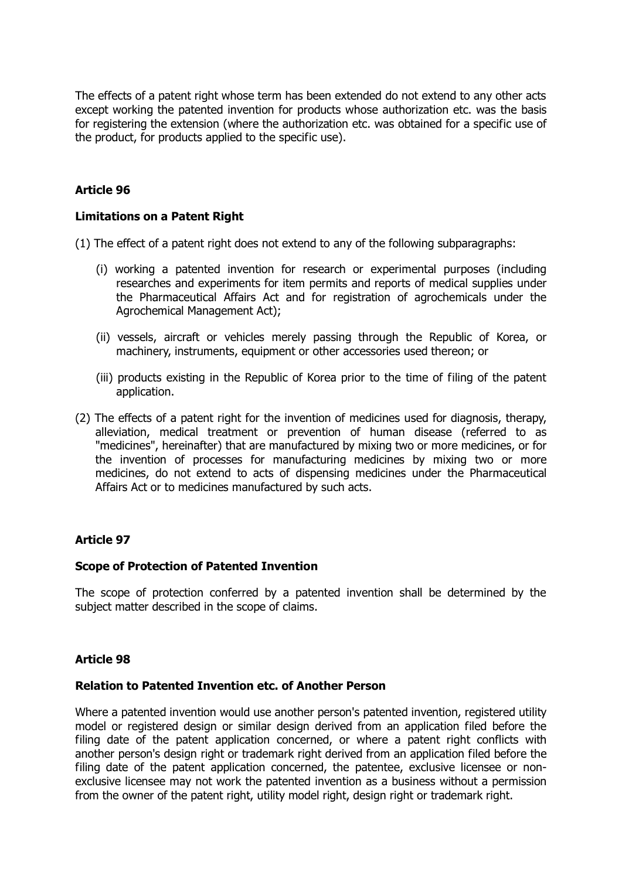The effects of a patent right whose term has been extended do not extend to any other acts except working the patented invention for products whose authorization etc. was the basis for registering the extension (where the authorization etc. was obtained for a specific use of the product, for products applied to the specific use).

## **Article 96**

#### **Limitations on a Patent Right**

(1) The effect of a patent right does not extend to any of the following subparagraphs:

- (i) working a patented invention for research or experimental purposes (including researches and experiments for item permits and reports of medical supplies under the Pharmaceutical Affairs Act and for registration of agrochemicals under the Agrochemical Management Act);
- (ii) vessels, aircraft or vehicles merely passing through the Republic of Korea, or machinery, instruments, equipment or other accessories used thereon; or
- (iii) products existing in the Republic of Korea prior to the time of filing of the patent application.
- (2) The effects of a patent right for the invention of medicines used for diagnosis, therapy, alleviation, medical treatment or prevention of human disease (referred to as "medicines", hereinafter) that are manufactured by mixing two or more medicines, or for the invention of processes for manufacturing medicines by mixing two or more medicines, do not extend to acts of dispensing medicines under the Pharmaceutical Affairs Act or to medicines manufactured by such acts.

## **Article 97**

#### **Scope of Protection of Patented Invention**

The scope of protection conferred by a patented invention shall be determined by the subject matter described in the scope of claims.

## **Article 98**

#### **Relation to Patented Invention etc. of Another Person**

Where a patented invention would use another person's patented invention, registered utility model or registered design or similar design derived from an application filed before the filing date of the patent application concerned, or where a patent right conflicts with another person's design right or trademark right derived from an application filed before the filing date of the patent application concerned, the patentee, exclusive licensee or nonexclusive licensee may not work the patented invention as a business without a permission from the owner of the patent right, utility model right, design right or trademark right.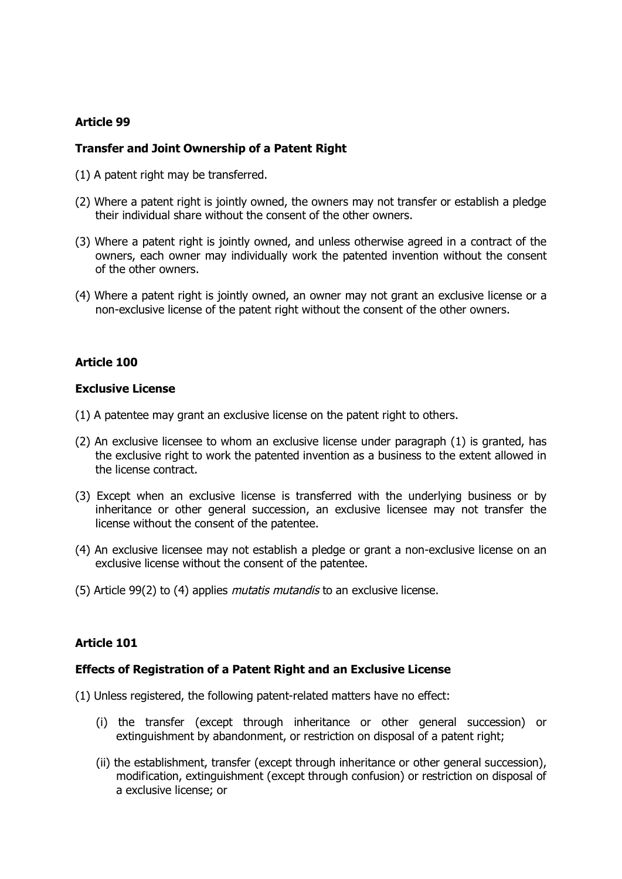## **Transfer and Joint Ownership of a Patent Right**

- (1) A patent right may be transferred.
- (2) Where a patent right is jointly owned, the owners may not transfer or establish a pledge their individual share without the consent of the other owners.
- (3) Where a patent right is jointly owned, and unless otherwise agreed in a contract of the owners, each owner may individually work the patented invention without the consent of the other owners.
- (4) Where a patent right is jointly owned, an owner may not grant an exclusive license or a non-exclusive license of the patent right without the consent of the other owners.

## **Article 100**

#### **Exclusive License**

- (1) A patentee may grant an exclusive license on the patent right to others.
- (2) An exclusive licensee to whom an exclusive license under paragraph (1) is granted, has the exclusive right to work the patented invention as a business to the extent allowed in the license contract.
- (3) Except when an exclusive license is transferred with the underlying business or by inheritance or other general succession, an exclusive licensee may not transfer the license without the consent of the patentee.
- (4) An exclusive licensee may not establish a pledge or grant a non-exclusive license on an exclusive license without the consent of the patentee.
- (5) Article 99(2) to (4) applies *mutatis mutandis* to an exclusive license.

## **Article 101**

## **Effects of Registration of a Patent Right and an Exclusive License**

- (1) Unless registered, the following patent-related matters have no effect:
	- (i) the transfer (except through inheritance or other general succession) or extinguishment by abandonment, or restriction on disposal of a patent right;
	- (ii) the establishment, transfer (except through inheritance or other general succession), modification, extinguishment (except through confusion) or restriction on disposal of a exclusive license; or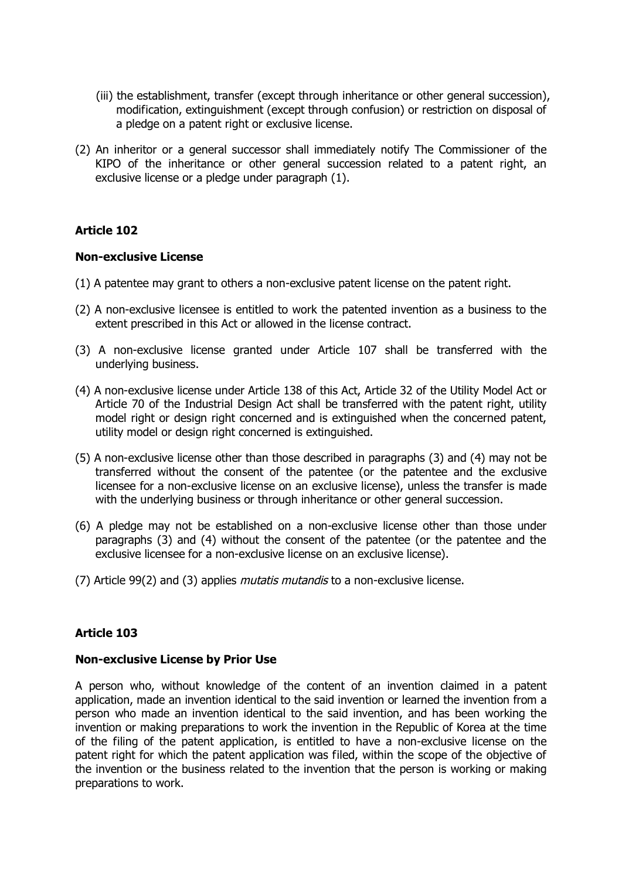- (iii) the establishment, transfer (except through inheritance or other general succession), modification, extinguishment (except through confusion) or restriction on disposal of a pledge on a patent right or exclusive license.
- (2) An inheritor or a general successor shall immediately notify The Commissioner of the KIPO of the inheritance or other general succession related to a patent right, an exclusive license or a pledge under paragraph (1).

#### **Non-exclusive License**

- (1) A patentee may grant to others a non-exclusive patent license on the patent right.
- (2) A non-exclusive licensee is entitled to work the patented invention as a business to the extent prescribed in this Act or allowed in the license contract.
- (3) A non-exclusive license granted under Article 107 shall be transferred with the underlying business.
- (4) A non-exclusive license under Article 138 of this Act, Article 32 of the Utility Model Act or Article 70 of the Industrial Design Act shall be transferred with the patent right, utility model right or design right concerned and is extinguished when the concerned patent, utility model or design right concerned is extinguished.
- (5) A non-exclusive license other than those described in paragraphs (3) and (4) may not be transferred without the consent of the patentee (or the patentee and the exclusive licensee for a non-exclusive license on an exclusive license), unless the transfer is made with the underlying business or through inheritance or other general succession.
- (6) A pledge may not be established on a non-exclusive license other than those under paragraphs (3) and (4) without the consent of the patentee (or the patentee and the exclusive licensee for a non-exclusive license on an exclusive license).
- (7) Article 99(2) and (3) applies *mutatis mutandis* to a non-exclusive license.

## **Article 103**

## **Non-exclusive License by Prior Use**

A person who, without knowledge of the content of an invention claimed in a patent application, made an invention identical to the said invention or learned the invention from a person who made an invention identical to the said invention, and has been working the invention or making preparations to work the invention in the Republic of Korea at the time of the filing of the patent application, is entitled to have a non-exclusive license on the patent right for which the patent application was filed, within the scope of the objective of the invention or the business related to the invention that the person is working or making preparations to work.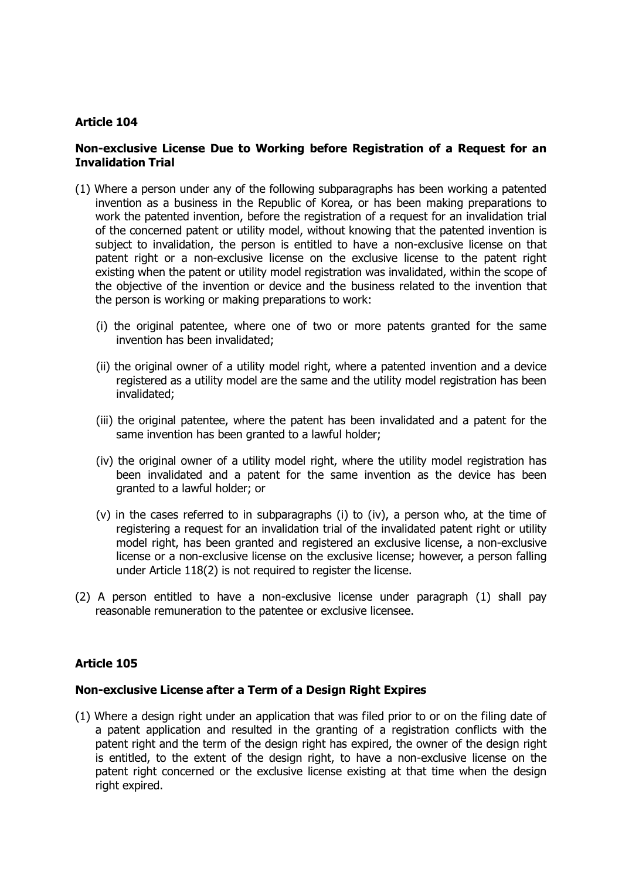## **Non-exclusive License Due to Working before Registration of a Request for an Invalidation Trial**

- (1) Where a person under any of the following subparagraphs has been working a patented invention as a business in the Republic of Korea, or has been making preparations to work the patented invention, before the registration of a request for an invalidation trial of the concerned patent or utility model, without knowing that the patented invention is subject to invalidation, the person is entitled to have a non-exclusive license on that patent right or a non-exclusive license on the exclusive license to the patent right existing when the patent or utility model registration was invalidated, within the scope of the objective of the invention or device and the business related to the invention that the person is working or making preparations to work:
	- (i) the original patentee, where one of two or more patents granted for the same invention has been invalidated;
	- (ii) the original owner of a utility model right, where a patented invention and a device registered as a utility model are the same and the utility model registration has been invalidated;
	- (iii) the original patentee, where the patent has been invalidated and a patent for the same invention has been granted to a lawful holder;
	- (iv) the original owner of a utility model right, where the utility model registration has been invalidated and a patent for the same invention as the device has been granted to a lawful holder; or
	- (v) in the cases referred to in subparagraphs (i) to (iv), a person who, at the time of registering a request for an invalidation trial of the invalidated patent right or utility model right, has been granted and registered an exclusive license, a non-exclusive license or a non-exclusive license on the exclusive license; however, a person falling under Article 118(2) is not required to register the license.
- (2) A person entitled to have a non-exclusive license under paragraph (1) shall pay reasonable remuneration to the patentee or exclusive licensee.

## **Article 105**

## **Non-exclusive License after a Term of a Design Right Expires**

(1) Where a design right under an application that was filed prior to or on the filing date of a patent application and resulted in the granting of a registration conflicts with the patent right and the term of the design right has expired, the owner of the design right is entitled, to the extent of the design right, to have a non-exclusive license on the patent right concerned or the exclusive license existing at that time when the design right expired.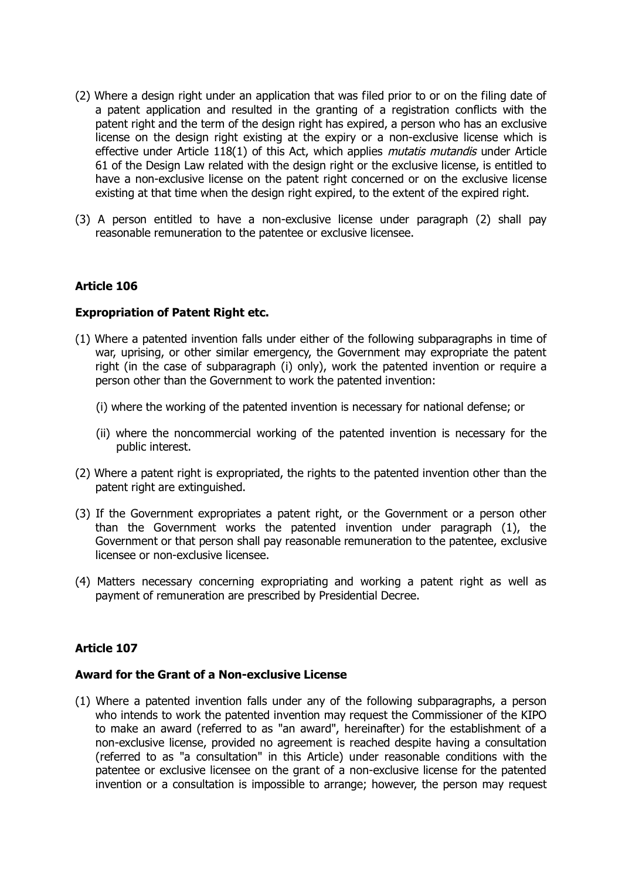- (2) Where a design right under an application that was filed prior to or on the filing date of a patent application and resulted in the granting of a registration conflicts with the patent right and the term of the design right has expired, a person who has an exclusive license on the design right existing at the expiry or a non-exclusive license which is effective under Article 118(1) of this Act, which applies *mutatis mutandis* under Article 61 of the Design Law related with the design right or the exclusive license, is entitled to have a non-exclusive license on the patent right concerned or on the exclusive license existing at that time when the design right expired, to the extent of the expired right.
- (3) A person entitled to have a non-exclusive license under paragraph (2) shall pay reasonable remuneration to the patentee or exclusive licensee.

## **Expropriation of Patent Right etc.**

- (1) Where a patented invention falls under either of the following subparagraphs in time of war, uprising, or other similar emergency, the Government may expropriate the patent right (in the case of subparagraph (i) only), work the patented invention or require a person other than the Government to work the patented invention:
	- (i) where the working of the patented invention is necessary for national defense; or
	- (ii) where the noncommercial working of the patented invention is necessary for the public interest.
- (2) Where a patent right is expropriated, the rights to the patented invention other than the patent right are extinguished.
- (3) If the Government expropriates a patent right, or the Government or a person other than the Government works the patented invention under paragraph (1), the Government or that person shall pay reasonable remuneration to the patentee, exclusive licensee or non-exclusive licensee.
- (4) Matters necessary concerning expropriating and working a patent right as well as payment of remuneration are prescribed by Presidential Decree.

## **Article 107**

#### **Award for the Grant of a Non-exclusive License**

(1) Where a patented invention falls under any of the following subparagraphs, a person who intends to work the patented invention may request the Commissioner of the KIPO to make an award (referred to as "an award", hereinafter) for the establishment of a non-exclusive license, provided no agreement is reached despite having a consultation (referred to as "a consultation" in this Article) under reasonable conditions with the patentee or exclusive licensee on the grant of a non-exclusive license for the patented invention or a consultation is impossible to arrange; however, the person may request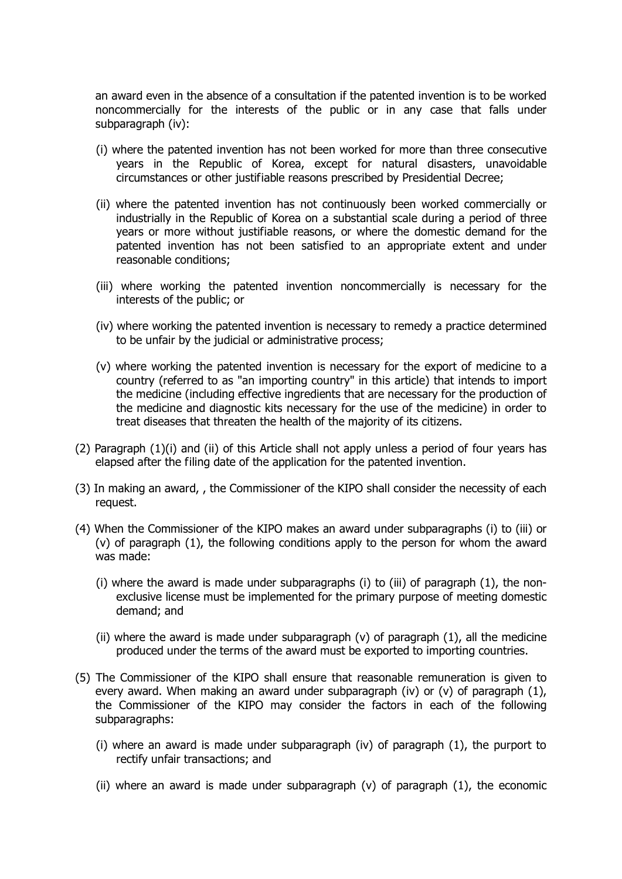an award even in the absence of a consultation if the patented invention is to be worked noncommercially for the interests of the public or in any case that falls under subparagraph (iv):

- (i) where the patented invention has not been worked for more than three consecutive years in the Republic of Korea, except for natural disasters, unavoidable circumstances or other justifiable reasons prescribed by Presidential Decree;
- (ii) where the patented invention has not continuously been worked commercially or industrially in the Republic of Korea on a substantial scale during a period of three years or more without justifiable reasons, or where the domestic demand for the patented invention has not been satisfied to an appropriate extent and under reasonable conditions;
- (iii) where working the patented invention noncommercially is necessary for the interests of the public; or
- (iv) where working the patented invention is necessary to remedy a practice determined to be unfair by the judicial or administrative process;
- (v) where working the patented invention is necessary for the export of medicine to a country (referred to as "an importing country" in this article) that intends to import the medicine (including effective ingredients that are necessary for the production of the medicine and diagnostic kits necessary for the use of the medicine) in order to treat diseases that threaten the health of the majority of its citizens.
- (2) Paragraph (1)(i) and (ii) of this Article shall not apply unless a period of four years has elapsed after the filing date of the application for the patented invention.
- (3) In making an award, , the Commissioner of the KIPO shall consider the necessity of each request.
- (4) When the Commissioner of the KIPO makes an award under subparagraphs (i) to (iii) or (v) of paragraph (1), the following conditions apply to the person for whom the award was made:
	- (i) where the award is made under subparagraphs (i) to (iii) of paragraph (1), the nonexclusive license must be implemented for the primary purpose of meeting domestic demand; and
	- (ii) where the award is made under subparagraph  $(v)$  of paragraph  $(1)$ , all the medicine produced under the terms of the award must be exported to importing countries.
- (5) The Commissioner of the KIPO shall ensure that reasonable remuneration is given to every award. When making an award under subparagraph (iv) or (v) of paragraph (1), the Commissioner of the KIPO may consider the factors in each of the following subparagraphs:
	- (i) where an award is made under subparagraph (iv) of paragraph (1), the purport to rectify unfair transactions; and
	- (ii) where an award is made under subparagraph  $(v)$  of paragraph  $(1)$ , the economic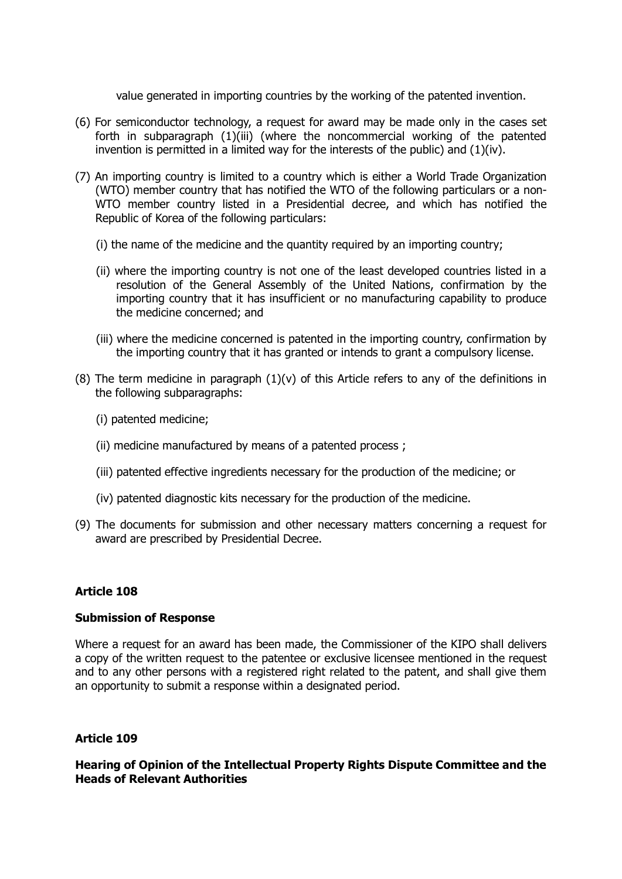value generated in importing countries by the working of the patented invention.

- (6) For semiconductor technology, a request for award may be made only in the cases set forth in subparagraph (1)(iii) (where the noncommercial working of the patented invention is permitted in a limited way for the interests of the public) and  $(1)(iv)$ .
- (7) An importing country is limited to a country which is either a World Trade Organization (WTO) member country that has notified the WTO of the following particulars or a non-WTO member country listed in a Presidential decree, and which has notified the Republic of Korea of the following particulars:
	- (i) the name of the medicine and the quantity required by an importing country;
	- (ii) where the importing country is not one of the least developed countries listed in a resolution of the General Assembly of the United Nations, confirmation by the importing country that it has insufficient or no manufacturing capability to produce the medicine concerned; and
	- (iii) where the medicine concerned is patented in the importing country, confirmation by the importing country that it has granted or intends to grant a compulsory license.
- (8) The term medicine in paragraph  $(1)(v)$  of this Article refers to any of the definitions in the following subparagraphs:
	- (i) patented medicine;
	- (ii) medicine manufactured by means of a patented process ;
	- (iii) patented effective ingredients necessary for the production of the medicine; or
	- (iv) patented diagnostic kits necessary for the production of the medicine.
- (9) The documents for submission and other necessary matters concerning a request for award are prescribed by Presidential Decree.

## **Article 108**

## **Submission of Response**

Where a request for an award has been made, the Commissioner of the KIPO shall delivers a copy of the written request to the patentee or exclusive licensee mentioned in the request and to any other persons with a registered right related to the patent, and shall give them an opportunity to submit a response within a designated period.

## **Article 109**

**Hearing of Opinion of the Intellectual Property Rights Dispute Committee and the Heads of Relevant Authorities**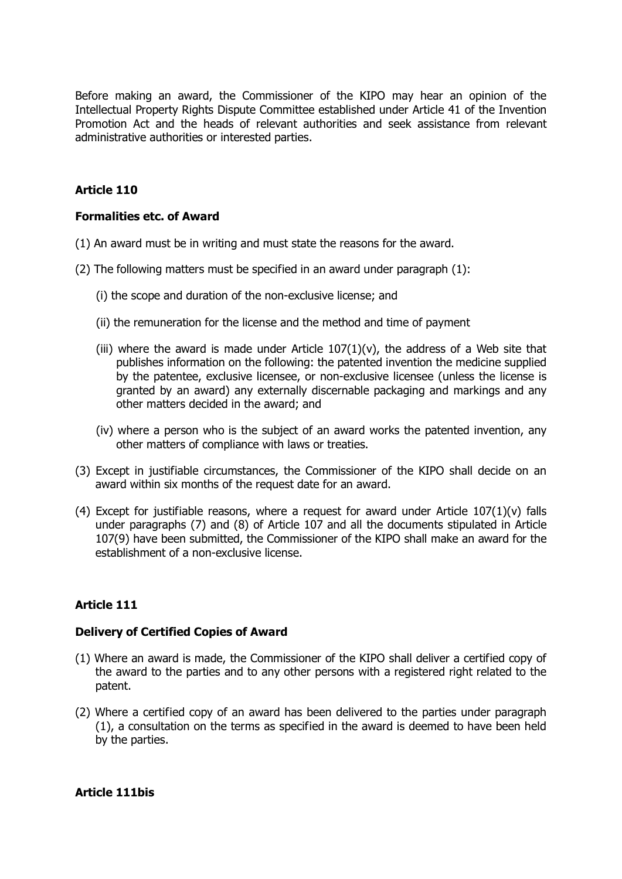Before making an award, the Commissioner of the KIPO may hear an opinion of the Intellectual Property Rights Dispute Committee established under Article 41 of the Invention Promotion Act and the heads of relevant authorities and seek assistance from relevant administrative authorities or interested parties.

## **Article 110**

#### **Formalities etc. of Award**

- (1) An award must be in writing and must state the reasons for the award.
- (2) The following matters must be specified in an award under paragraph (1):
	- (i) the scope and duration of the non-exclusive license; and
	- (ii) the remuneration for the license and the method and time of payment
	- (iii) where the award is made under Article  $107(1)(v)$ , the address of a Web site that publishes information on the following: the patented invention the medicine supplied by the patentee, exclusive licensee, or non-exclusive licensee (unless the license is granted by an award) any externally discernable packaging and markings and any other matters decided in the award; and
	- (iv) where a person who is the subject of an award works the patented invention, any other matters of compliance with laws or treaties.
- (3) Except in justifiable circumstances, the Commissioner of the KIPO shall decide on an award within six months of the request date for an award.
- (4) Except for justifiable reasons, where a request for award under Article  $107(1)(v)$  falls under paragraphs (7) and (8) of Article 107 and all the documents stipulated in Article 107(9) have been submitted, the Commissioner of the KIPO shall make an award for the establishment of a non-exclusive license.

## **Article 111**

## **Delivery of Certified Copies of Award**

- (1) Where an award is made, the Commissioner of the KIPO shall deliver a certified copy of the award to the parties and to any other persons with a registered right related to the patent.
- (2) Where a certified copy of an award has been delivered to the parties under paragraph (1), a consultation on the terms as specified in the award is deemed to have been held by the parties.

#### **Article 111bis**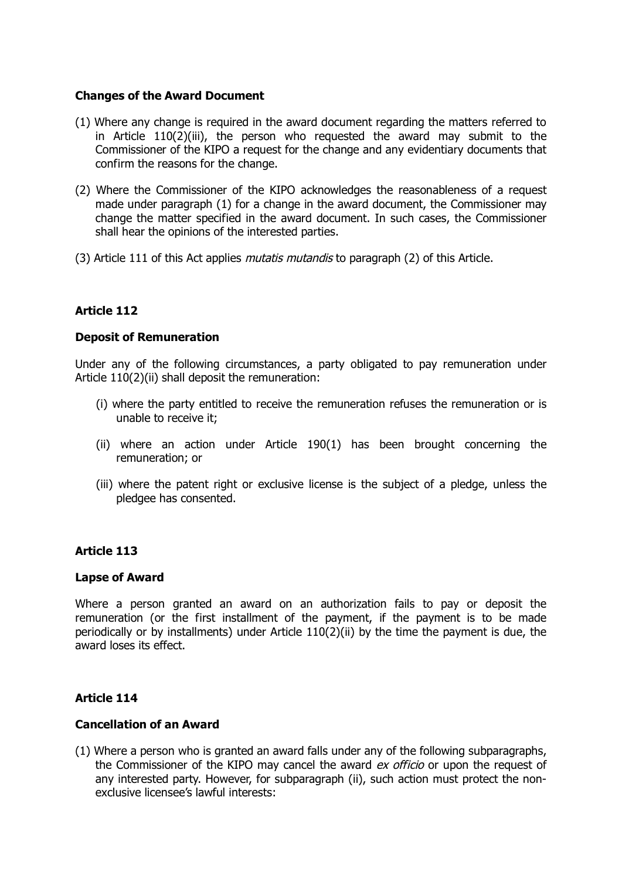## **Changes of the Award Document**

- (1) Where any change is required in the award document regarding the matters referred to in Article 110(2)(iii), the person who requested the award may submit to the Commissioner of the KIPO a request for the change and any evidentiary documents that confirm the reasons for the change.
- (2) Where the Commissioner of the KIPO acknowledges the reasonableness of a request made under paragraph (1) for a change in the award document, the Commissioner may change the matter specified in the award document. In such cases, the Commissioner shall hear the opinions of the interested parties.
- (3) Article 111 of this Act applies *mutatis mutandis* to paragraph (2) of this Article.

## **Article 112**

## **Deposit of Remuneration**

Under any of the following circumstances, a party obligated to pay remuneration under Article 110(2)(ii) shall deposit the remuneration:

- (i) where the party entitled to receive the remuneration refuses the remuneration or is unable to receive it;
- (ii) where an action under Article 190(1) has been brought concerning the remuneration; or
- (iii) where the patent right or exclusive license is the subject of a pledge, unless the pledgee has consented.

## **Article 113**

## **Lapse of Award**

Where a person granted an award on an authorization fails to pay or deposit the remuneration (or the first installment of the payment, if the payment is to be made periodically or by installments) under Article 110(2)(ii) by the time the payment is due, the award loses its effect.

## **Article 114**

## **Cancellation of an Award**

(1) Where a person who is granted an award falls under any of the following subparagraphs, the Commissioner of the KIPO may cancel the award ex officio or upon the request of any interested party. However, for subparagraph (ii), such action must protect the nonexclusive licensee's lawful interests: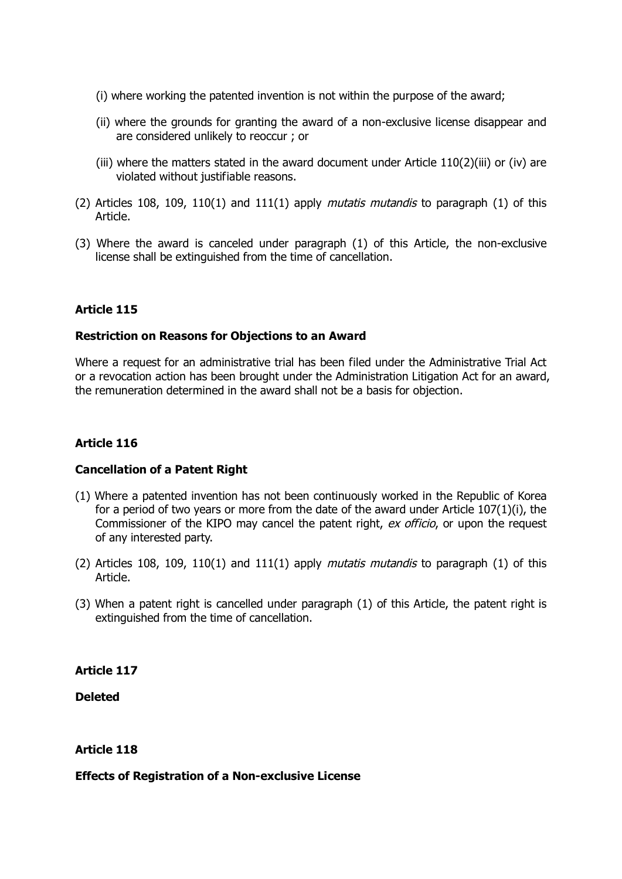- (i) where working the patented invention is not within the purpose of the award;
- (ii) where the grounds for granting the award of a non-exclusive license disappear and are considered unlikely to reoccur ; or
- (iii) where the matters stated in the award document under Article  $110(2)$ (iii) or (iv) are violated without justifiable reasons.
- (2) Articles 108, 109, 110(1) and 111(1) apply *mutatis mutandis* to paragraph (1) of this Article.
- (3) Where the award is canceled under paragraph (1) of this Article, the non-exclusive license shall be extinguished from the time of cancellation.

## **Restriction on Reasons for Objections to an Award**

Where a request for an administrative trial has been filed under the Administrative Trial Act or a revocation action has been brought under the Administration Litigation Act for an award, the remuneration determined in the award shall not be a basis for objection.

## **Article 116**

## **Cancellation of a Patent Right**

- (1) Where a patented invention has not been continuously worked in the Republic of Korea for a period of two years or more from the date of the award under Article 107(1)(i), the Commissioner of the KIPO may cancel the patent right, ex officio, or upon the request of any interested party.
- (2) Articles 108, 109, 110(1) and 111(1) apply *mutatis mutandis* to paragraph (1) of this Article.
- (3) When a patent right is cancelled under paragraph (1) of this Article, the patent right is extinguished from the time of cancellation.

## **Article 117**

**Deleted**

## **Article 118**

## **Effects of Registration of a Non-exclusive License**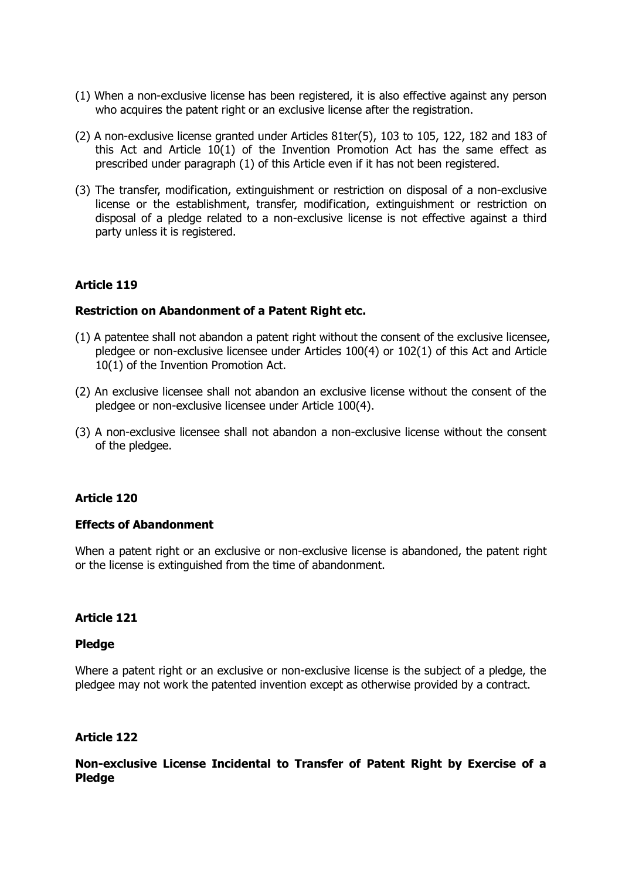- (1) When a non-exclusive license has been registered, it is also effective against any person who acquires the patent right or an exclusive license after the registration.
- (2) A non-exclusive license granted under Articles 81ter(5), 103 to 105, 122, 182 and 183 of this Act and Article 10(1) of the Invention Promotion Act has the same effect as prescribed under paragraph (1) of this Article even if it has not been registered.
- (3) The transfer, modification, extinguishment or restriction on disposal of a non-exclusive license or the establishment, transfer, modification, extinguishment or restriction on disposal of a pledge related to a non-exclusive license is not effective against a third party unless it is registered.

## **Restriction on Abandonment of a Patent Right etc.**

- (1) A patentee shall not abandon a patent right without the consent of the exclusive licensee, pledgee or non-exclusive licensee under Articles 100(4) or 102(1) of this Act and Article 10(1) of the Invention Promotion Act.
- (2) An exclusive licensee shall not abandon an exclusive license without the consent of the pledgee or non-exclusive licensee under Article 100(4).
- (3) A non-exclusive licensee shall not abandon a non-exclusive license without the consent of the pledgee.

## **Article 120**

## **Effects of Abandonment**

When a patent right or an exclusive or non-exclusive license is abandoned, the patent right or the license is extinguished from the time of abandonment.

## **Article 121**

## **Pledge**

Where a patent right or an exclusive or non-exclusive license is the subject of a pledge, the pledgee may not work the patented invention except as otherwise provided by a contract.

## **Article 122**

## **Non-exclusive License Incidental to Transfer of Patent Right by Exercise of a Pledge**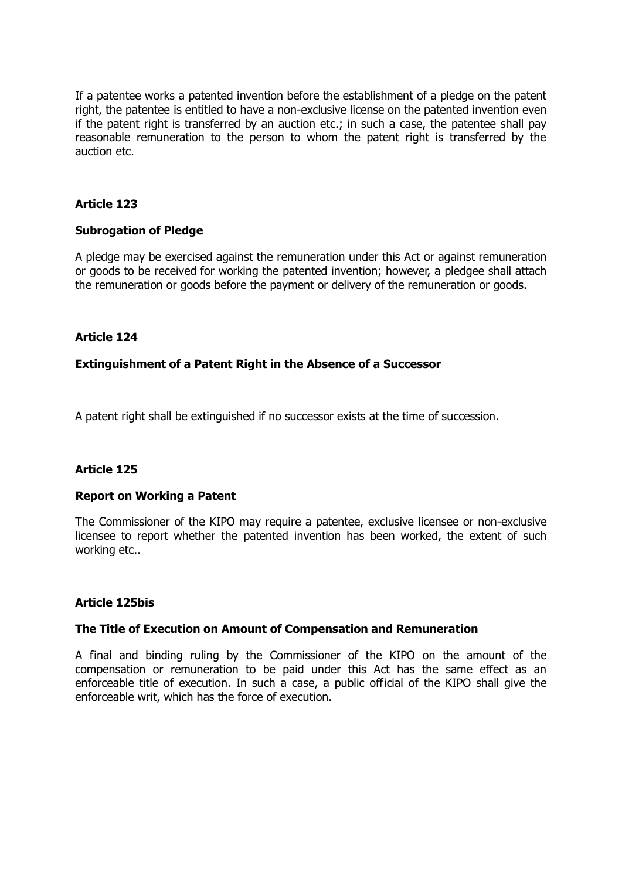If a patentee works a patented invention before the establishment of a pledge on the patent right, the patentee is entitled to have a non-exclusive license on the patented invention even if the patent right is transferred by an auction etc.; in such a case, the patentee shall pay reasonable remuneration to the person to whom the patent right is transferred by the auction etc.

## **Article 123**

## **Subrogation of Pledge**

A pledge may be exercised against the remuneration under this Act or against remuneration or goods to be received for working the patented invention; however, a pledgee shall attach the remuneration or goods before the payment or delivery of the remuneration or goods.

## **Article 124**

#### **Extinguishment of a Patent Right in the Absence of a Successor**

A patent right shall be extinguished if no successor exists at the time of succession.

## **Article 125**

#### **Report on Working a Patent**

The Commissioner of the KIPO may require a patentee, exclusive licensee or non-exclusive licensee to report whether the patented invention has been worked, the extent of such working etc..

#### **Article 125bis**

#### **The Title of Execution on Amount of Compensation and Remuneration**

A final and binding ruling by the Commissioner of the KIPO on the amount of the compensation or remuneration to be paid under this Act has the same effect as an enforceable title of execution. In such a case, a public official of the KIPO shall give the enforceable writ, which has the force of execution.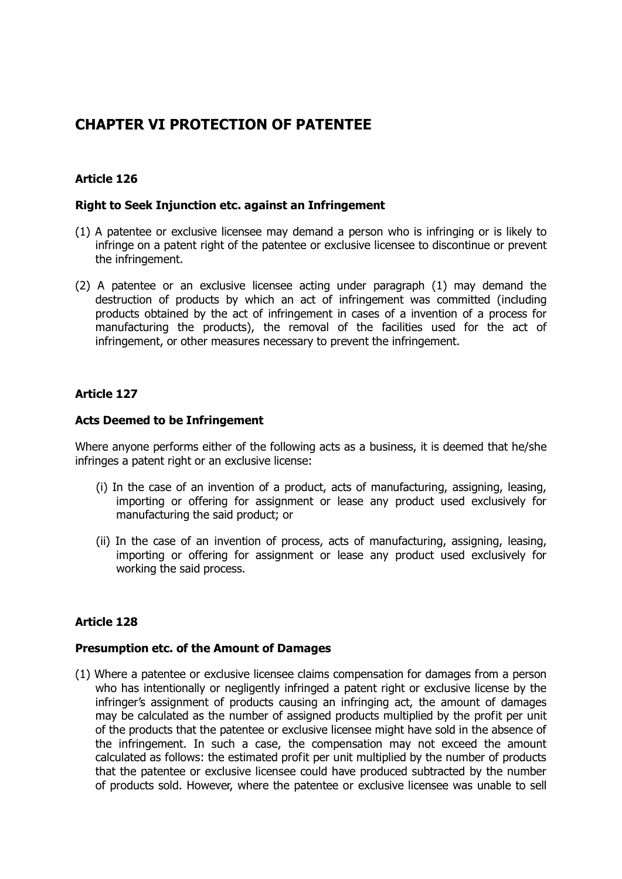# **CHAPTER VI PROTECTION OF PATENTEE**

## **Article 126**

## **Right to Seek Injunction etc. against an Infringement**

- (1) A patentee or exclusive licensee may demand a person who is infringing or is likely to infringe on a patent right of the patentee or exclusive licensee to discontinue or prevent the infringement.
- (2) A patentee or an exclusive licensee acting under paragraph (1) may demand the destruction of products by which an act of infringement was committed (including products obtained by the act of infringement in cases of a invention of a process for manufacturing the products), the removal of the facilities used for the act of infringement, or other measures necessary to prevent the infringement.

## **Article 127**

## **Acts Deemed to be Infringement**

Where anyone performs either of the following acts as a business, it is deemed that he/she infringes a patent right or an exclusive license:

- (i) In the case of an invention of a product, acts of manufacturing, assigning, leasing, importing or offering for assignment or lease any product used exclusively for manufacturing the said product; or
- (ii) In the case of an invention of process, acts of manufacturing, assigning, leasing, importing or offering for assignment or lease any product used exclusively for working the said process.

## **Article 128**

## **Presumption etc. of the Amount of Damages**

(1) Where a patentee or exclusive licensee claims compensation for damages from a person who has intentionally or negligently infringed a patent right or exclusive license by the infringer's assignment of products causing an infringing act, the amount of damages may be calculated as the number of assigned products multiplied by the profit per unit of the products that the patentee or exclusive licensee might have sold in the absence of the infringement. In such a case, the compensation may not exceed the amount calculated as follows: the estimated profit per unit multiplied by the number of products that the patentee or exclusive licensee could have produced subtracted by the number of products sold. However, where the patentee or exclusive licensee was unable to sell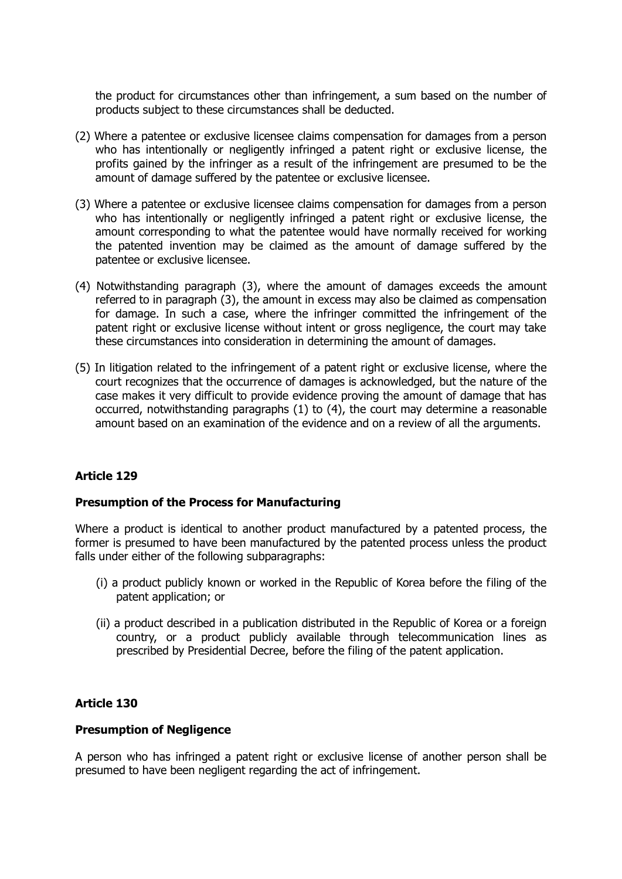the product for circumstances other than infringement, a sum based on the number of products subject to these circumstances shall be deducted.

- (2) Where a patentee or exclusive licensee claims compensation for damages from a person who has intentionally or negligently infringed a patent right or exclusive license, the profits gained by the infringer as a result of the infringement are presumed to be the amount of damage suffered by the patentee or exclusive licensee.
- (3) Where a patentee or exclusive licensee claims compensation for damages from a person who has intentionally or negligently infringed a patent right or exclusive license, the amount corresponding to what the patentee would have normally received for working the patented invention may be claimed as the amount of damage suffered by the patentee or exclusive licensee.
- (4) Notwithstanding paragraph (3), where the amount of damages exceeds the amount referred to in paragraph (3), the amount in excess may also be claimed as compensation for damage. In such a case, where the infringer committed the infringement of the patent right or exclusive license without intent or gross negligence, the court may take these circumstances into consideration in determining the amount of damages.
- (5) In litigation related to the infringement of a patent right or exclusive license, where the court recognizes that the occurrence of damages is acknowledged, but the nature of the case makes it very difficult to provide evidence proving the amount of damage that has occurred, notwithstanding paragraphs (1) to (4), the court may determine a reasonable amount based on an examination of the evidence and on a review of all the arguments.

## **Article 129**

## **Presumption of the Process for Manufacturing**

Where a product is identical to another product manufactured by a patented process, the former is presumed to have been manufactured by the patented process unless the product falls under either of the following subparagraphs:

- (i) a product publicly known or worked in the Republic of Korea before the filing of the patent application; or
- (ii) a product described in a publication distributed in the Republic of Korea or a foreign country, or a product publicly available through telecommunication lines as prescribed by Presidential Decree, before the filing of the patent application.

## **Article 130**

## **Presumption of Negligence**

A person who has infringed a patent right or exclusive license of another person shall be presumed to have been negligent regarding the act of infringement.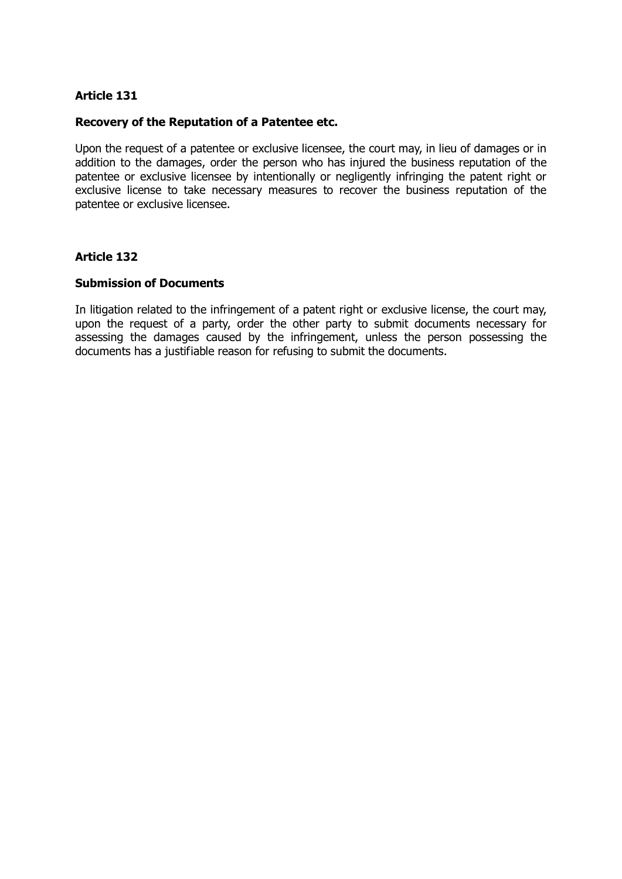#### **Recovery of the Reputation of a Patentee etc.**

Upon the request of a patentee or exclusive licensee, the court may, in lieu of damages or in addition to the damages, order the person who has injured the business reputation of the patentee or exclusive licensee by intentionally or negligently infringing the patent right or exclusive license to take necessary measures to recover the business reputation of the patentee or exclusive licensee.

## **Article 132**

#### **Submission of Documents**

In litigation related to the infringement of a patent right or exclusive license, the court may, upon the request of a party, order the other party to submit documents necessary for assessing the damages caused by the infringement, unless the person possessing the documents has a justifiable reason for refusing to submit the documents.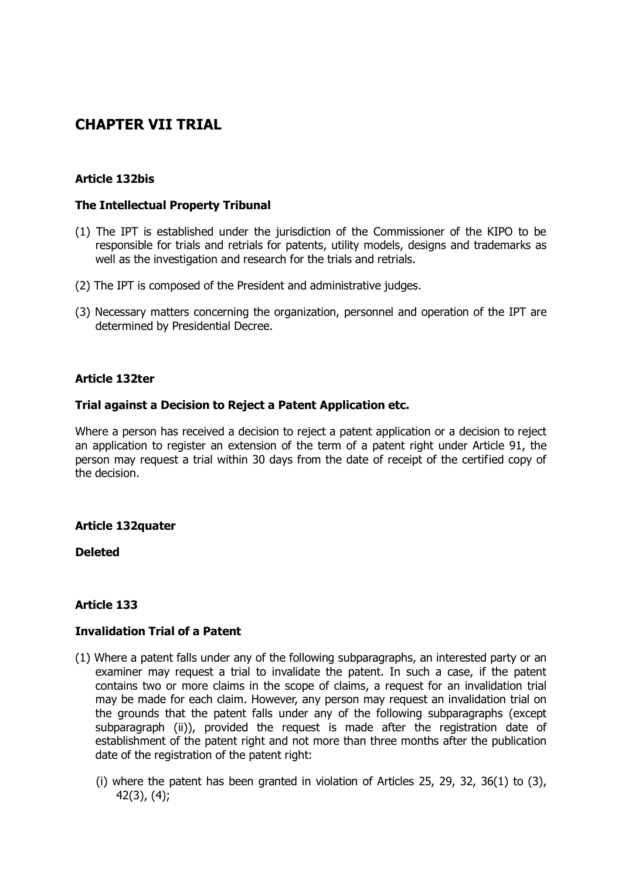# **CHAPTER VII TRIAL**

## **Article 132bis**

## **The Intellectual Property Tribunal**

- (1) The IPT is established under the jurisdiction of the Commissioner of the KIPO to be responsible for trials and retrials for patents, utility models, designs and trademarks as well as the investigation and research for the trials and retrials.
- (2) The IPT is composed of the President and administrative judges.
- (3) Necessary matters concerning the organization, personnel and operation of the IPT are determined by Presidential Decree.

## **Article 132ter**

## **Trial against a Decision to Reject a Patent Application etc.**

Where a person has received a decision to reject a patent application or a decision to reject an application to register an extension of the term of a patent right under Article 91, the person may request a trial within 30 days from the date of receipt of the certified copy of the decision.

## **Article 132quater**

**Deleted**

## **Article 133**

## **Invalidation Trial of a Patent**

- (1) Where a patent falls under any of the following subparagraphs, an interested party or an examiner may request a trial to invalidate the patent. In such a case, if the patent contains two or more claims in the scope of claims, a request for an invalidation trial may be made for each claim. However, any person may request an invalidation trial on the grounds that the patent falls under any of the following subparagraphs (except subparagraph (ii)), provided the request is made after the registration date of establishment of the patent right and not more than three months after the publication date of the registration of the patent right:
	- (i) where the patent has been granted in violation of Articles 25, 29, 32, 36(1) to (3), 42(3), (4);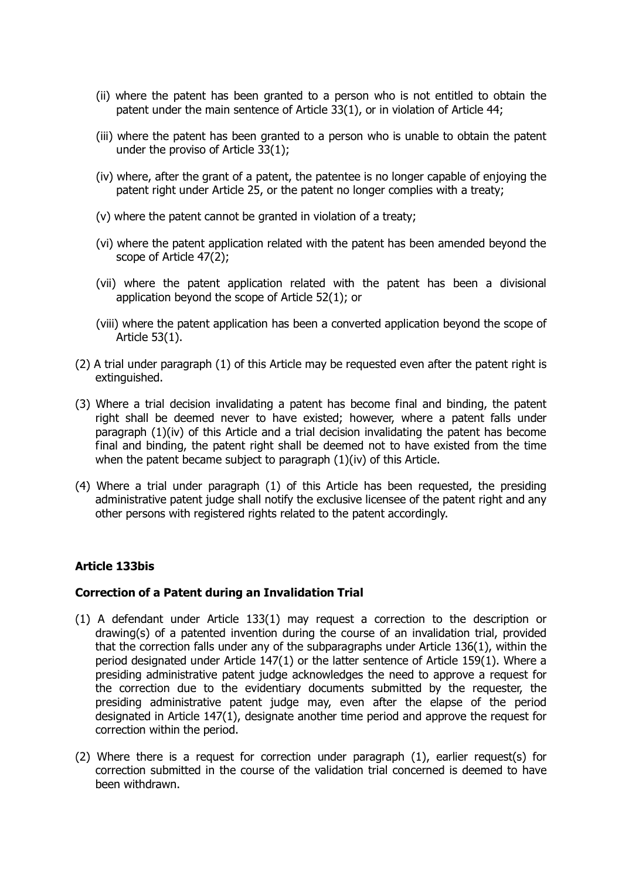- (ii) where the patent has been granted to a person who is not entitled to obtain the patent under the main sentence of Article 33(1), or in violation of Article 44;
- (iii) where the patent has been granted to a person who is unable to obtain the patent under the proviso of Article 33(1);
- (iv) where, after the grant of a patent, the patentee is no longer capable of enjoying the patent right under Article 25, or the patent no longer complies with a treaty;
- (v) where the patent cannot be granted in violation of a treaty;
- (vi) where the patent application related with the patent has been amended beyond the scope of Article 47(2);
- (vii) where the patent application related with the patent has been a divisional application beyond the scope of Article 52(1); or
- (viii) where the patent application has been a converted application beyond the scope of Article 53(1).
- (2) A trial under paragraph (1) of this Article may be requested even after the patent right is extinguished.
- (3) Where a trial decision invalidating a patent has become final and binding, the patent right shall be deemed never to have existed; however, where a patent falls under paragraph (1)(iv) of this Article and a trial decision invalidating the patent has become final and binding, the patent right shall be deemed not to have existed from the time when the patent became subject to paragraph (1)(iv) of this Article.
- (4) Where a trial under paragraph (1) of this Article has been requested, the presiding administrative patent judge shall notify the exclusive licensee of the patent right and any other persons with registered rights related to the patent accordingly.

## **Article 133bis**

## **Correction of a Patent during an Invalidation Trial**

- (1) A defendant under Article 133(1) may request a correction to the description or drawing(s) of a patented invention during the course of an invalidation trial, provided that the correction falls under any of the subparagraphs under Article 136(1), within the period designated under Article 147(1) or the latter sentence of Article 159(1). Where a presiding administrative patent judge acknowledges the need to approve a request for the correction due to the evidentiary documents submitted by the requester, the presiding administrative patent judge may, even after the elapse of the period designated in Article 147(1), designate another time period and approve the request for correction within the period.
- (2) Where there is a request for correction under paragraph (1), earlier request(s) for correction submitted in the course of the validation trial concerned is deemed to have been withdrawn.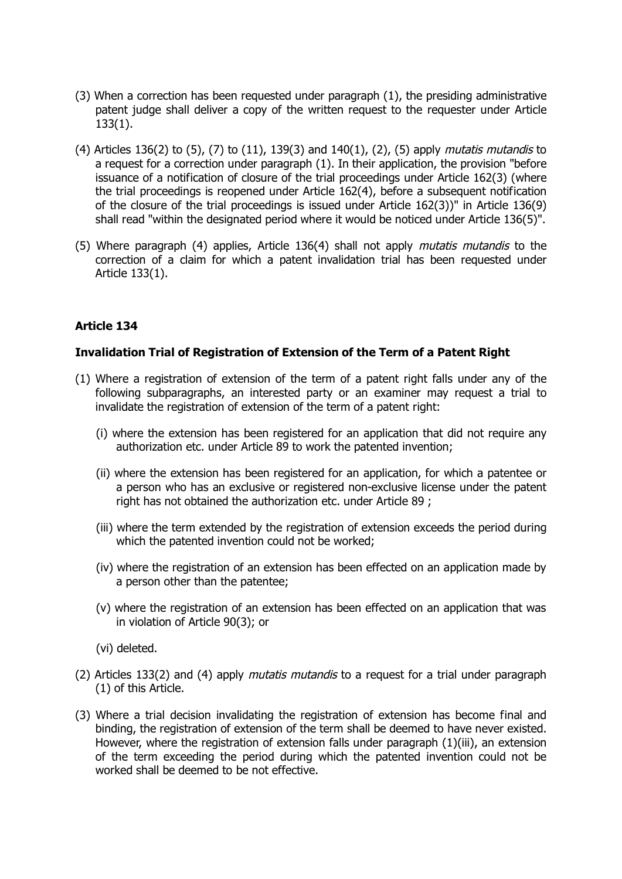- (3) When a correction has been requested under paragraph (1), the presiding administrative patent judge shall deliver a copy of the written request to the requester under Article 133(1).
- (4) Articles 136(2) to (5), (7) to (11), 139(3) and 140(1), (2), (5) apply *mutatis mutandis* to a request for a correction under paragraph (1). In their application, the provision "before issuance of a notification of closure of the trial proceedings under Article 162(3) (where the trial proceedings is reopened under Article 162(4), before a subsequent notification of the closure of the trial proceedings is issued under Article 162(3))" in Article 136(9) shall read "within the designated period where it would be noticed under Article 136(5)".
- (5) Where paragraph (4) applies, Article 136(4) shall not apply mutatis mutandis to the correction of a claim for which a patent invalidation trial has been requested under Article 133(1).

## **Invalidation Trial of Registration of Extension of the Term of a Patent Right**

- (1) Where a registration of extension of the term of a patent right falls under any of the following subparagraphs, an interested party or an examiner may request a trial to invalidate the registration of extension of the term of a patent right:
	- (i) where the extension has been registered for an application that did not require any authorization etc. under Article 89 to work the patented invention;
	- (ii) where the extension has been registered for an application, for which a patentee or a person who has an exclusive or registered non-exclusive license under the patent right has not obtained the authorization etc. under Article 89 ;
	- (iii) where the term extended by the registration of extension exceeds the period during which the patented invention could not be worked;
	- (iv) where the registration of an extension has been effected on an application made by a person other than the patentee;
	- (v) where the registration of an extension has been effected on an application that was in violation of Article 90(3); or
	- (vi) deleted.
- (2) Articles 133(2) and (4) apply mutatis mutandis to a request for a trial under paragraph (1) of this Article.
- (3) Where a trial decision invalidating the registration of extension has become final and binding, the registration of extension of the term shall be deemed to have never existed. However, where the registration of extension falls under paragraph (1)(iii), an extension of the term exceeding the period during which the patented invention could not be worked shall be deemed to be not effective.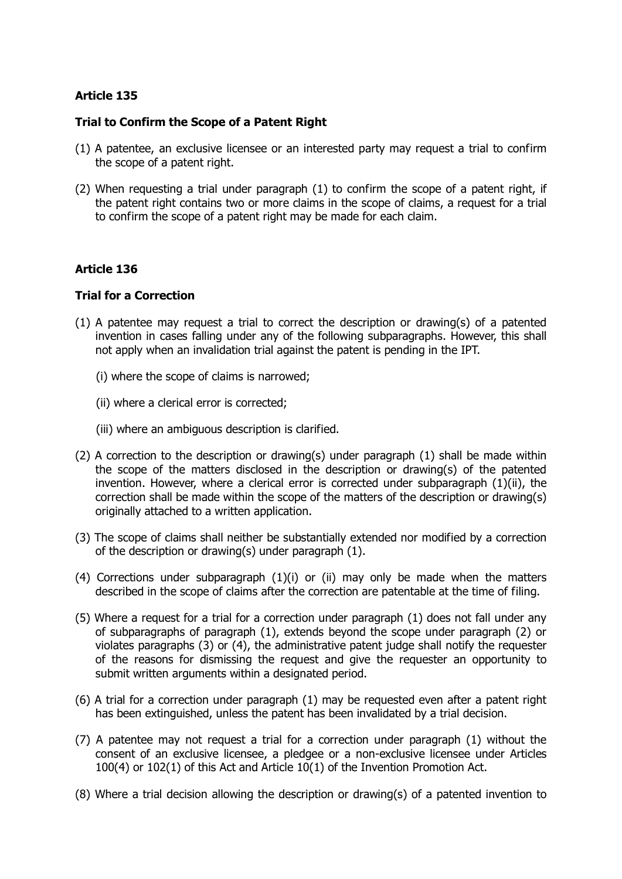## **Trial to Confirm the Scope of a Patent Right**

- (1) A patentee, an exclusive licensee or an interested party may request a trial to confirm the scope of a patent right.
- (2) When requesting a trial under paragraph (1) to confirm the scope of a patent right, if the patent right contains two or more claims in the scope of claims, a request for a trial to confirm the scope of a patent right may be made for each claim.

## **Article 136**

## **Trial for a Correction**

- (1) A patentee may request a trial to correct the description or drawing(s) of a patented invention in cases falling under any of the following subparagraphs. However, this shall not apply when an invalidation trial against the patent is pending in the IPT.
	- (i) where the scope of claims is narrowed;
	- (ii) where a clerical error is corrected;
	- (iii) where an ambiguous description is clarified.
- (2) A correction to the description or drawing(s) under paragraph (1) shall be made within the scope of the matters disclosed in the description or drawing(s) of the patented invention. However, where a clerical error is corrected under subparagraph (1)(ii), the correction shall be made within the scope of the matters of the description or drawing(s) originally attached to a written application.
- (3) The scope of claims shall neither be substantially extended nor modified by a correction of the description or drawing(s) under paragraph (1).
- (4) Corrections under subparagraph (1)(i) or (ii) may only be made when the matters described in the scope of claims after the correction are patentable at the time of filing.
- (5) Where a request for a trial for a correction under paragraph (1) does not fall under any of subparagraphs of paragraph (1), extends beyond the scope under paragraph (2) or violates paragraphs (3) or (4), the administrative patent judge shall notify the requester of the reasons for dismissing the request and give the requester an opportunity to submit written arguments within a designated period.
- (6) A trial for a correction under paragraph (1) may be requested even after a patent right has been extinguished, unless the patent has been invalidated by a trial decision.
- (7) A patentee may not request a trial for a correction under paragraph (1) without the consent of an exclusive licensee, a pledgee or a non-exclusive licensee under Articles 100(4) or 102(1) of this Act and Article 10(1) of the Invention Promotion Act.
- (8) Where a trial decision allowing the description or drawing(s) of a patented invention to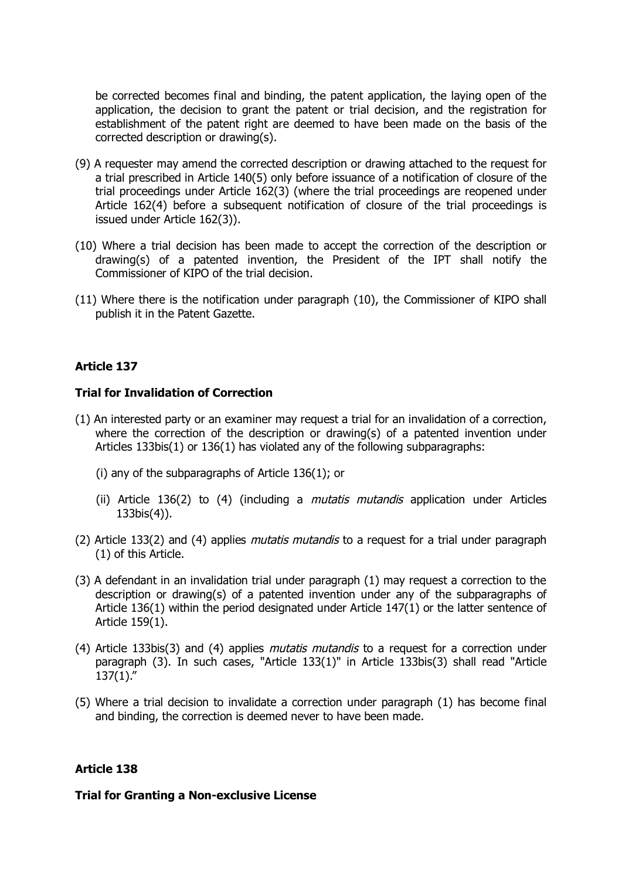be corrected becomes final and binding, the patent application, the laying open of the application, the decision to grant the patent or trial decision, and the registration for establishment of the patent right are deemed to have been made on the basis of the corrected description or drawing(s).

- (9) A requester may amend the corrected description or drawing attached to the request for a trial prescribed in Article 140(5) only before issuance of a notification of closure of the trial proceedings under Article 162(3) (where the trial proceedings are reopened under Article 162(4) before a subsequent notification of closure of the trial proceedings is issued under Article 162(3)).
- (10) Where a trial decision has been made to accept the correction of the description or drawing(s) of a patented invention, the President of the IPT shall notify the Commissioner of KIPO of the trial decision.
- (11) Where there is the notification under paragraph (10), the Commissioner of KIPO shall publish it in the Patent Gazette.

## **Article 137**

#### **Trial for Invalidation of Correction**

- (1) An interested party or an examiner may request a trial for an invalidation of a correction, where the correction of the description or drawing(s) of a patented invention under Articles 133bis(1) or 136(1) has violated any of the following subparagraphs:
	- (i) any of the subparagraphs of Article 136(1); or
	- (ii) Article 136(2) to (4) (including a mutatis mutandis application under Articles 133bis(4)).
- (2) Article 133(2) and (4) applies *mutatis mutandis* to a request for a trial under paragraph (1) of this Article.
- (3) A defendant in an invalidation trial under paragraph (1) may request a correction to the description or drawing(s) of a patented invention under any of the subparagraphs of Article 136(1) within the period designated under Article 147(1) or the latter sentence of Article 159(1).
- (4) Article 133bis(3) and (4) applies *mutatis mutandis* to a request for a correction under paragraph (3). In such cases, "Article 133(1)" in Article 133bis(3) shall read "Article  $137(1)$ ."
- (5) Where a trial decision to invalidate a correction under paragraph (1) has become final and binding, the correction is deemed never to have been made.

## **Article 138**

#### **Trial for Granting a Non-exclusive License**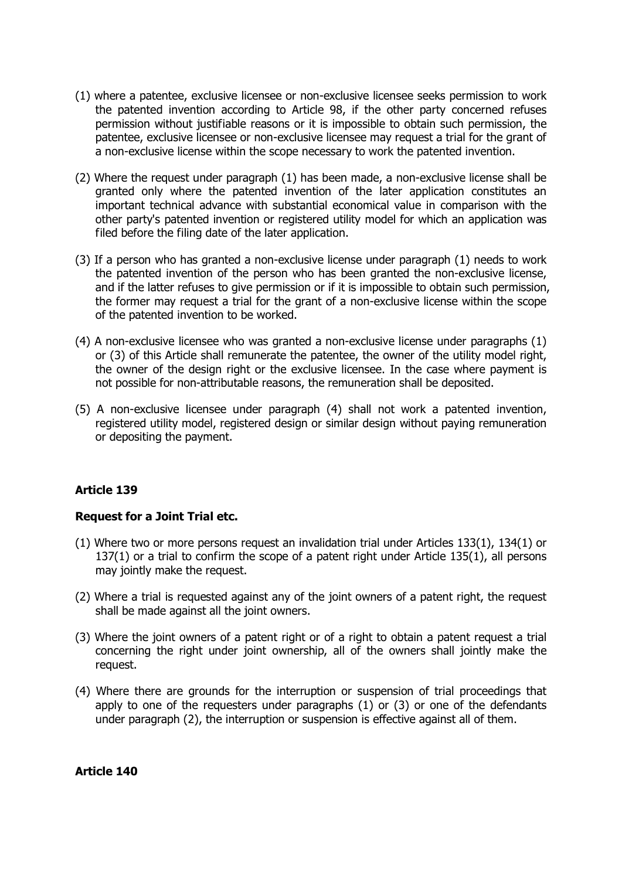- (1) where a patentee, exclusive licensee or non-exclusive licensee seeks permission to work the patented invention according to Article 98, if the other party concerned refuses permission without justifiable reasons or it is impossible to obtain such permission, the patentee, exclusive licensee or non-exclusive licensee may request a trial for the grant of a non-exclusive license within the scope necessary to work the patented invention.
- (2) Where the request under paragraph (1) has been made, a non-exclusive license shall be granted only where the patented invention of the later application constitutes an important technical advance with substantial economical value in comparison with the other party's patented invention or registered utility model for which an application was filed before the filing date of the later application.
- (3) If a person who has granted a non-exclusive license under paragraph (1) needs to work the patented invention of the person who has been granted the non-exclusive license, and if the latter refuses to give permission or if it is impossible to obtain such permission, the former may request a trial for the grant of a non-exclusive license within the scope of the patented invention to be worked.
- (4) A non-exclusive licensee who was granted a non-exclusive license under paragraphs (1) or (3) of this Article shall remunerate the patentee, the owner of the utility model right, the owner of the design right or the exclusive licensee. In the case where payment is not possible for non-attributable reasons, the remuneration shall be deposited.
- (5) A non-exclusive licensee under paragraph (4) shall not work a patented invention, registered utility model, registered design or similar design without paying remuneration or depositing the payment.

## **Request for a Joint Trial etc.**

- (1) Where two or more persons request an invalidation trial under Articles 133(1), 134(1) or 137(1) or a trial to confirm the scope of a patent right under Article 135(1), all persons may jointly make the request.
- (2) Where a trial is requested against any of the joint owners of a patent right, the request shall be made against all the joint owners.
- (3) Where the joint owners of a patent right or of a right to obtain a patent request a trial concerning the right under joint ownership, all of the owners shall jointly make the request.
- (4) Where there are grounds for the interruption or suspension of trial proceedings that apply to one of the requesters under paragraphs (1) or (3) or one of the defendants under paragraph (2), the interruption or suspension is effective against all of them.

## **Article 140**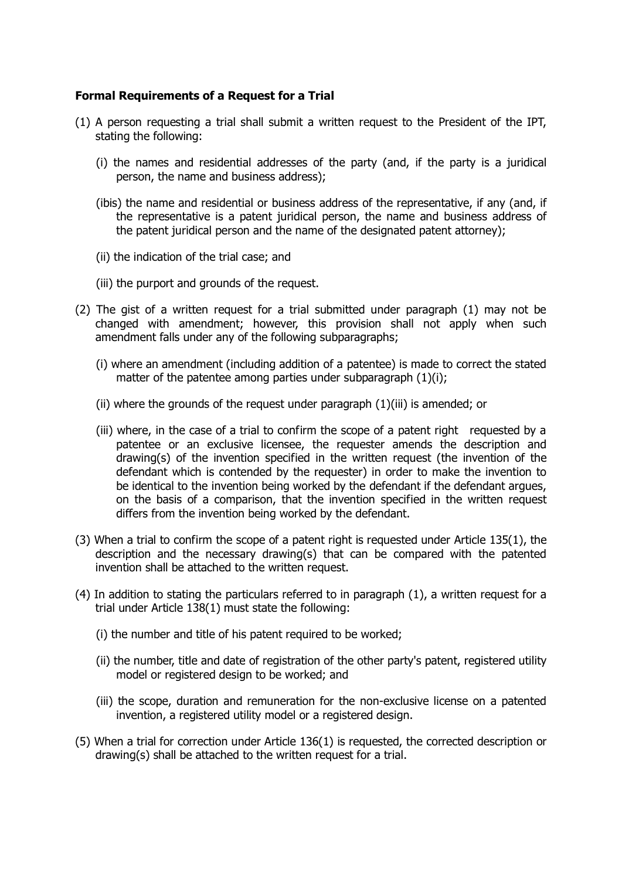## **Formal Requirements of a Request for a Trial**

- (1) A person requesting a trial shall submit a written request to the President of the IPT, stating the following:
	- (i) the names and residential addresses of the party (and, if the party is a juridical person, the name and business address);
	- (ibis) the name and residential or business address of the representative, if any (and, if the representative is a patent juridical person, the name and business address of the patent juridical person and the name of the designated patent attorney);
	- (ii) the indication of the trial case; and
	- (iii) the purport and grounds of the request.
- (2) The gist of a written request for a trial submitted under paragraph (1) may not be changed with amendment; however, this provision shall not apply when such amendment falls under any of the following subparagraphs;
	- (i) where an amendment (including addition of a patentee) is made to correct the stated matter of the patentee among parties under subparagraph (1)(i);
	- (ii) where the grounds of the request under paragraph (1)(iii) is amended; or
	- (iii) where, in the case of a trial to confirm the scope of a patent right requested by a patentee or an exclusive licensee, the requester amends the description and drawing(s) of the invention specified in the written request (the invention of the defendant which is contended by the requester) in order to make the invention to be identical to the invention being worked by the defendant if the defendant argues, on the basis of a comparison, that the invention specified in the written request differs from the invention being worked by the defendant.
- (3) When a trial to confirm the scope of a patent right is requested under Article 135(1), the description and the necessary drawing(s) that can be compared with the patented invention shall be attached to the written request.
- (4) In addition to stating the particulars referred to in paragraph (1), a written request for a trial under Article 138(1) must state the following:
	- (i) the number and title of his patent required to be worked;
	- (ii) the number, title and date of registration of the other party's patent, registered utility model or registered design to be worked; and
	- (iii) the scope, duration and remuneration for the non-exclusive license on a patented invention, a registered utility model or a registered design.
- (5) When a trial for correction under Article 136(1) is requested, the corrected description or drawing(s) shall be attached to the written request for a trial.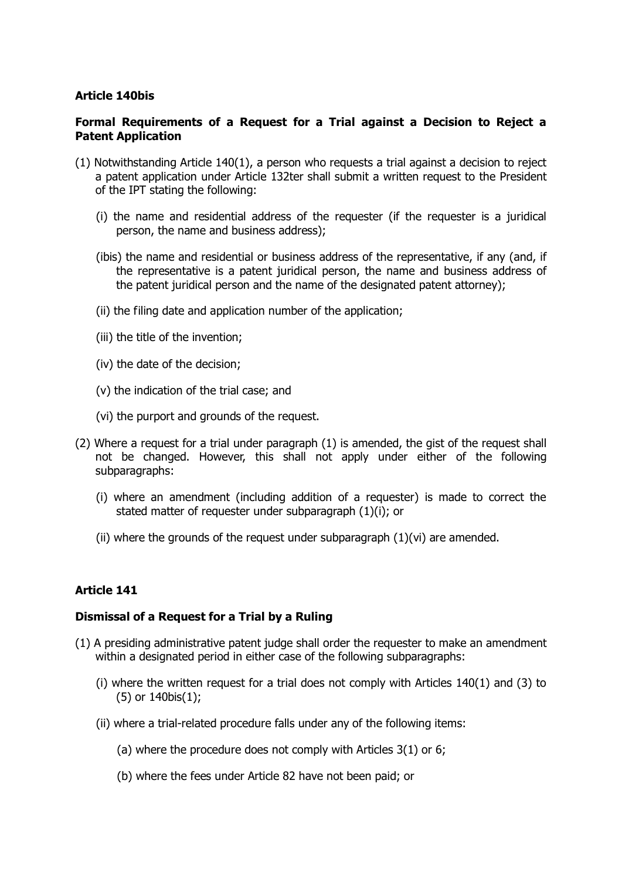## **Article 140bis**

## **Formal Requirements of a Request for a Trial against a Decision to Reject a Patent Application**

- (1) Notwithstanding Article 140(1), a person who requests a trial against a decision to reject a patent application under Article 132ter shall submit a written request to the President of the IPT stating the following:
	- (i) the name and residential address of the requester (if the requester is a juridical person, the name and business address);
	- (ibis) the name and residential or business address of the representative, if any (and, if the representative is a patent juridical person, the name and business address of the patent juridical person and the name of the designated patent attorney);
	- (ii) the filing date and application number of the application;
	- (iii) the title of the invention;
	- (iv) the date of the decision;
	- (v) the indication of the trial case; and
	- (vi) the purport and grounds of the request.
- (2) Where a request for a trial under paragraph (1) is amended, the gist of the request shall not be changed. However, this shall not apply under either of the following subparagraphs:
	- (i) where an amendment (including addition of a requester) is made to correct the stated matter of requester under subparagraph (1)(i); or
	- (ii) where the grounds of the request under subparagraph  $(1)(vi)$  are amended.

## **Article 141**

## **Dismissal of a Request for a Trial by a Ruling**

- (1) A presiding administrative patent judge shall order the requester to make an amendment within a designated period in either case of the following subparagraphs:
	- (i) where the written request for a trial does not comply with Articles 140(1) and (3) to (5) or 140bis(1);
	- (ii) where a trial-related procedure falls under any of the following items:
		- (a) where the procedure does not comply with Articles 3(1) or 6;
		- (b) where the fees under Article 82 have not been paid; or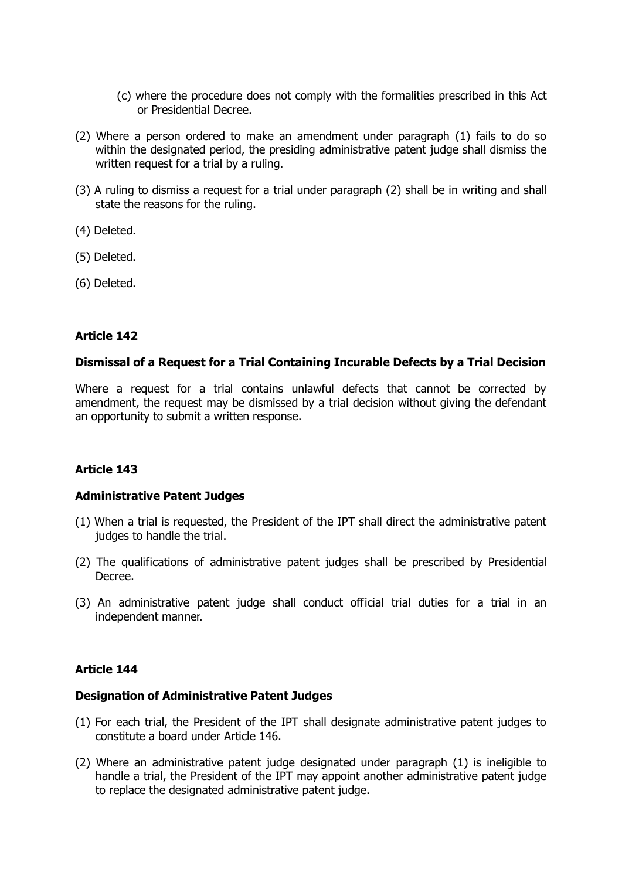- (c) where the procedure does not comply with the formalities prescribed in this Act or Presidential Decree.
- (2) Where a person ordered to make an amendment under paragraph (1) fails to do so within the designated period, the presiding administrative patent judge shall dismiss the written request for a trial by a ruling.
- (3) A ruling to dismiss a request for a trial under paragraph (2) shall be in writing and shall state the reasons for the ruling.
- (4) Deleted.
- (5) Deleted.
- (6) Deleted.

## **Dismissal of a Request for a Trial Containing Incurable Defects by a Trial Decision**

Where a request for a trial contains unlawful defects that cannot be corrected by amendment, the request may be dismissed by a trial decision without giving the defendant an opportunity to submit a written response.

## **Article 143**

## **Administrative Patent Judges**

- (1) When a trial is requested, the President of the IPT shall direct the administrative patent judges to handle the trial.
- (2) The qualifications of administrative patent judges shall be prescribed by Presidential Decree.
- (3) An administrative patent judge shall conduct official trial duties for a trial in an independent manner.

## **Article 144**

## **Designation of Administrative Patent Judges**

- (1) For each trial, the President of the IPT shall designate administrative patent judges to constitute a board under Article 146.
- (2) Where an administrative patent judge designated under paragraph (1) is ineligible to handle a trial, the President of the IPT may appoint another administrative patent judge to replace the designated administrative patent judge.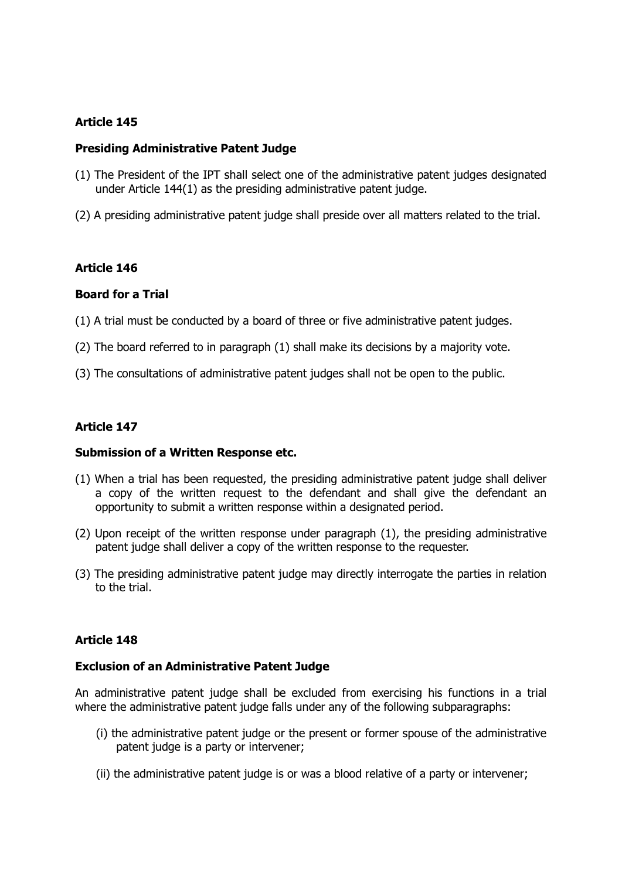#### **Presiding Administrative Patent Judge**

- (1) The President of the IPT shall select one of the administrative patent judges designated under Article 144(1) as the presiding administrative patent judge.
- (2) A presiding administrative patent judge shall preside over all matters related to the trial.

## **Article 146**

#### **Board for a Trial**

- (1) A trial must be conducted by a board of three or five administrative patent judges.
- (2) The board referred to in paragraph (1) shall make its decisions by a majority vote.
- (3) The consultations of administrative patent judges shall not be open to the public.

## **Article 147**

#### **Submission of a Written Response etc.**

- (1) When a trial has been requested, the presiding administrative patent judge shall deliver a copy of the written request to the defendant and shall give the defendant an opportunity to submit a written response within a designated period.
- (2) Upon receipt of the written response under paragraph (1), the presiding administrative patent judge shall deliver a copy of the written response to the requester.
- (3) The presiding administrative patent judge may directly interrogate the parties in relation to the trial.

## **Article 148**

#### **Exclusion of an Administrative Patent Judge**

An administrative patent judge shall be excluded from exercising his functions in a trial where the administrative patent judge falls under any of the following subparagraphs:

- (i) the administrative patent judge or the present or former spouse of the administrative patent judge is a party or intervener;
- (ii) the administrative patent judge is or was a blood relative of a party or intervener;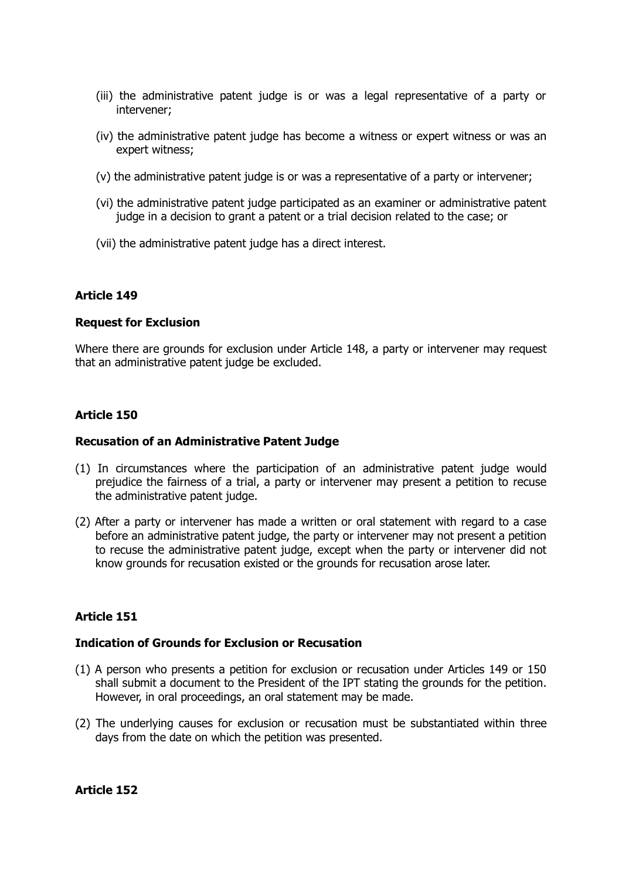- (iii) the administrative patent judge is or was a legal representative of a party or intervener;
- (iv) the administrative patent judge has become a witness or expert witness or was an expert witness;
- (v) the administrative patent judge is or was a representative of a party or intervener;
- (vi) the administrative patent judge participated as an examiner or administrative patent judge in a decision to grant a patent or a trial decision related to the case; or
- (vii) the administrative patent judge has a direct interest.

## **Request for Exclusion**

Where there are grounds for exclusion under Article 148, a party or intervener may request that an administrative patent judge be excluded.

## **Article 150**

#### **Recusation of an Administrative Patent Judge**

- (1) In circumstances where the participation of an administrative patent judge would prejudice the fairness of a trial, a party or intervener may present a petition to recuse the administrative patent judge.
- (2) After a party or intervener has made a written or oral statement with regard to a case before an administrative patent judge, the party or intervener may not present a petition to recuse the administrative patent judge, except when the party or intervener did not know grounds for recusation existed or the grounds for recusation arose later.

## **Article 151**

#### **Indication of Grounds for Exclusion or Recusation**

- (1) A person who presents a petition for exclusion or recusation under Articles 149 or 150 shall submit a document to the President of the IPT stating the grounds for the petition. However, in oral proceedings, an oral statement may be made.
- (2) The underlying causes for exclusion or recusation must be substantiated within three days from the date on which the petition was presented.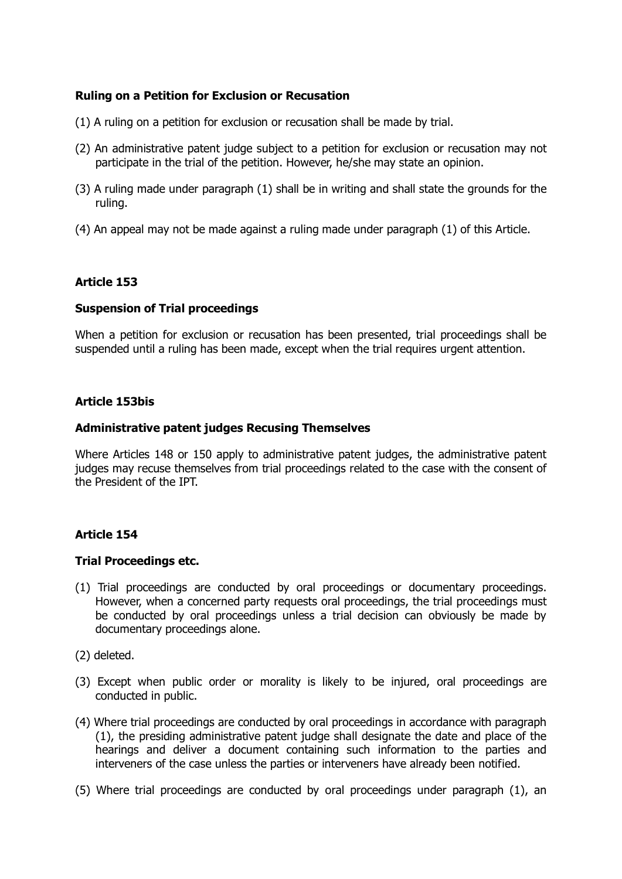## **Ruling on a Petition for Exclusion or Recusation**

- (1) A ruling on a petition for exclusion or recusation shall be made by trial.
- (2) An administrative patent judge subject to a petition for exclusion or recusation may not participate in the trial of the petition. However, he/she may state an opinion.
- (3) A ruling made under paragraph (1) shall be in writing and shall state the grounds for the ruling.
- (4) An appeal may not be made against a ruling made under paragraph (1) of this Article.

## **Article 153**

## **Suspension of Trial proceedings**

When a petition for exclusion or recusation has been presented, trial proceedings shall be suspended until a ruling has been made, except when the trial requires urgent attention.

## **Article 153bis**

## **Administrative patent judges Recusing Themselves**

Where Articles 148 or 150 apply to administrative patent judges, the administrative patent judges may recuse themselves from trial proceedings related to the case with the consent of the President of the IPT.

## **Article 154**

## **Trial Proceedings etc.**

- (1) Trial proceedings are conducted by oral proceedings or documentary proceedings. However, when a concerned party requests oral proceedings, the trial proceedings must be conducted by oral proceedings unless a trial decision can obviously be made by documentary proceedings alone.
- (2) deleted.
- (3) Except when public order or morality is likely to be injured, oral proceedings are conducted in public.
- (4) Where trial proceedings are conducted by oral proceedings in accordance with paragraph (1), the presiding administrative patent judge shall designate the date and place of the hearings and deliver a document containing such information to the parties and interveners of the case unless the parties or interveners have already been notified.
- (5) Where trial proceedings are conducted by oral proceedings under paragraph (1), an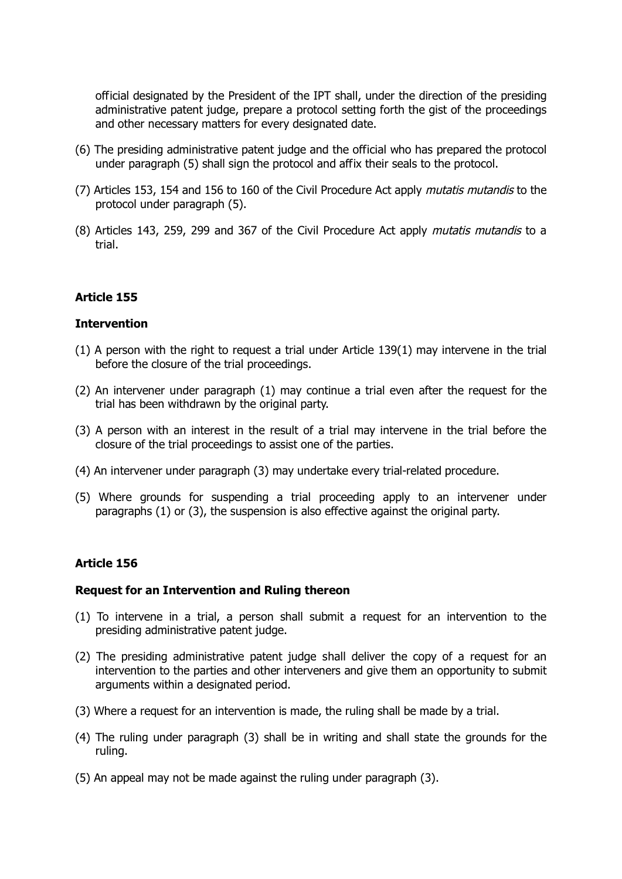official designated by the President of the IPT shall, under the direction of the presiding administrative patent judge, prepare a protocol setting forth the gist of the proceedings and other necessary matters for every designated date.

- (6) The presiding administrative patent judge and the official who has prepared the protocol under paragraph (5) shall sign the protocol and affix their seals to the protocol.
- (7) Articles 153, 154 and 156 to 160 of the Civil Procedure Act apply *mutatis mutandis* to the protocol under paragraph (5).
- (8) Articles 143, 259, 299 and 367 of the Civil Procedure Act apply mutatis mutandis to a trial.

### **Article 155**

#### **Intervention**

- $(1)$  A person with the right to request a trial under Article 139 $(1)$  may intervene in the trial before the closure of the trial proceedings.
- (2) An intervener under paragraph (1) may continue a trial even after the request for the trial has been withdrawn by the original party.
- (3) A person with an interest in the result of a trial may intervene in the trial before the closure of the trial proceedings to assist one of the parties.
- (4) An intervener under paragraph (3) may undertake every trial-related procedure.
- (5) Where grounds for suspending a trial proceeding apply to an intervener under paragraphs (1) or (3), the suspension is also effective against the original party.

### **Article 156**

#### **Request for an Intervention and Ruling thereon**

- (1) To intervene in a trial, a person shall submit a request for an intervention to the presiding administrative patent judge.
- (2) The presiding administrative patent judge shall deliver the copy of a request for an intervention to the parties and other interveners and give them an opportunity to submit arguments within a designated period.
- (3) Where a request for an intervention is made, the ruling shall be made by a trial.
- (4) The ruling under paragraph (3) shall be in writing and shall state the grounds for the ruling.
- (5) An appeal may not be made against the ruling under paragraph (3).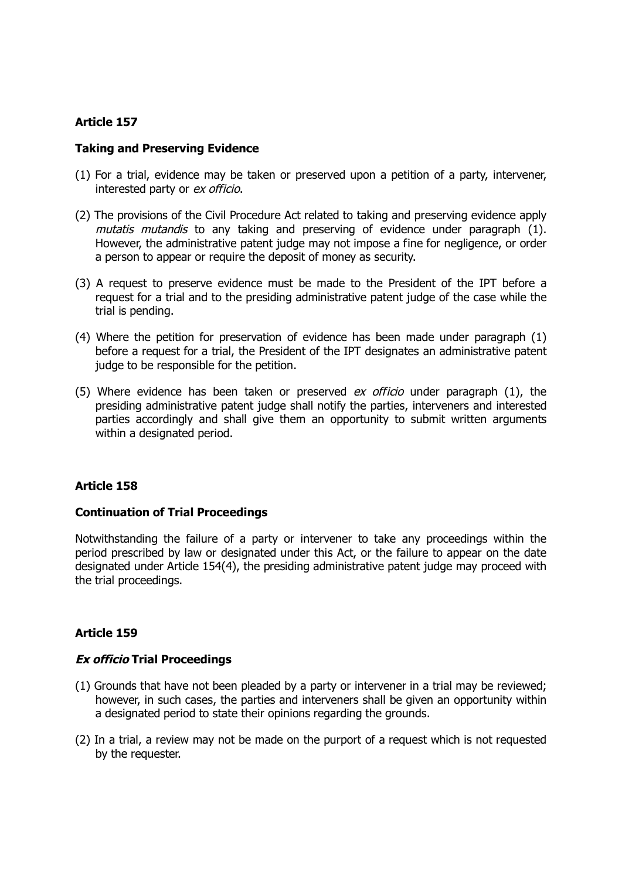### **Taking and Preserving Evidence**

- (1) For a trial, evidence may be taken or preserved upon a petition of a party, intervener, interested party or ex officio.
- (2) The provisions of the Civil Procedure Act related to taking and preserving evidence apply mutatis mutandis to any taking and preserving of evidence under paragraph (1). However, the administrative patent judge may not impose a fine for negligence, or order a person to appear or require the deposit of money as security.
- (3) A request to preserve evidence must be made to the President of the IPT before a request for a trial and to the presiding administrative patent judge of the case while the trial is pending.
- (4) Where the petition for preservation of evidence has been made under paragraph (1) before a request for a trial, the President of the IPT designates an administrative patent judge to be responsible for the petition.
- (5) Where evidence has been taken or preserved  $ex$  officio under paragraph (1), the presiding administrative patent judge shall notify the parties, interveners and interested parties accordingly and shall give them an opportunity to submit written arguments within a designated period.

# **Article 158**

### **Continuation of Trial Proceedings**

Notwithstanding the failure of a party or intervener to take any proceedings within the period prescribed by law or designated under this Act, or the failure to appear on the date designated under Article 154(4), the presiding administrative patent judge may proceed with the trial proceedings.

# **Article 159**

### **Ex officio Trial Proceedings**

- (1) Grounds that have not been pleaded by a party or intervener in a trial may be reviewed; however, in such cases, the parties and interveners shall be given an opportunity within a designated period to state their opinions regarding the grounds.
- (2) In a trial, a review may not be made on the purport of a request which is not requested by the requester.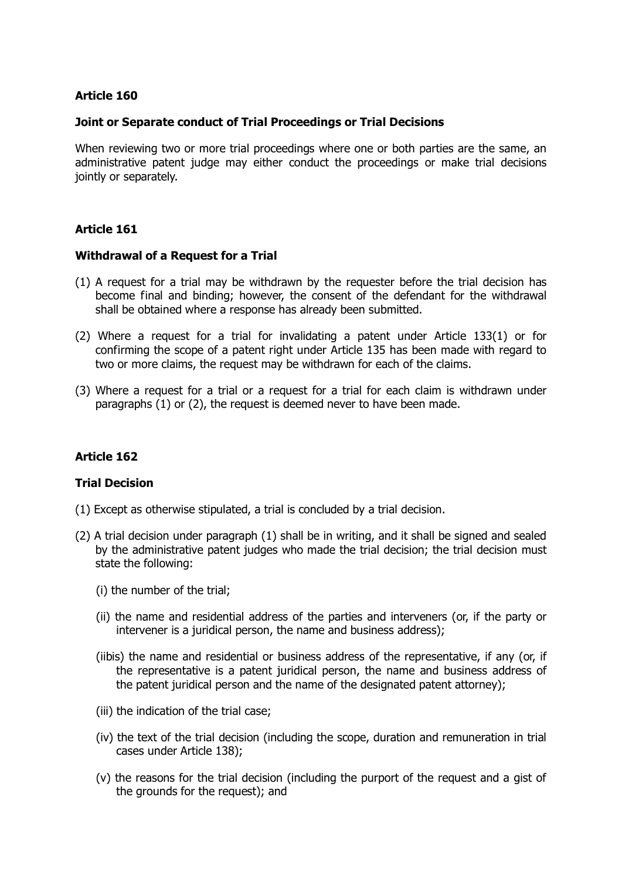### **Joint or Separate conduct of Trial Proceedings or Trial Decisions**

When reviewing two or more trial proceedings where one or both parties are the same, an administrative patent judge may either conduct the proceedings or make trial decisions jointly or separately.

### **Article 161**

#### **Withdrawal of a Request for a Trial**

- (1) A request for a trial may be withdrawn by the requester before the trial decision has become final and binding; however, the consent of the defendant for the withdrawal shall be obtained where a response has already been submitted.
- (2) Where a request for a trial for invalidating a patent under Article 133(1) or for confirming the scope of a patent right under Article 135 has been made with regard to two or more claims, the request may be withdrawn for each of the claims.
- (3) Where a request for a trial or a request for a trial for each claim is withdrawn under paragraphs (1) or (2), the request is deemed never to have been made.

### **Article 162**

### **Trial Decision**

- (1) Except as otherwise stipulated, a trial is concluded by a trial decision.
- (2) A trial decision under paragraph (1) shall be in writing, and it shall be signed and sealed by the administrative patent judges who made the trial decision; the trial decision must state the following:
	- (i) the number of the trial;
	- (ii) the name and residential address of the parties and interveners (or, if the party or intervener is a juridical person, the name and business address);
	- (iibis) the name and residential or business address of the representative, if any (or, if the representative is a patent juridical person, the name and business address of the patent juridical person and the name of the designated patent attorney);
	- (iii) the indication of the trial case;
	- (iv) the text of the trial decision (including the scope, duration and remuneration in trial cases under Article 138);
	- (v) the reasons for the trial decision (including the purport of the request and a gist of the grounds for the request); and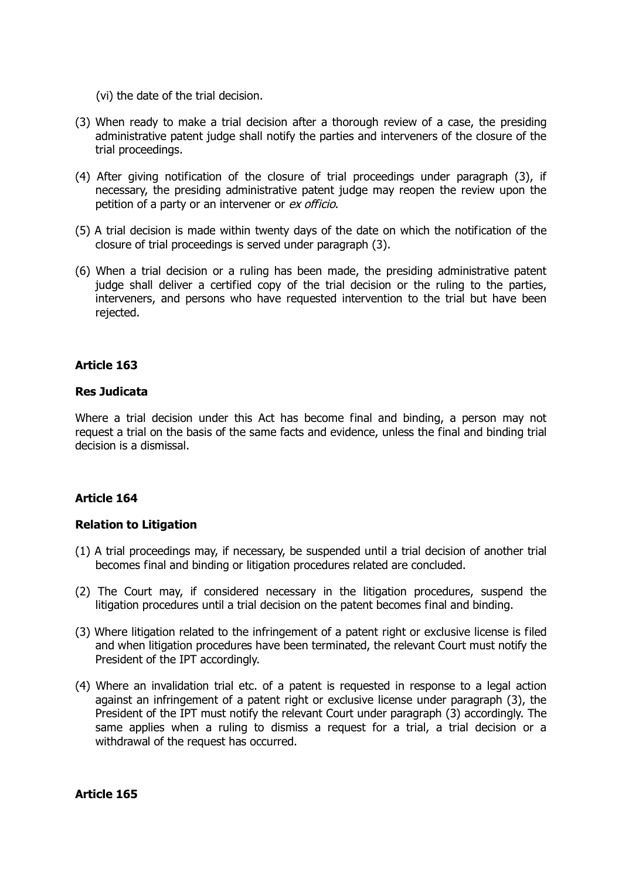- (vi) the date of the trial decision.
- (3) When ready to make a trial decision after a thorough review of a case, the presiding administrative patent judge shall notify the parties and interveners of the closure of the trial proceedings.
- (4) After giving notification of the closure of trial proceedings under paragraph (3), if necessary, the presiding administrative patent judge may reopen the review upon the petition of a party or an intervener or ex officio.
- (5) A trial decision is made within twenty days of the date on which the notification of the closure of trial proceedings is served under paragraph (3).
- (6) When a trial decision or a ruling has been made, the presiding administrative patent judge shall deliver a certified copy of the trial decision or the ruling to the parties, interveners, and persons who have requested intervention to the trial but have been rejected.

### **Res Judicata**

Where a trial decision under this Act has become final and binding, a person may not request a trial on the basis of the same facts and evidence, unless the final and binding trial decision is a dismissal.

### **Article 164**

#### **Relation to Litigation**

- (1) A trial proceedings may, if necessary, be suspended until a trial decision of another trial becomes final and binding or litigation procedures related are concluded.
- (2) The Court may, if considered necessary in the litigation procedures, suspend the litigation procedures until a trial decision on the patent becomes final and binding.
- (3) Where litigation related to the infringement of a patent right or exclusive license is filed and when litigation procedures have been terminated, the relevant Court must notify the President of the IPT accordingly.
- (4) Where an invalidation trial etc. of a patent is requested in response to a legal action against an infringement of a patent right or exclusive license under paragraph (3), the President of the IPT must notify the relevant Court under paragraph (3) accordingly. The same applies when a ruling to dismiss a request for a trial, a trial decision or a withdrawal of the request has occurred.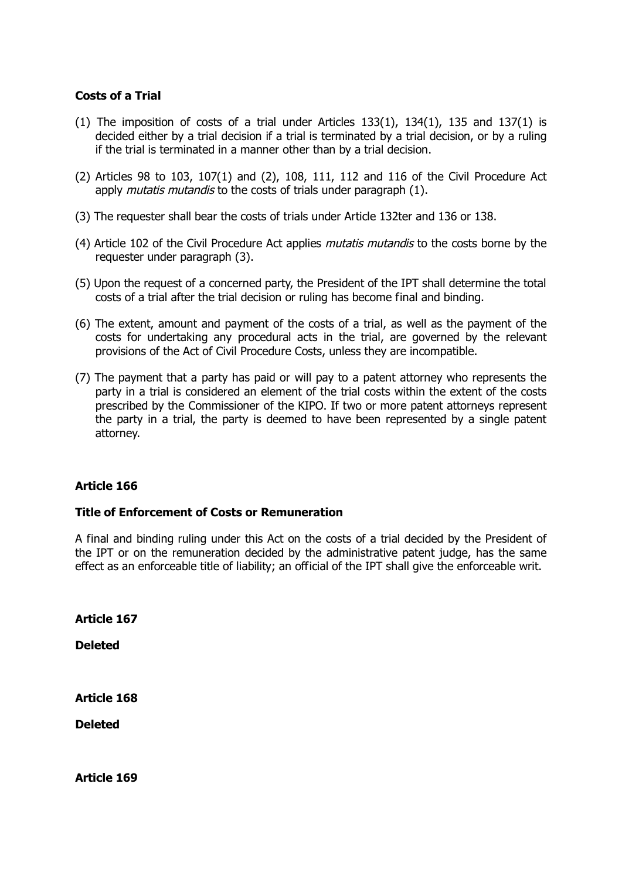### **Costs of a Trial**

- (1) The imposition of costs of a trial under Articles  $133(1)$ ,  $134(1)$ ,  $135$  and  $137(1)$  is decided either by a trial decision if a trial is terminated by a trial decision, or by a ruling if the trial is terminated in a manner other than by a trial decision.
- (2) Articles 98 to 103, 107(1) and (2), 108, 111, 112 and 116 of the Civil Procedure Act apply *mutatis mutandis* to the costs of trials under paragraph (1).
- (3) The requester shall bear the costs of trials under Article 132ter and 136 or 138.
- (4) Article 102 of the Civil Procedure Act applies *mutatis mutandis* to the costs borne by the requester under paragraph (3).
- (5) Upon the request of a concerned party, the President of the IPT shall determine the total costs of a trial after the trial decision or ruling has become final and binding.
- (6) The extent, amount and payment of the costs of a trial, as well as the payment of the costs for undertaking any procedural acts in the trial, are governed by the relevant provisions of the Act of Civil Procedure Costs, unless they are incompatible.
- (7) The payment that a party has paid or will pay to a patent attorney who represents the party in a trial is considered an element of the trial costs within the extent of the costs prescribed by the Commissioner of the KIPO. If two or more patent attorneys represent the party in a trial, the party is deemed to have been represented by a single patent attorney.

### **Article 166**

### **Title of Enforcement of Costs or Remuneration**

A final and binding ruling under this Act on the costs of a trial decided by the President of the IPT or on the remuneration decided by the administrative patent judge, has the same effect as an enforceable title of liability; an official of the IPT shall give the enforceable writ.

**Article 167**

**Deleted**

**Article 168**

**Deleted**

**Article 169**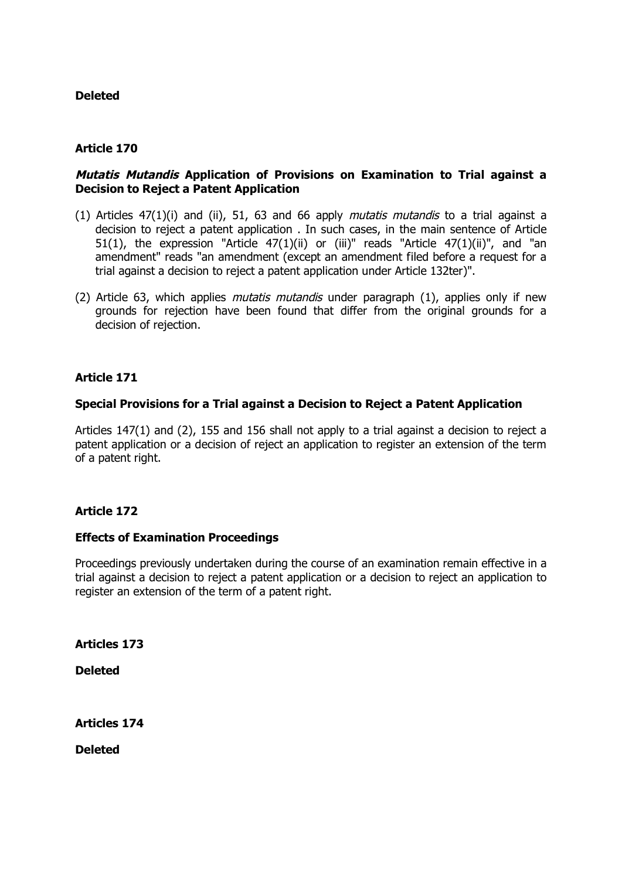# **Deleted**

# **Article 170**

# **Mutatis Mutandis Application of Provisions on Examination to Trial against a Decision to Reject a Patent Application**

- (1) Articles  $47(1)(i)$  and (ii), 51, 63 and 66 apply *mutatis mutandis* to a trial against a decision to reject a patent application . In such cases, in the main sentence of Article 51(1), the expression "Article  $47(1)(ii)$  or (iii)" reads "Article  $47(1)(ii)$ ", and "an amendment" reads "an amendment (except an amendment filed before a request for a trial against a decision to reject a patent application under Article 132ter)".
- (2) Article 63, which applies *mutatis mutandis* under paragraph  $(1)$ , applies only if new grounds for rejection have been found that differ from the original grounds for a decision of rejection.

# **Article 171**

### **Special Provisions for a Trial against a Decision to Reject a Patent Application**

Articles 147(1) and (2), 155 and 156 shall not apply to a trial against a decision to reject a patent application or a decision of reject an application to register an extension of the term of a patent right.

# **Article 172**

# **Effects of Examination Proceedings**

Proceedings previously undertaken during the course of an examination remain effective in a trial against a decision to reject a patent application or a decision to reject an application to register an extension of the term of a patent right.

**Articles 173**

**Deleted**

**Articles 174**

**Deleted**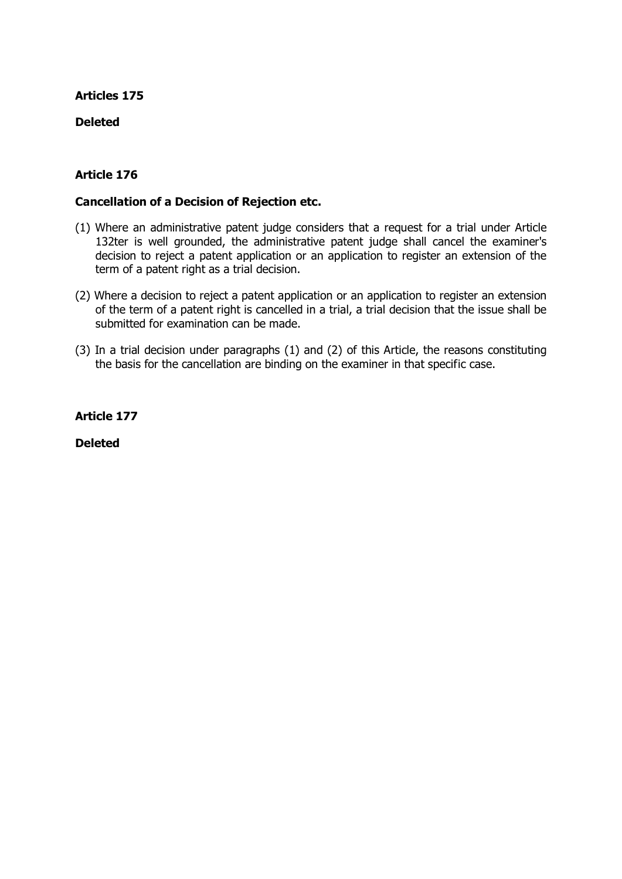# **Deleted**

# **Article 176**

### **Cancellation of a Decision of Rejection etc.**

- (1) Where an administrative patent judge considers that a request for a trial under Article 132ter is well grounded, the administrative patent judge shall cancel the examiner's decision to reject a patent application or an application to register an extension of the term of a patent right as a trial decision.
- (2) Where a decision to reject a patent application or an application to register an extension of the term of a patent right is cancelled in a trial, a trial decision that the issue shall be submitted for examination can be made.
- (3) In a trial decision under paragraphs (1) and (2) of this Article, the reasons constituting the basis for the cancellation are binding on the examiner in that specific case.

**Article 177**

**Deleted**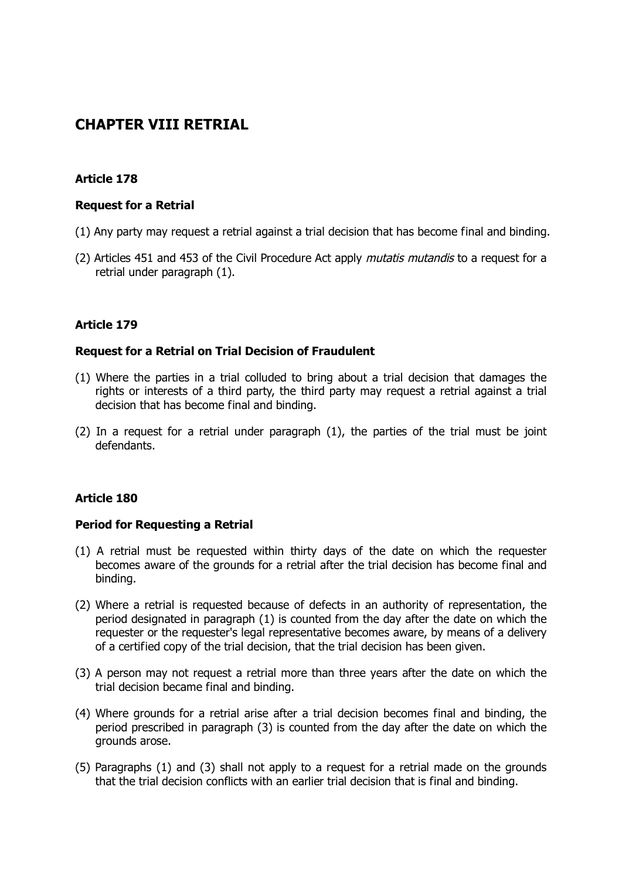# **CHAPTER VIII RETRIAL**

# **Article 178**

### **Request for a Retrial**

- (1) Any party may request a retrial against a trial decision that has become final and binding.
- (2) Articles 451 and 453 of the Civil Procedure Act apply *mutatis mutandis* to a request for a retrial under paragraph (1).

### **Article 179**

### **Request for a Retrial on Trial Decision of Fraudulent**

- (1) Where the parties in a trial colluded to bring about a trial decision that damages the rights or interests of a third party, the third party may request a retrial against a trial decision that has become final and binding.
- (2) In a request for a retrial under paragraph (1), the parties of the trial must be joint defendants.

### **Article 180**

### **Period for Requesting a Retrial**

- (1) A retrial must be requested within thirty days of the date on which the requester becomes aware of the grounds for a retrial after the trial decision has become final and binding.
- (2) Where a retrial is requested because of defects in an authority of representation, the period designated in paragraph (1) is counted from the day after the date on which the requester or the requester's legal representative becomes aware, by means of a delivery of a certified copy of the trial decision, that the trial decision has been given.
- (3) A person may not request a retrial more than three years after the date on which the trial decision became final and binding.
- (4) Where grounds for a retrial arise after a trial decision becomes final and binding, the period prescribed in paragraph (3) is counted from the day after the date on which the grounds arose.
- (5) Paragraphs (1) and (3) shall not apply to a request for a retrial made on the grounds that the trial decision conflicts with an earlier trial decision that is final and binding.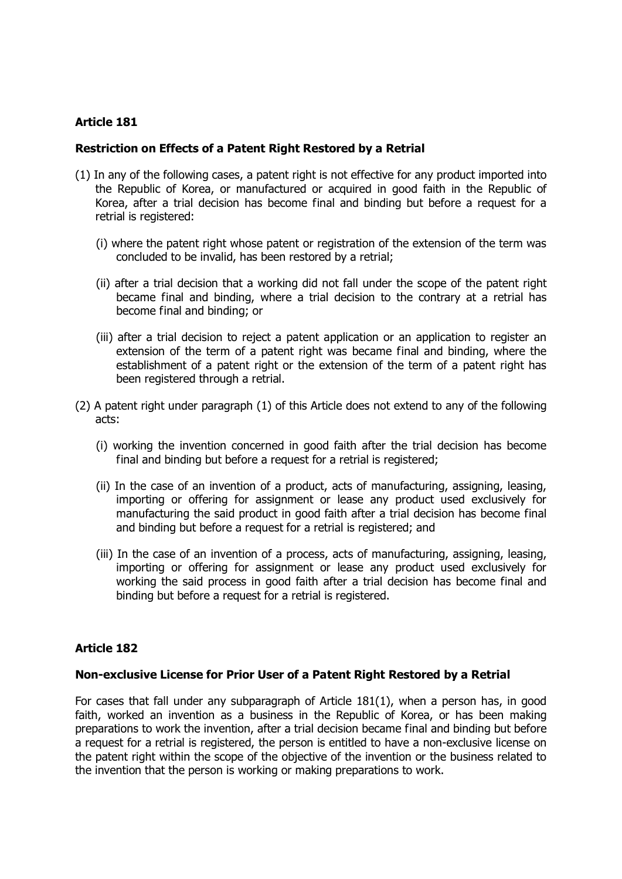### **Restriction on Effects of a Patent Right Restored by a Retrial**

- (1) In any of the following cases, a patent right is not effective for any product imported into the Republic of Korea, or manufactured or acquired in good faith in the Republic of Korea, after a trial decision has become final and binding but before a request for a retrial is registered:
	- (i) where the patent right whose patent or registration of the extension of the term was concluded to be invalid, has been restored by a retrial;
	- (ii) after a trial decision that a working did not fall under the scope of the patent right became final and binding, where a trial decision to the contrary at a retrial has become final and binding; or
	- (iii) after a trial decision to reject a patent application or an application to register an extension of the term of a patent right was became final and binding, where the establishment of a patent right or the extension of the term of a patent right has been registered through a retrial.
- (2) A patent right under paragraph (1) of this Article does not extend to any of the following acts:
	- (i) working the invention concerned in good faith after the trial decision has become final and binding but before a request for a retrial is registered;
	- (ii) In the case of an invention of a product, acts of manufacturing, assigning, leasing, importing or offering for assignment or lease any product used exclusively for manufacturing the said product in good faith after a trial decision has become final and binding but before a request for a retrial is registered; and
	- (iii) In the case of an invention of a process, acts of manufacturing, assigning, leasing, importing or offering for assignment or lease any product used exclusively for working the said process in good faith after a trial decision has become final and binding but before a request for a retrial is registered.

# **Article 182**

### **Non-exclusive License for Prior User of a Patent Right Restored by a Retrial**

For cases that fall under any subparagraph of Article 181(1), when a person has, in good faith, worked an invention as a business in the Republic of Korea, or has been making preparations to work the invention, after a trial decision became final and binding but before a request for a retrial is registered, the person is entitled to have a non-exclusive license on the patent right within the scope of the objective of the invention or the business related to the invention that the person is working or making preparations to work.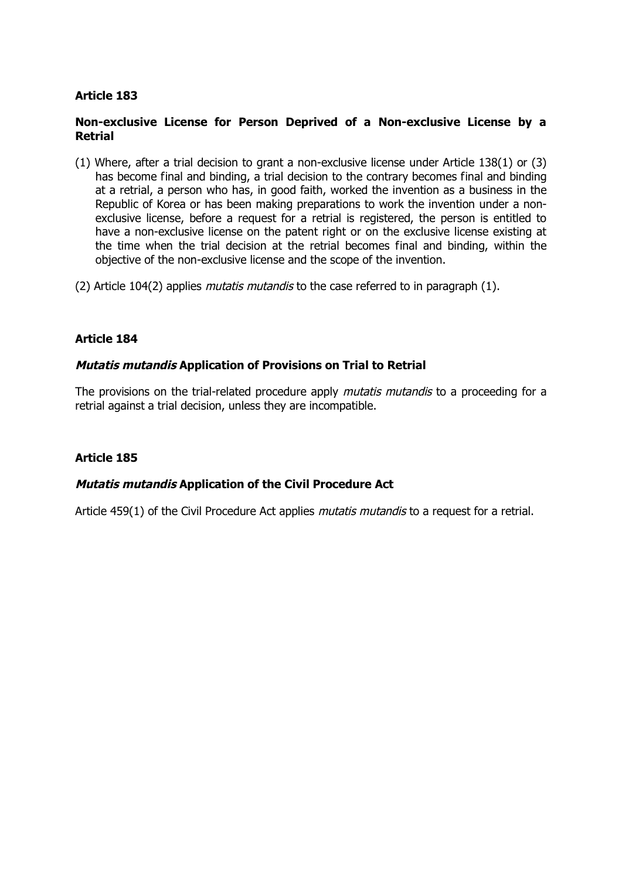### **Non-exclusive License for Person Deprived of a Non-exclusive License by a Retrial**

- (1) Where, after a trial decision to grant a non-exclusive license under Article 138(1) or (3) has become final and binding, a trial decision to the contrary becomes final and binding at a retrial, a person who has, in good faith, worked the invention as a business in the Republic of Korea or has been making preparations to work the invention under a nonexclusive license, before a request for a retrial is registered, the person is entitled to have a non-exclusive license on the patent right or on the exclusive license existing at the time when the trial decision at the retrial becomes final and binding, within the objective of the non-exclusive license and the scope of the invention.
- (2) Article 104(2) applies *mutatis mutandis* to the case referred to in paragraph  $(1)$ .

### **Article 184**

### **Mutatis mutandis Application of Provisions on Trial to Retrial**

The provisions on the trial-related procedure apply *mutatis mutandis* to a proceeding for a retrial against a trial decision, unless they are incompatible.

### **Article 185**

### **Mutatis mutandis Application of the Civil Procedure Act**

Article 459(1) of the Civil Procedure Act applies *mutatis mutandis* to a request for a retrial.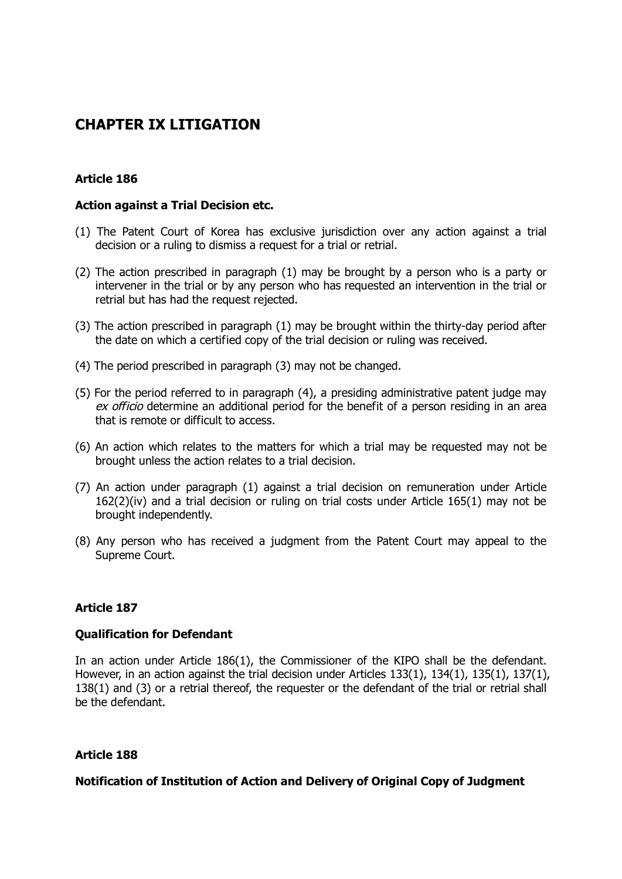# **CHAPTER IX LITIGATION**

# **Article 186**

### **Action against a Trial Decision etc.**

- (1) The Patent Court of Korea has exclusive jurisdiction over any action against a trial decision or a ruling to dismiss a request for a trial or retrial.
- (2) The action prescribed in paragraph (1) may be brought by a person who is a party or intervener in the trial or by any person who has requested an intervention in the trial or retrial but has had the request rejected.
- (3) The action prescribed in paragraph (1) may be brought within the thirty-day period after the date on which a certified copy of the trial decision or ruling was received.
- (4) The period prescribed in paragraph (3) may not be changed.
- (5) For the period referred to in paragraph (4), a presiding administrative patent judge may ex officio determine an additional period for the benefit of a person residing in an area that is remote or difficult to access.
- (6) An action which relates to the matters for which a trial may be requested may not be brought unless the action relates to a trial decision.
- (7) An action under paragraph (1) against a trial decision on remuneration under Article 162(2)(iv) and a trial decision or ruling on trial costs under Article 165(1) may not be brought independently.
- (8) Any person who has received a judgment from the Patent Court may appeal to the Supreme Court.

# **Article 187**

### **Qualification for Defendant**

In an action under Article 186(1), the Commissioner of the KIPO shall be the defendant. However, in an action against the trial decision under Articles 133(1), 134(1), 135(1), 137(1), 138(1) and (3) or a retrial thereof, the requester or the defendant of the trial or retrial shall be the defendant.

### **Article 188**

### **Notification of Institution of Action and Delivery of Original Copy of Judgment**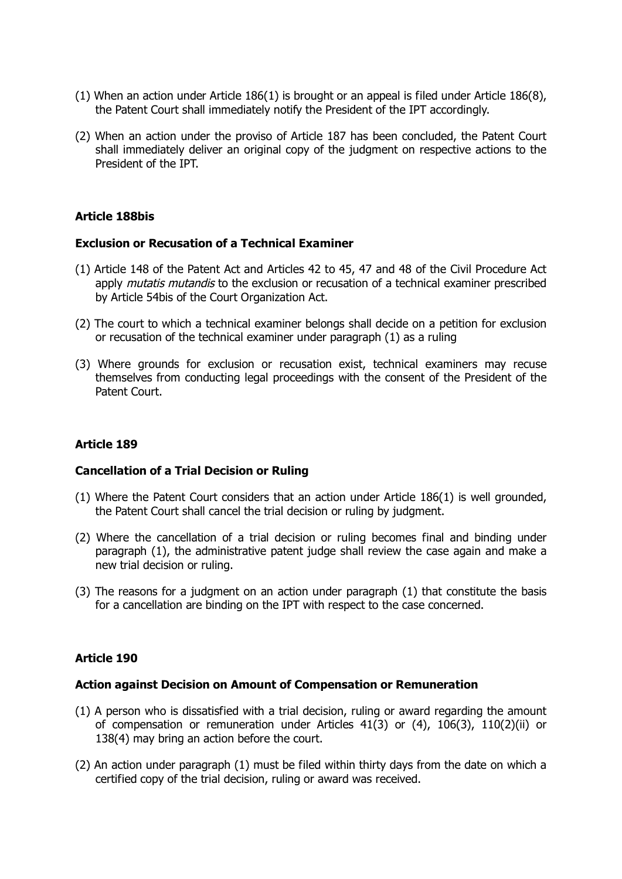- (1) When an action under Article 186(1) is brought or an appeal is filed under Article 186(8), the Patent Court shall immediately notify the President of the IPT accordingly.
- (2) When an action under the proviso of Article 187 has been concluded, the Patent Court shall immediately deliver an original copy of the judgment on respective actions to the President of the IPT.

### **Article 188bis**

#### **Exclusion or Recusation of a Technical Examiner**

- (1) Article 148 of the Patent Act and Articles 42 to 45, 47 and 48 of the Civil Procedure Act apply *mutatis mutandis* to the exclusion or recusation of a technical examiner prescribed by Article 54bis of the Court Organization Act.
- (2) The court to which a technical examiner belongs shall decide on a petition for exclusion or recusation of the technical examiner under paragraph (1) as a ruling
- (3) Where grounds for exclusion or recusation exist, technical examiners may recuse themselves from conducting legal proceedings with the consent of the President of the Patent Court.

# **Article 189**

### **Cancellation of a Trial Decision or Ruling**

- (1) Where the Patent Court considers that an action under Article 186(1) is well grounded, the Patent Court shall cancel the trial decision or ruling by judgment.
- (2) Where the cancellation of a trial decision or ruling becomes final and binding under paragraph (1), the administrative patent judge shall review the case again and make a new trial decision or ruling.
- (3) The reasons for a judgment on an action under paragraph (1) that constitute the basis for a cancellation are binding on the IPT with respect to the case concerned.

### **Article 190**

#### **Action against Decision on Amount of Compensation or Remuneration**

- (1) A person who is dissatisfied with a trial decision, ruling or award regarding the amount of compensation or remuneration under Articles 41(3) or (4), 106(3), 110(2)(ii) or 138(4) may bring an action before the court.
- (2) An action under paragraph (1) must be filed within thirty days from the date on which a certified copy of the trial decision, ruling or award was received.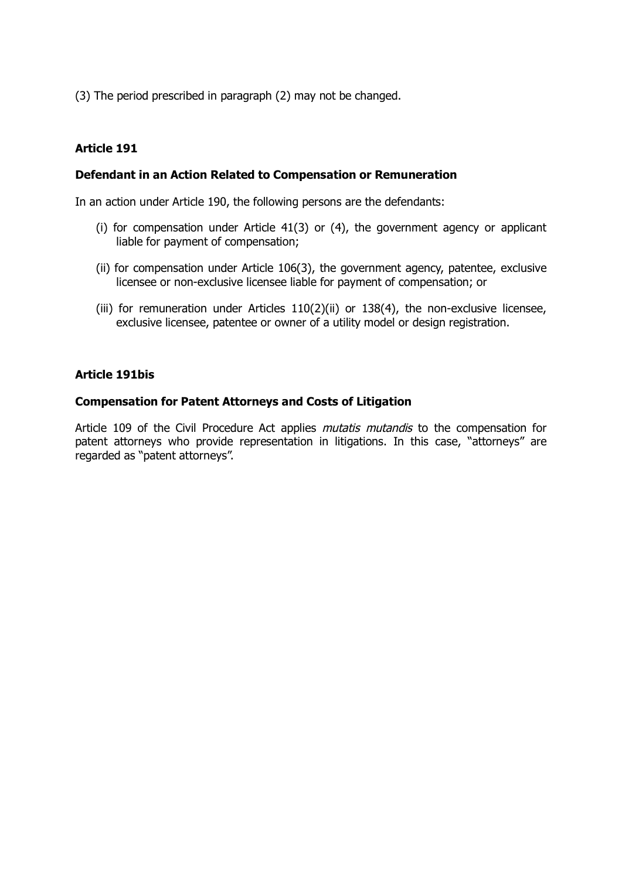(3) The period prescribed in paragraph (2) may not be changed.

# **Article 191**

### **Defendant in an Action Related to Compensation or Remuneration**

In an action under Article 190, the following persons are the defendants:

- (i) for compensation under Article 41(3) or (4), the government agency or applicant liable for payment of compensation;
- (ii) for compensation under Article 106(3), the government agency, patentee, exclusive licensee or non-exclusive licensee liable for payment of compensation; or
- (iii) for remuneration under Articles  $110(2)$ (ii) or  $138(4)$ , the non-exclusive licensee, exclusive licensee, patentee or owner of a utility model or design registration.

### **Article 191bis**

### **Compensation for Patent Attorneys and Costs of Litigation**

Article 109 of the Civil Procedure Act applies *mutatis mutandis* to the compensation for patent attorneys who provide representation in litigations. In this case, "attorneys" are regarded as "patent attorneys".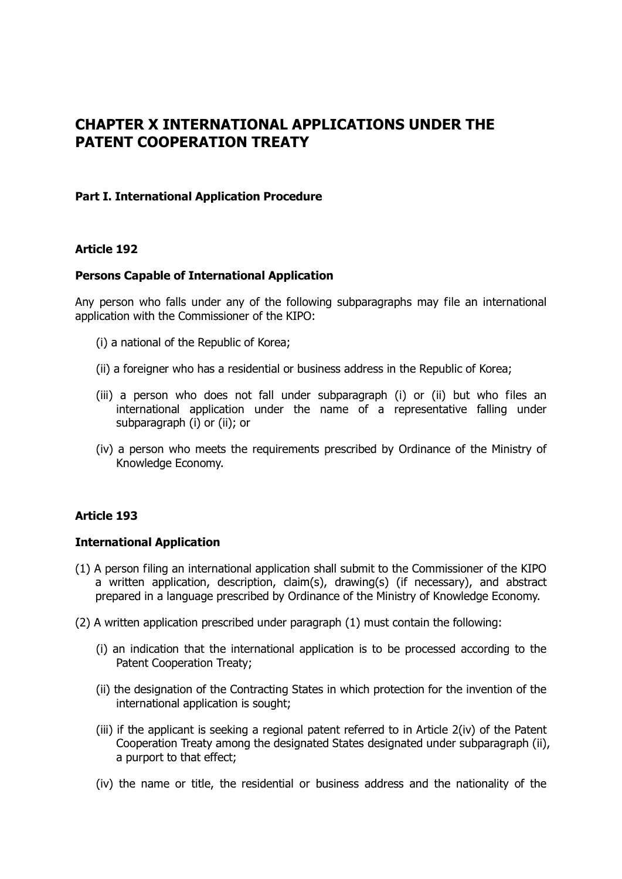# **CHAPTER X INTERNATIONAL APPLICATIONS UNDER THE PATENT COOPERATION TREATY**

### **Part I. International Application Procedure**

### **Article 192**

### **Persons Capable of International Application**

Any person who falls under any of the following subparagraphs may file an international application with the Commissioner of the KIPO:

- (i) a national of the Republic of Korea;
- (ii) a foreigner who has a residential or business address in the Republic of Korea;
- (iii) a person who does not fall under subparagraph (i) or (ii) but who files an international application under the name of a representative falling under subparagraph (i) or (ii); or
- (iv) a person who meets the requirements prescribed by Ordinance of the Ministry of Knowledge Economy.

### **Article 193**

### **International Application**

- (1) A person filing an international application shall submit to the Commissioner of the KIPO a written application, description, claim(s), drawing(s) (if necessary), and abstract prepared in a language prescribed by Ordinance of the Ministry of Knowledge Economy.
- (2) A written application prescribed under paragraph (1) must contain the following:
	- (i) an indication that the international application is to be processed according to the Patent Cooperation Treaty;
	- (ii) the designation of the Contracting States in which protection for the invention of the international application is sought;
	- (iii) if the applicant is seeking a regional patent referred to in Article 2(iv) of the Patent Cooperation Treaty among the designated States designated under subparagraph (ii), a purport to that effect;
	- (iv) the name or title, the residential or business address and the nationality of the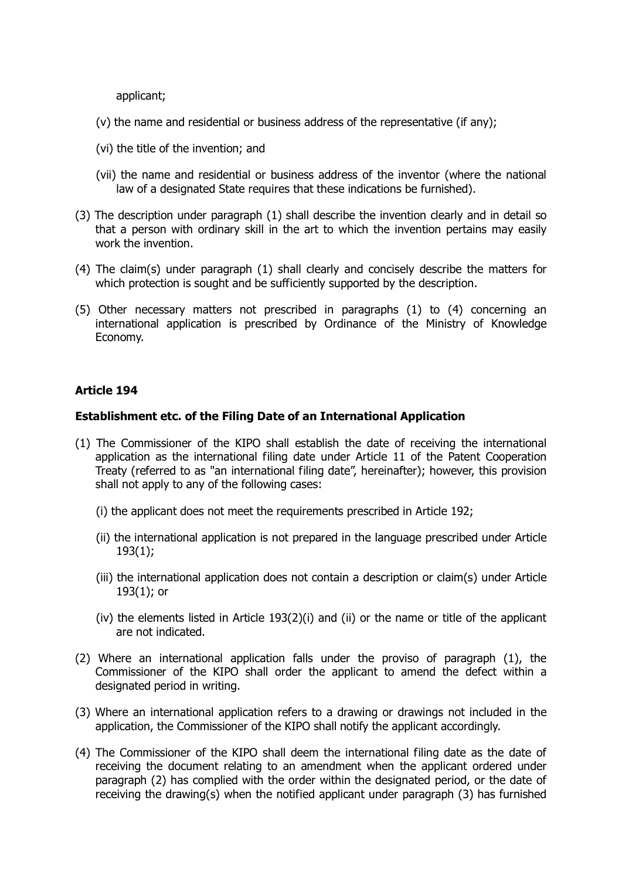applicant;

- (v) the name and residential or business address of the representative (if any);
- (vi) the title of the invention; and
- (vii) the name and residential or business address of the inventor (where the national law of a designated State requires that these indications be furnished).
- (3) The description under paragraph (1) shall describe the invention clearly and in detail so that a person with ordinary skill in the art to which the invention pertains may easily work the invention.
- (4) The claim(s) under paragraph (1) shall clearly and concisely describe the matters for which protection is sought and be sufficiently supported by the description.
- (5) Other necessary matters not prescribed in paragraphs (1) to (4) concerning an international application is prescribed by Ordinance of the Ministry of Knowledge Economy.

# **Article 194**

### **Establishment etc. of the Filing Date of an International Application**

- (1) The Commissioner of the KIPO shall establish the date of receiving the international application as the international filing date under Article 11 of the Patent Cooperation Treaty (referred to as "an international filing date", hereinafter); however, this provision shall not apply to any of the following cases:
	- (i) the applicant does not meet the requirements prescribed in Article 192;
	- (ii) the international application is not prepared in the language prescribed under Article 193(1);
	- (iii) the international application does not contain a description or claim(s) under Article 193(1); or
	- (iv) the elements listed in Article 193(2)(i) and (ii) or the name or title of the applicant are not indicated.
- (2) Where an international application falls under the proviso of paragraph (1), the Commissioner of the KIPO shall order the applicant to amend the defect within a designated period in writing.
- (3) Where an international application refers to a drawing or drawings not included in the application, the Commissioner of the KIPO shall notify the applicant accordingly.
- (4) The Commissioner of the KIPO shall deem the international filing date as the date of receiving the document relating to an amendment when the applicant ordered under paragraph (2) has complied with the order within the designated period, or the date of receiving the drawing(s) when the notified applicant under paragraph (3) has furnished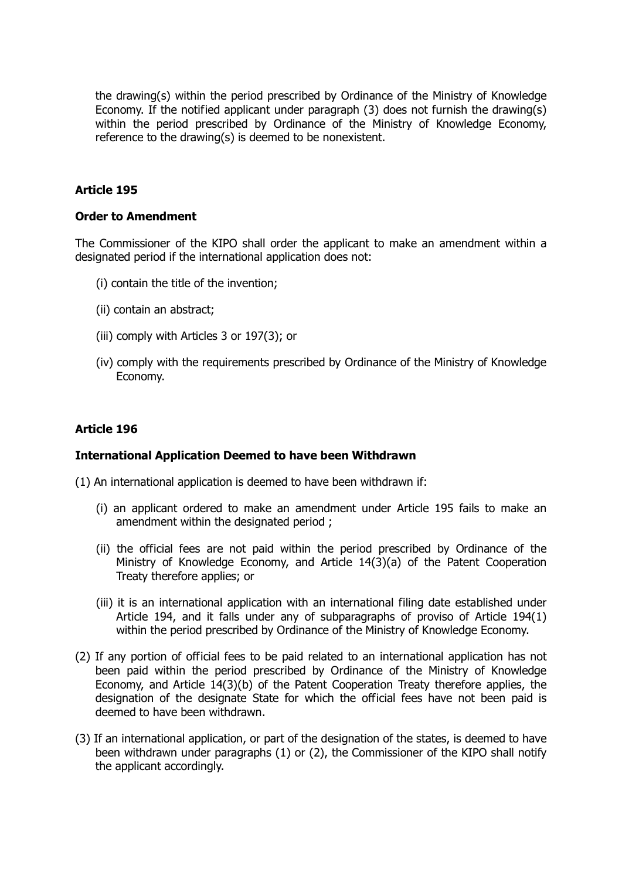the drawing(s) within the period prescribed by Ordinance of the Ministry of Knowledge Economy. If the notified applicant under paragraph (3) does not furnish the drawing(s) within the period prescribed by Ordinance of the Ministry of Knowledge Economy, reference to the drawing(s) is deemed to be nonexistent.

### **Article 195**

#### **Order to Amendment**

The Commissioner of the KIPO shall order the applicant to make an amendment within a designated period if the international application does not:

- (i) contain the title of the invention;
- (ii) contain an abstract;
- (iii) comply with Articles 3 or 197(3); or
- (iv) comply with the requirements prescribed by Ordinance of the Ministry of Knowledge Economy.

### **Article 196**

#### **International Application Deemed to have been Withdrawn**

(1) An international application is deemed to have been withdrawn if:

- (i) an applicant ordered to make an amendment under Article 195 fails to make an amendment within the designated period :
- (ii) the official fees are not paid within the period prescribed by Ordinance of the Ministry of Knowledge Economy, and Article 14(3)(a) of the Patent Cooperation Treaty therefore applies; or
- (iii) it is an international application with an international filing date established under Article 194, and it falls under any of subparagraphs of proviso of Article 194(1) within the period prescribed by Ordinance of the Ministry of Knowledge Economy.
- (2) If any portion of official fees to be paid related to an international application has not been paid within the period prescribed by Ordinance of the Ministry of Knowledge Economy, and Article 14(3)(b) of the Patent Cooperation Treaty therefore applies, the designation of the designate State for which the official fees have not been paid is deemed to have been withdrawn.
- (3) If an international application, or part of the designation of the states, is deemed to have been withdrawn under paragraphs (1) or (2), the Commissioner of the KIPO shall notify the applicant accordingly.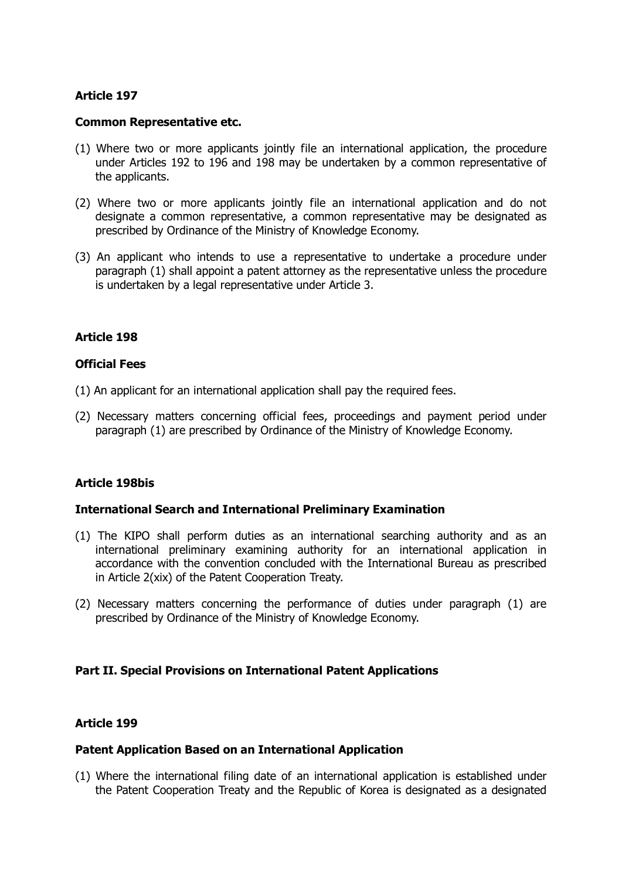#### **Common Representative etc.**

- (1) Where two or more applicants jointly file an international application, the procedure under Articles 192 to 196 and 198 may be undertaken by a common representative of the applicants.
- (2) Where two or more applicants jointly file an international application and do not designate a common representative, a common representative may be designated as prescribed by Ordinance of the Ministry of Knowledge Economy.
- (3) An applicant who intends to use a representative to undertake a procedure under paragraph (1) shall appoint a patent attorney as the representative unless the procedure is undertaken by a legal representative under Article 3.

### **Article 198**

#### **Official Fees**

- (1) An applicant for an international application shall pay the required fees.
- (2) Necessary matters concerning official fees, proceedings and payment period under paragraph (1) are prescribed by Ordinance of the Ministry of Knowledge Economy.

### **Article 198bis**

### **International Search and International Preliminary Examination**

- (1) The KIPO shall perform duties as an international searching authority and as an international preliminary examining authority for an international application in accordance with the convention concluded with the International Bureau as prescribed in Article 2(xix) of the Patent Cooperation Treaty.
- (2) Necessary matters concerning the performance of duties under paragraph (1) are prescribed by Ordinance of the Ministry of Knowledge Economy.

### **Part II. Special Provisions on International Patent Applications**

### **Article 199**

### **Patent Application Based on an International Application**

(1) Where the international filing date of an international application is established under the Patent Cooperation Treaty and the Republic of Korea is designated as a designated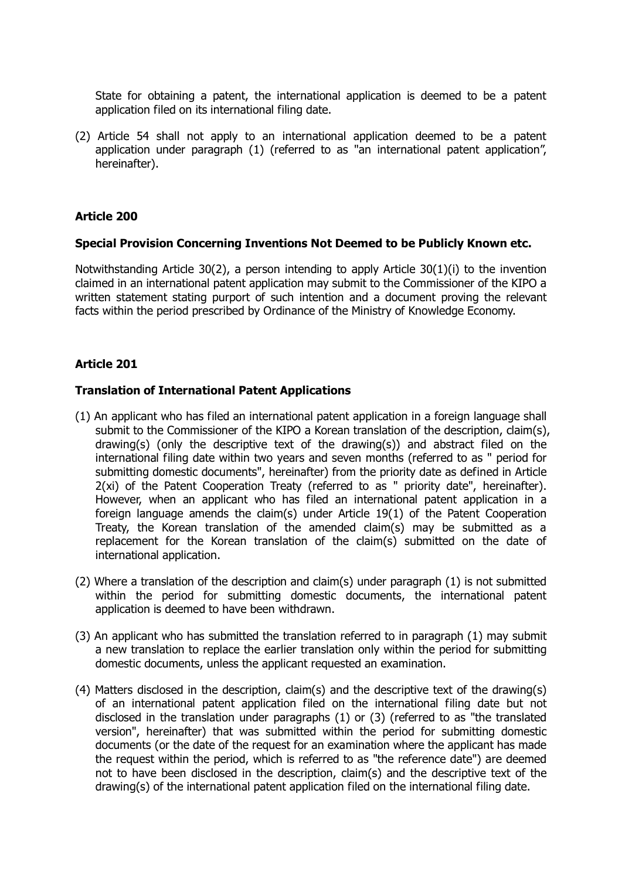State for obtaining a patent, the international application is deemed to be a patent application filed on its international filing date.

(2) Article 54 shall not apply to an international application deemed to be a patent application under paragraph (1) (referred to as "an international patent application", hereinafter).

### **Article 200**

#### **Special Provision Concerning Inventions Not Deemed to be Publicly Known etc.**

Notwithstanding Article 30(2), a person intending to apply Article 30(1)(i) to the invention claimed in an international patent application may submit to the Commissioner of the KIPO a written statement stating purport of such intention and a document proving the relevant facts within the period prescribed by Ordinance of the Ministry of Knowledge Economy.

### **Article 201**

### **Translation of International Patent Applications**

- (1) An applicant who has filed an international patent application in a foreign language shall submit to the Commissioner of the KIPO a Korean translation of the description, claim(s), drawing(s) (only the descriptive text of the drawing(s)) and abstract filed on the international filing date within two years and seven months (referred to as " period for submitting domestic documents", hereinafter) from the priority date as defined in Article 2(xi) of the Patent Cooperation Treaty (referred to as " priority date", hereinafter). However, when an applicant who has filed an international patent application in a foreign language amends the claim(s) under Article 19(1) of the Patent Cooperation Treaty, the Korean translation of the amended claim(s) may be submitted as a replacement for the Korean translation of the claim(s) submitted on the date of international application.
- (2) Where a translation of the description and claim(s) under paragraph (1) is not submitted within the period for submitting domestic documents, the international patent application is deemed to have been withdrawn.
- (3) An applicant who has submitted the translation referred to in paragraph (1) may submit a new translation to replace the earlier translation only within the period for submitting domestic documents, unless the applicant requested an examination.
- (4) Matters disclosed in the description, claim(s) and the descriptive text of the drawing(s) of an international patent application filed on the international filing date but not disclosed in the translation under paragraphs (1) or (3) (referred to as "the translated version", hereinafter) that was submitted within the period for submitting domestic documents (or the date of the request for an examination where the applicant has made the request within the period, which is referred to as "the reference date") are deemed not to have been disclosed in the description, claim(s) and the descriptive text of the drawing(s) of the international patent application filed on the international filing date.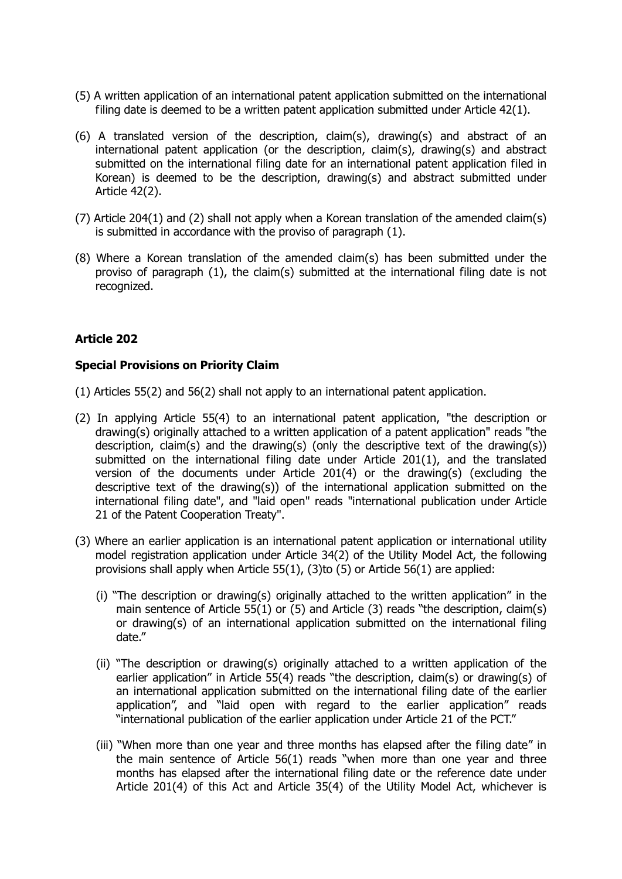- (5) A written application of an international patent application submitted on the international filing date is deemed to be a written patent application submitted under Article 42(1).
- (6) A translated version of the description, claim(s), drawing(s) and abstract of an international patent application (or the description, claim(s), drawing(s) and abstract submitted on the international filing date for an international patent application filed in Korean) is deemed to be the description, drawing(s) and abstract submitted under Article 42(2).
- (7) Article 204(1) and (2) shall not apply when a Korean translation of the amended claim(s) is submitted in accordance with the proviso of paragraph (1).
- (8) Where a Korean translation of the amended claim(s) has been submitted under the proviso of paragraph (1), the claim(s) submitted at the international filing date is not recognized.

### **Special Provisions on Priority Claim**

- (1) Articles 55(2) and 56(2) shall not apply to an international patent application.
- (2) In applying Article 55(4) to an international patent application, "the description or drawing(s) originally attached to a written application of a patent application" reads "the description, claim(s) and the drawing(s) (only the descriptive text of the drawing(s)) submitted on the international filing date under Article 201(1), and the translated version of the documents under Article 201(4) or the drawing(s) (excluding the descriptive text of the drawing(s)) of the international application submitted on the international filing date", and "laid open" reads "international publication under Article 21 of the Patent Cooperation Treaty".
- (3) Where an earlier application is an international patent application or international utility model registration application under Article 34(2) of the Utility Model Act, the following provisions shall apply when Article 55(1), (3)to (5) or Article 56(1) are applied:
	- (i) "The description or drawing(s) originally attached to the written application" in the main sentence of Article 55(1) or (5) and Article (3) reads "the description, claim(s) or drawing(s) of an international application submitted on the international filing date."
	- (ii) "The description or drawing(s) originally attached to a written application of the earlier application" in Article 55(4) reads "the description, claim(s) or drawing(s) of an international application submitted on the international filing date of the earlier application", and "laid open with regard to the earlier application" reads "international publication of the earlier application under Article 21 of the PCT."
	- (iii) "When more than one year and three months has elapsed after the filing date" in the main sentence of Article 56(1) reads "when more than one year and three months has elapsed after the international filing date or the reference date under Article 201(4) of this Act and Article 35(4) of the Utility Model Act, whichever is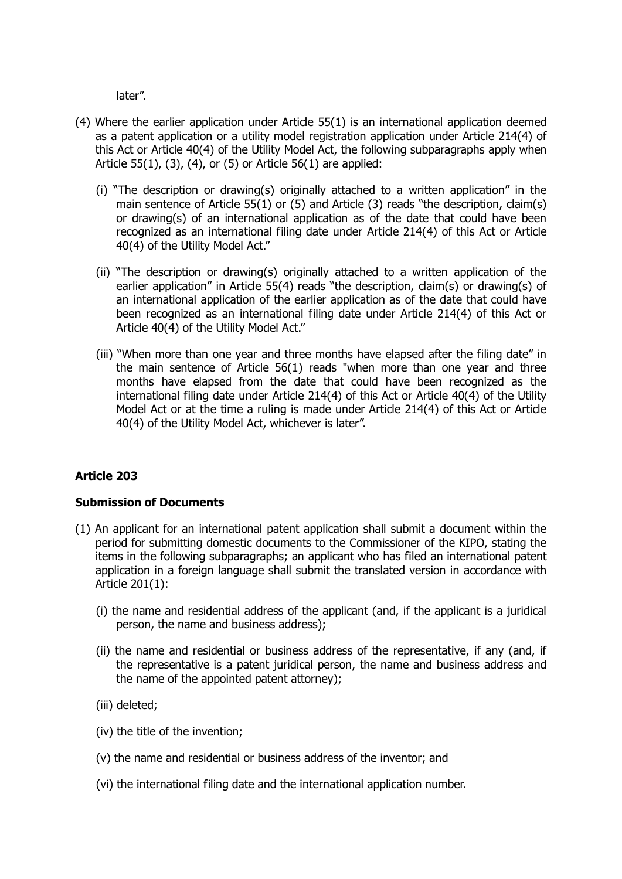later".

- (4) Where the earlier application under Article 55(1) is an international application deemed as a patent application or a utility model registration application under Article 214(4) of this Act or Article 40(4) of the Utility Model Act, the following subparagraphs apply when Article 55(1), (3), (4), or (5) or Article 56(1) are applied:
	- (i) "The description or drawing(s) originally attached to a written application" in the main sentence of Article 55(1) or (5) and Article (3) reads "the description, claim(s) or drawing(s) of an international application as of the date that could have been recognized as an international filing date under Article 214(4) of this Act or Article 40(4) of the Utility Model Act."
	- (ii) "The description or drawing(s) originally attached to a written application of the earlier application" in Article 55(4) reads "the description, claim(s) or drawing(s) of an international application of the earlier application as of the date that could have been recognized as an international filing date under Article 214(4) of this Act or Article 40(4) of the Utility Model Act."
	- (iii) "When more than one year and three months have elapsed after the filing date" in the main sentence of Article 56(1) reads "when more than one year and three months have elapsed from the date that could have been recognized as the international filing date under Article 214(4) of this Act or Article 40(4) of the Utility Model Act or at the time a ruling is made under Article 214(4) of this Act or Article 40(4) of the Utility Model Act, whichever is later".

# **Article 203**

# **Submission of Documents**

- (1) An applicant for an international patent application shall submit a document within the period for submitting domestic documents to the Commissioner of the KIPO, stating the items in the following subparagraphs; an applicant who has filed an international patent application in a foreign language shall submit the translated version in accordance with Article 201(1):
	- (i) the name and residential address of the applicant (and, if the applicant is a juridical person, the name and business address);
	- (ii) the name and residential or business address of the representative, if any (and, if the representative is a patent juridical person, the name and business address and the name of the appointed patent attorney);
	- (iii) deleted;
	- (iv) the title of the invention;
	- (v) the name and residential or business address of the inventor; and
	- (vi) the international filing date and the international application number.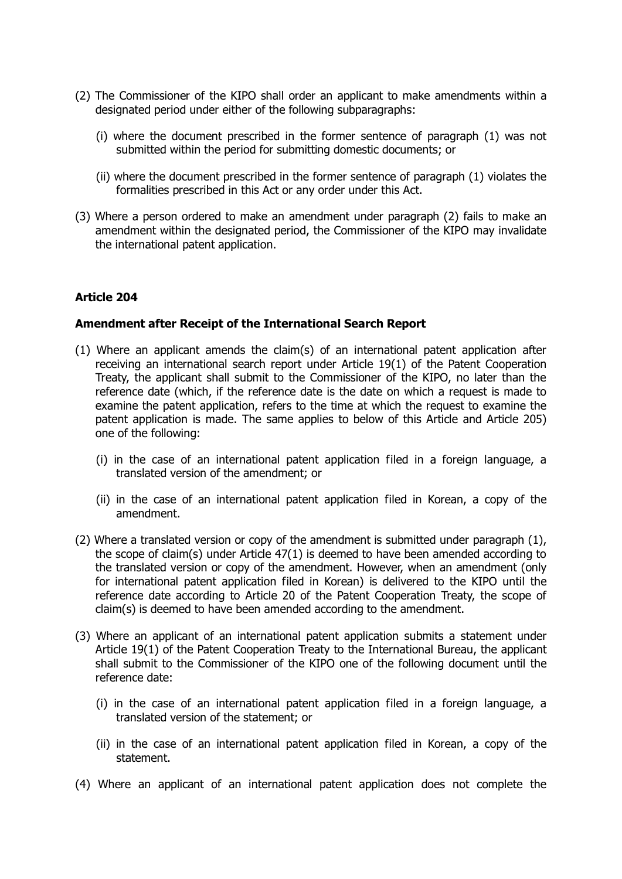- (2) The Commissioner of the KIPO shall order an applicant to make amendments within a designated period under either of the following subparagraphs:
	- (i) where the document prescribed in the former sentence of paragraph (1) was not submitted within the period for submitting domestic documents; or
	- (ii) where the document prescribed in the former sentence of paragraph (1) violates the formalities prescribed in this Act or any order under this Act.
- (3) Where a person ordered to make an amendment under paragraph (2) fails to make an amendment within the designated period, the Commissioner of the KIPO may invalidate the international patent application.

### **Amendment after Receipt of the International Search Report**

- (1) Where an applicant amends the claim(s) of an international patent application after receiving an international search report under Article 19(1) of the Patent Cooperation Treaty, the applicant shall submit to the Commissioner of the KIPO, no later than the reference date (which, if the reference date is the date on which a request is made to examine the patent application, refers to the time at which the request to examine the patent application is made. The same applies to below of this Article and Article 205) one of the following:
	- (i) in the case of an international patent application filed in a foreign language, a translated version of the amendment; or
	- (ii) in the case of an international patent application filed in Korean, a copy of the amendment.
- (2) Where a translated version or copy of the amendment is submitted under paragraph (1), the scope of claim(s) under Article 47(1) is deemed to have been amended according to the translated version or copy of the amendment. However, when an amendment (only for international patent application filed in Korean) is delivered to the KIPO until the reference date according to Article 20 of the Patent Cooperation Treaty, the scope of claim(s) is deemed to have been amended according to the amendment.
- (3) Where an applicant of an international patent application submits a statement under Article 19(1) of the Patent Cooperation Treaty to the International Bureau, the applicant shall submit to the Commissioner of the KIPO one of the following document until the reference date:
	- (i) in the case of an international patent application filed in a foreign language, a translated version of the statement; or
	- (ii) in the case of an international patent application filed in Korean, a copy of the statement.
- (4) Where an applicant of an international patent application does not complete the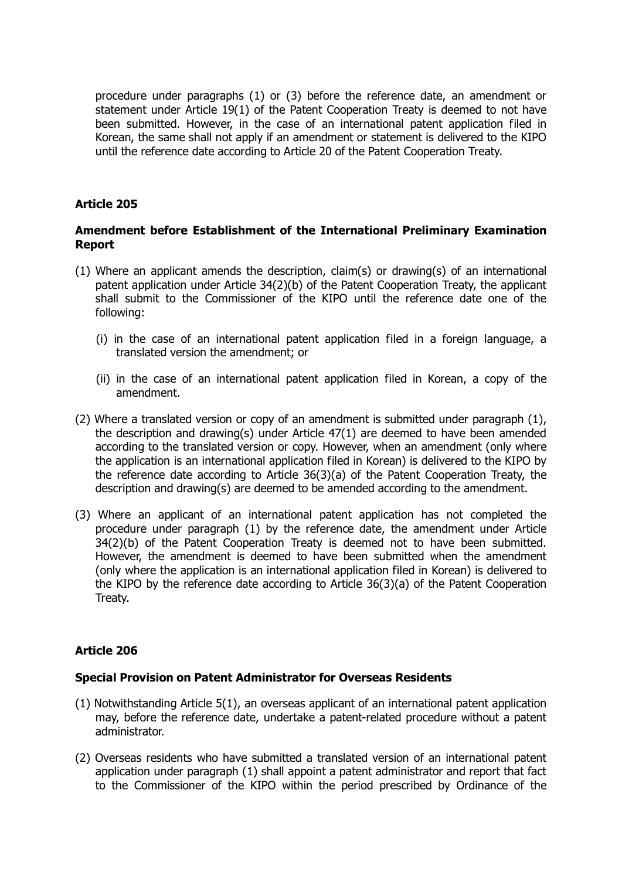procedure under paragraphs (1) or (3) before the reference date, an amendment or statement under Article 19(1) of the Patent Cooperation Treaty is deemed to not have been submitted. However, in the case of an international patent application filed in Korean, the same shall not apply if an amendment or statement is delivered to the KIPO until the reference date according to Article 20 of the Patent Cooperation Treaty.

# **Article 205**

### **Amendment before Establishment of the International Preliminary Examination Report**

- (1) Where an applicant amends the description, claim(s) or drawing(s) of an international patent application under Article 34(2)(b) of the Patent Cooperation Treaty, the applicant shall submit to the Commissioner of the KIPO until the reference date one of the following:
	- (i) in the case of an international patent application filed in a foreign language, a translated version the amendment; or
	- (ii) in the case of an international patent application filed in Korean, a copy of the amendment.
- (2) Where a translated version or copy of an amendment is submitted under paragraph (1), the description and drawing(s) under Article 47(1) are deemed to have been amended according to the translated version or copy. However, when an amendment (only where the application is an international application filed in Korean) is delivered to the KIPO by the reference date according to Article 36(3)(a) of the Patent Cooperation Treaty, the description and drawing(s) are deemed to be amended according to the amendment.
- (3) Where an applicant of an international patent application has not completed the procedure under paragraph (1) by the reference date, the amendment under Article 34(2)(b) of the Patent Cooperation Treaty is deemed not to have been submitted. However, the amendment is deemed to have been submitted when the amendment (only where the application is an international application filed in Korean) is delivered to the KIPO by the reference date according to Article 36(3)(a) of the Patent Cooperation Treaty.

### **Article 206**

### **Special Provision on Patent Administrator for Overseas Residents**

- (1) Notwithstanding Article 5(1), an overseas applicant of an international patent application may, before the reference date, undertake a patent-related procedure without a patent administrator.
- (2) Overseas residents who have submitted a translated version of an international patent application under paragraph (1) shall appoint a patent administrator and report that fact to the Commissioner of the KIPO within the period prescribed by Ordinance of the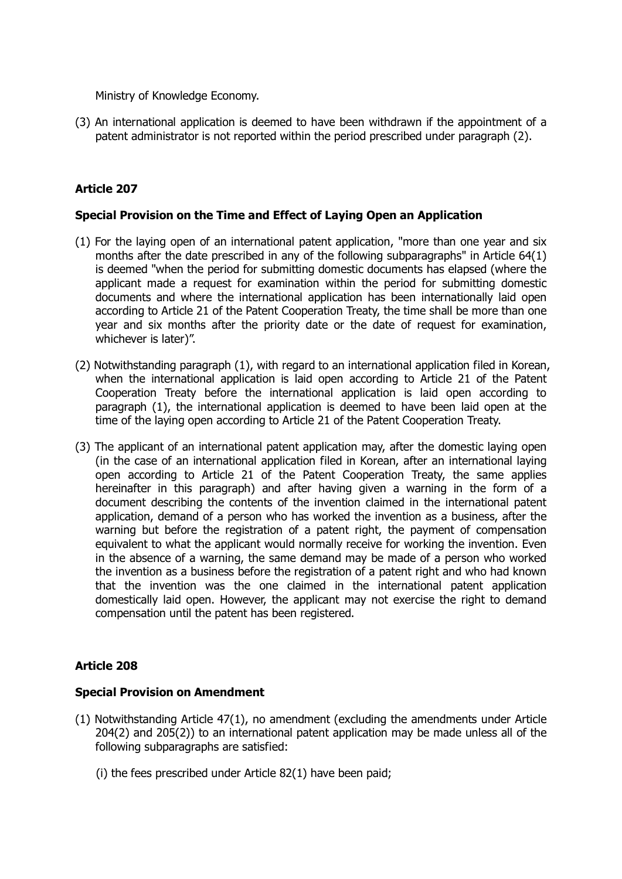Ministry of Knowledge Economy.

(3) An international application is deemed to have been withdrawn if the appointment of a patent administrator is not reported within the period prescribed under paragraph (2).

# **Article 207**

### **Special Provision on the Time and Effect of Laying Open an Application**

- (1) For the laying open of an international patent application, "more than one year and six months after the date prescribed in any of the following subparagraphs" in Article 64(1) is deemed "when the period for submitting domestic documents has elapsed (where the applicant made a request for examination within the period for submitting domestic documents and where the international application has been internationally laid open according to Article 21 of the Patent Cooperation Treaty, the time shall be more than one year and six months after the priority date or the date of request for examination, whichever is later)".
- (2) Notwithstanding paragraph (1), with regard to an international application filed in Korean, when the international application is laid open according to Article 21 of the Patent Cooperation Treaty before the international application is laid open according to paragraph (1), the international application is deemed to have been laid open at the time of the laying open according to Article 21 of the Patent Cooperation Treaty.
- (3) The applicant of an international patent application may, after the domestic laying open (in the case of an international application filed in Korean, after an international laying open according to Article 21 of the Patent Cooperation Treaty, the same applies hereinafter in this paragraph) and after having given a warning in the form of a document describing the contents of the invention claimed in the international patent application, demand of a person who has worked the invention as a business, after the warning but before the registration of a patent right, the payment of compensation equivalent to what the applicant would normally receive for working the invention. Even in the absence of a warning, the same demand may be made of a person who worked the invention as a business before the registration of a patent right and who had known that the invention was the one claimed in the international patent application domestically laid open. However, the applicant may not exercise the right to demand compensation until the patent has been registered.

# **Article 208**

### **Special Provision on Amendment**

- (1) Notwithstanding Article 47(1), no amendment (excluding the amendments under Article 204(2) and 205(2)) to an international patent application may be made unless all of the following subparagraphs are satisfied:
	- (i) the fees prescribed under Article 82(1) have been paid;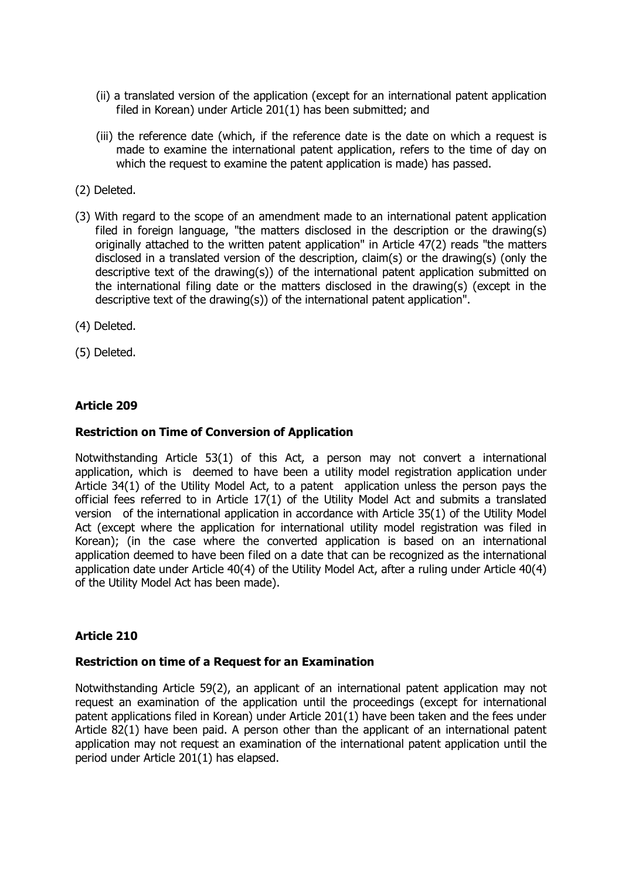- (ii) a translated version of the application (except for an international patent application filed in Korean) under Article 201(1) has been submitted; and
- (iii) the reference date (which, if the reference date is the date on which a request is made to examine the international patent application, refers to the time of day on which the request to examine the patent application is made) has passed.
- (2) Deleted.
- (3) With regard to the scope of an amendment made to an international patent application filed in foreign language, "the matters disclosed in the description or the drawing(s) originally attached to the written patent application" in Article 47(2) reads "the matters disclosed in a translated version of the description, claim(s) or the drawing(s) (only the descriptive text of the drawing(s)) of the international patent application submitted on the international filing date or the matters disclosed in the drawing(s) (except in the descriptive text of the drawing(s)) of the international patent application".
- (4) Deleted.
- (5) Deleted.

#### **Restriction on Time of Conversion of Application**

Notwithstanding Article 53(1) of this Act, a person may not convert a international application, which is deemed to have been a utility model registration application under Article 34(1) of the Utility Model Act, to a patent application unless the person pays the official fees referred to in Article 17(1) of the Utility Model Act and submits a translated version of the international application in accordance with Article 35(1) of the Utility Model Act (except where the application for international utility model registration was filed in Korean); (in the case where the converted application is based on an international application deemed to have been filed on a date that can be recognized as the international application date under Article 40(4) of the Utility Model Act, after a ruling under Article 40(4) of the Utility Model Act has been made).

### **Article 210**

#### **Restriction on time of a Request for an Examination**

Notwithstanding Article 59(2), an applicant of an international patent application may not request an examination of the application until the proceedings (except for international patent applications filed in Korean) under Article 201(1) have been taken and the fees under Article 82(1) have been paid. A person other than the applicant of an international patent application may not request an examination of the international patent application until the period under Article 201(1) has elapsed.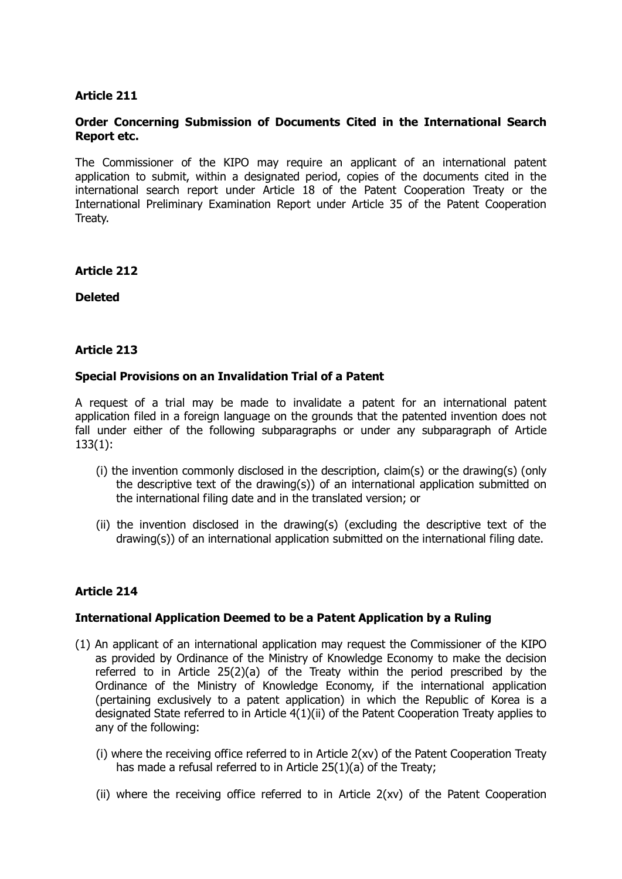### **Order Concerning Submission of Documents Cited in the International Search Report etc.**

The Commissioner of the KIPO may require an applicant of an international patent application to submit, within a designated period, copies of the documents cited in the international search report under Article 18 of the Patent Cooperation Treaty or the International Preliminary Examination Report under Article 35 of the Patent Cooperation Treaty.

**Article 212**

**Deleted**

### **Article 213**

### **Special Provisions on an Invalidation Trial of a Patent**

A request of a trial may be made to invalidate a patent for an international patent application filed in a foreign language on the grounds that the patented invention does not fall under either of the following subparagraphs or under any subparagraph of Article 133(1):

- (i) the invention commonly disclosed in the description, claim(s) or the drawing(s) (only the descriptive text of the drawing(s)) of an international application submitted on the international filing date and in the translated version; or
- (ii) the invention disclosed in the drawing(s) (excluding the descriptive text of the drawing(s)) of an international application submitted on the international filing date.

### **Article 214**

### **International Application Deemed to be a Patent Application by a Ruling**

- (1) An applicant of an international application may request the Commissioner of the KIPO as provided by Ordinance of the Ministry of Knowledge Economy to make the decision referred to in Article 25(2)(a) of the Treaty within the period prescribed by the Ordinance of the Ministry of Knowledge Economy, if the international application (pertaining exclusively to a patent application) in which the Republic of Korea is a designated State referred to in Article 4(1)(ii) of the Patent Cooperation Treaty applies to any of the following:
	- (i) where the receiving office referred to in Article 2(xv) of the Patent Cooperation Treaty has made a refusal referred to in Article 25(1)(a) of the Treaty;
	- (ii) where the receiving office referred to in Article 2(xv) of the Patent Cooperation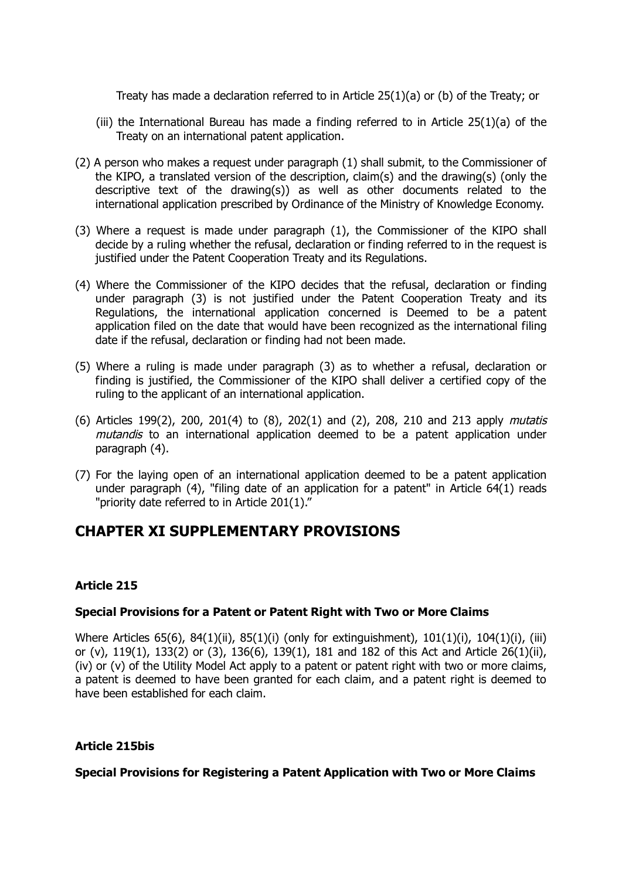Treaty has made a declaration referred to in Article 25(1)(a) or (b) of the Treaty; or

- (iii) the International Bureau has made a finding referred to in Article  $25(1)(a)$  of the Treaty on an international patent application.
- (2) A person who makes a request under paragraph (1) shall submit, to the Commissioner of the KIPO, a translated version of the description, claim(s) and the drawing(s) (only the descriptive text of the drawing(s)) as well as other documents related to the international application prescribed by Ordinance of the Ministry of Knowledge Economy.
- (3) Where a request is made under paragraph (1), the Commissioner of the KIPO shall decide by a ruling whether the refusal, declaration or finding referred to in the request is justified under the Patent Cooperation Treaty and its Regulations.
- (4) Where the Commissioner of the KIPO decides that the refusal, declaration or finding under paragraph (3) is not justified under the Patent Cooperation Treaty and its Regulations, the international application concerned is Deemed to be a patent application filed on the date that would have been recognized as the international filing date if the refusal, declaration or finding had not been made.
- (5) Where a ruling is made under paragraph (3) as to whether a refusal, declaration or finding is justified, the Commissioner of the KIPO shall deliver a certified copy of the ruling to the applicant of an international application.
- (6) Articles 199(2), 200, 201(4) to (8), 202(1) and (2), 208, 210 and 213 apply mutatis mutandis to an international application deemed to be a patent application under paragraph (4).
- (7) For the laying open of an international application deemed to be a patent application under paragraph (4), "filing date of an application for a patent" in Article 64(1) reads "priority date referred to in Article 201(1)."

# **CHAPTER XI SUPPLEMENTARY PROVISIONS**

# **Article 215**

# **Special Provisions for a Patent or Patent Right with Two or More Claims**

Where Articles 65(6), 84(1)(ii), 85(1)(i) (only for extinguishment), 101(1)(i), 104(1)(i), (iii) or (v), 119(1), 133(2) or (3), 136(6), 139(1), 181 and 182 of this Act and Article 26(1)(ii), (iv) or (v) of the Utility Model Act apply to a patent or patent right with two or more claims, a patent is deemed to have been granted for each claim, and a patent right is deemed to have been established for each claim.

# **Article 215bis**

### **Special Provisions for Registering a Patent Application with Two or More Claims**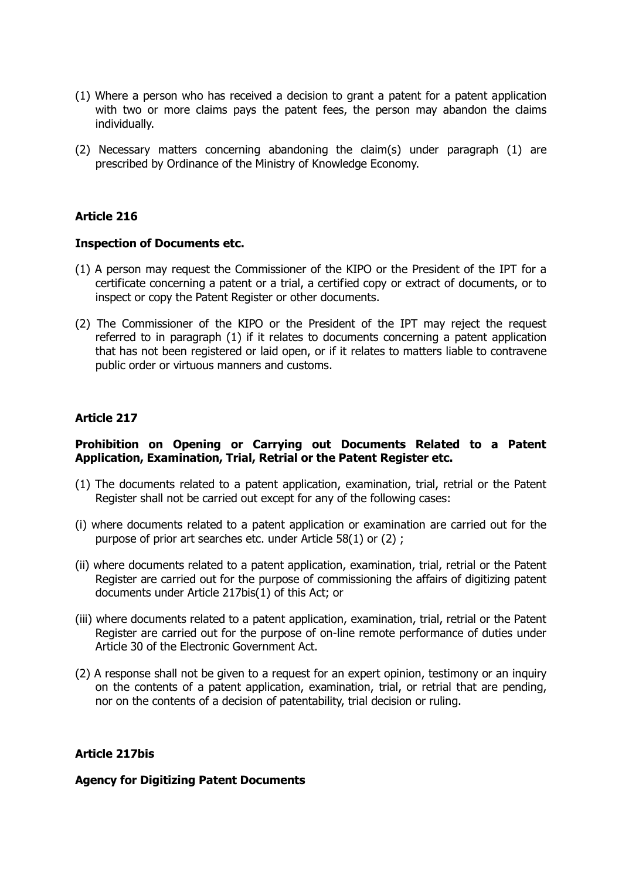- (1) Where a person who has received a decision to grant a patent for a patent application with two or more claims pays the patent fees, the person may abandon the claims individually.
- (2) Necessary matters concerning abandoning the claim(s) under paragraph (1) are prescribed by Ordinance of the Ministry of Knowledge Economy.

#### **Inspection of Documents etc.**

- (1) A person may request the Commissioner of the KIPO or the President of the IPT for a certificate concerning a patent or a trial, a certified copy or extract of documents, or to inspect or copy the Patent Register or other documents.
- (2) The Commissioner of the KIPO or the President of the IPT may reject the request referred to in paragraph (1) if it relates to documents concerning a patent application that has not been registered or laid open, or if it relates to matters liable to contravene public order or virtuous manners and customs.

### **Article 217**

### **Prohibition on Opening or Carrying out Documents Related to a Patent Application, Examination, Trial, Retrial or the Patent Register etc.**

- (1) The documents related to a patent application, examination, trial, retrial or the Patent Register shall not be carried out except for any of the following cases:
- (i) where documents related to a patent application or examination are carried out for the purpose of prior art searches etc. under Article 58(1) or (2) ;
- (ii) where documents related to a patent application, examination, trial, retrial or the Patent Register are carried out for the purpose of commissioning the affairs of digitizing patent documents under Article 217bis(1) of this Act; or
- (iii) where documents related to a patent application, examination, trial, retrial or the Patent Register are carried out for the purpose of on-line remote performance of duties under Article 30 of the Electronic Government Act.
- (2) A response shall not be given to a request for an expert opinion, testimony or an inquiry on the contents of a patent application, examination, trial, or retrial that are pending, nor on the contents of a decision of patentability, trial decision or ruling.

### **Article 217bis**

#### **Agency for Digitizing Patent Documents**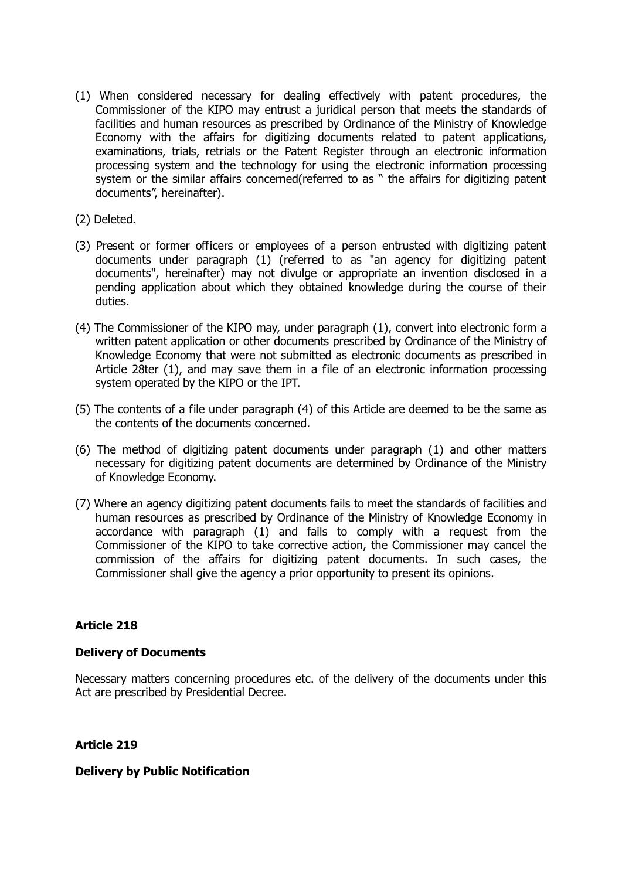- (1) When considered necessary for dealing effectively with patent procedures, the Commissioner of the KIPO may entrust a juridical person that meets the standards of facilities and human resources as prescribed by Ordinance of the Ministry of Knowledge Economy with the affairs for digitizing documents related to patent applications, examinations, trials, retrials or the Patent Register through an electronic information processing system and the technology for using the electronic information processing system or the similar affairs concerned(referred to as " the affairs for digitizing patent documents", hereinafter).
- (2) Deleted.
- (3) Present or former officers or employees of a person entrusted with digitizing patent documents under paragraph (1) (referred to as "an agency for digitizing patent documents", hereinafter) may not divulge or appropriate an invention disclosed in a pending application about which they obtained knowledge during the course of their duties.
- (4) The Commissioner of the KIPO may, under paragraph (1), convert into electronic form a written patent application or other documents prescribed by Ordinance of the Ministry of Knowledge Economy that were not submitted as electronic documents as prescribed in Article 28ter (1), and may save them in a file of an electronic information processing system operated by the KIPO or the IPT.
- (5) The contents of a file under paragraph (4) of this Article are deemed to be the same as the contents of the documents concerned.
- (6) The method of digitizing patent documents under paragraph (1) and other matters necessary for digitizing patent documents are determined by Ordinance of the Ministry of Knowledge Economy.
- (7) Where an agency digitizing patent documents fails to meet the standards of facilities and human resources as prescribed by Ordinance of the Ministry of Knowledge Economy in accordance with paragraph (1) and fails to comply with a request from the Commissioner of the KIPO to take corrective action, the Commissioner may cancel the commission of the affairs for digitizing patent documents. In such cases, the Commissioner shall give the agency a prior opportunity to present its opinions.

### **Delivery of Documents**

Necessary matters concerning procedures etc. of the delivery of the documents under this Act are prescribed by Presidential Decree.

**Article 219**

### **Delivery by Public Notification**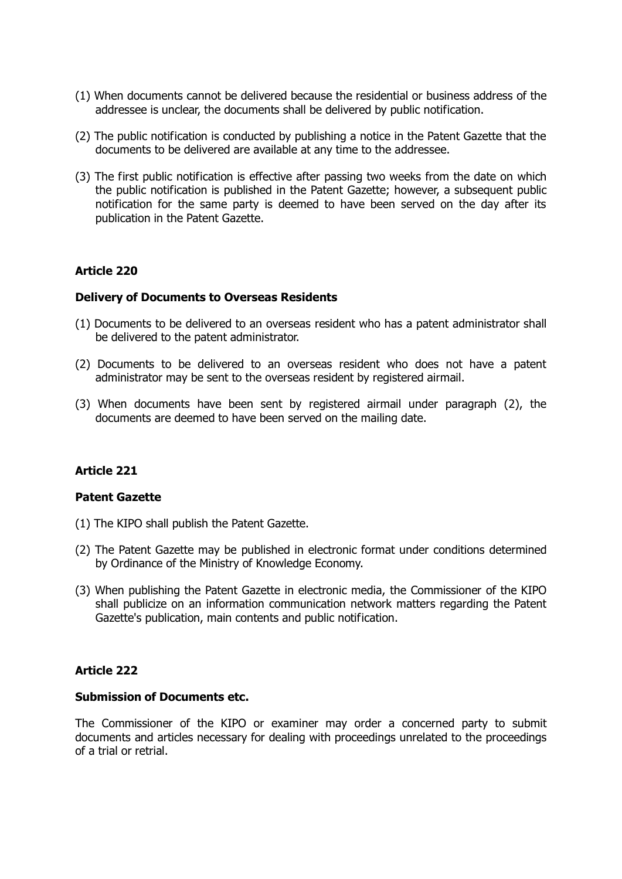- (1) When documents cannot be delivered because the residential or business address of the addressee is unclear, the documents shall be delivered by public notification.
- (2) The public notification is conducted by publishing a notice in the Patent Gazette that the documents to be delivered are available at any time to the addressee.
- (3) The first public notification is effective after passing two weeks from the date on which the public notification is published in the Patent Gazette; however, a subsequent public notification for the same party is deemed to have been served on the day after its publication in the Patent Gazette.

### **Delivery of Documents to Overseas Residents**

- (1) Documents to be delivered to an overseas resident who has a patent administrator shall be delivered to the patent administrator.
- (2) Documents to be delivered to an overseas resident who does not have a patent administrator may be sent to the overseas resident by registered airmail.
- (3) When documents have been sent by registered airmail under paragraph (2), the documents are deemed to have been served on the mailing date.

### **Article 221**

### **Patent Gazette**

- (1) The KIPO shall publish the Patent Gazette.
- (2) The Patent Gazette may be published in electronic format under conditions determined by Ordinance of the Ministry of Knowledge Economy.
- (3) When publishing the Patent Gazette in electronic media, the Commissioner of the KIPO shall publicize on an information communication network matters regarding the Patent Gazette's publication, main contents and public notification.

### **Article 222**

#### **Submission of Documents etc.**

The Commissioner of the KIPO or examiner may order a concerned party to submit documents and articles necessary for dealing with proceedings unrelated to the proceedings of a trial or retrial.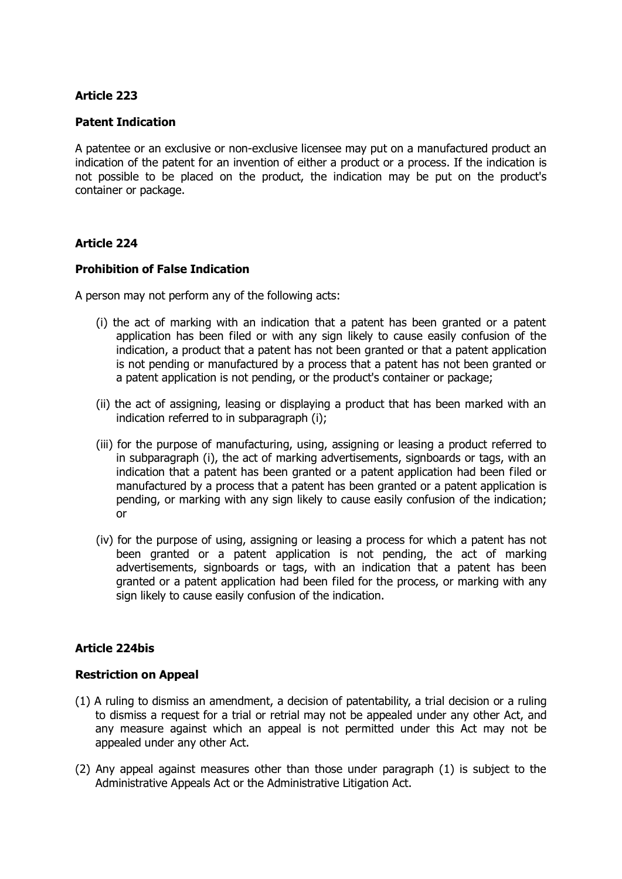### **Patent Indication**

A patentee or an exclusive or non-exclusive licensee may put on a manufactured product an indication of the patent for an invention of either a product or a process. If the indication is not possible to be placed on the product, the indication may be put on the product's container or package.

### **Article 224**

### **Prohibition of False Indication**

A person may not perform any of the following acts:

- (i) the act of marking with an indication that a patent has been granted or a patent application has been filed or with any sign likely to cause easily confusion of the indication, a product that a patent has not been granted or that a patent application is not pending or manufactured by a process that a patent has not been granted or a patent application is not pending, or the product's container or package;
- (ii) the act of assigning, leasing or displaying a product that has been marked with an indication referred to in subparagraph (i);
- (iii) for the purpose of manufacturing, using, assigning or leasing a product referred to in subparagraph (i), the act of marking advertisements, signboards or tags, with an indication that a patent has been granted or a patent application had been filed or manufactured by a process that a patent has been granted or a patent application is pending, or marking with any sign likely to cause easily confusion of the indication; or
- (iv) for the purpose of using, assigning or leasing a process for which a patent has not been granted or a patent application is not pending, the act of marking advertisements, signboards or tags, with an indication that a patent has been granted or a patent application had been filed for the process, or marking with any sign likely to cause easily confusion of the indication.

# **Article 224bis**

### **Restriction on Appeal**

- (1) A ruling to dismiss an amendment, a decision of patentability, a trial decision or a ruling to dismiss a request for a trial or retrial may not be appealed under any other Act, and any measure against which an appeal is not permitted under this Act may not be appealed under any other Act.
- (2) Any appeal against measures other than those under paragraph (1) is subject to the Administrative Appeals Act or the Administrative Litigation Act.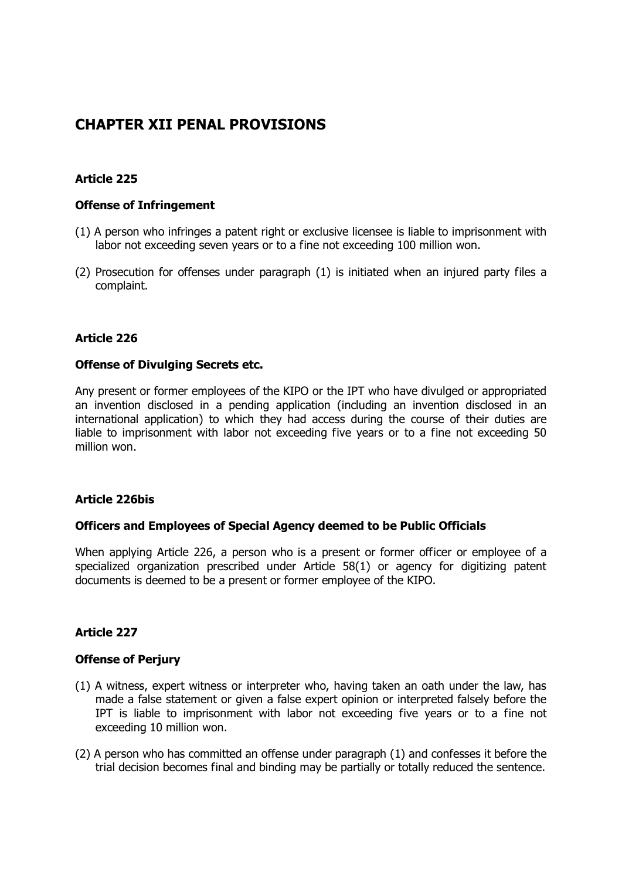# **CHAPTER XII PENAL PROVISIONS**

# **Article 225**

### **Offense of Infringement**

- (1) A person who infringes a patent right or exclusive licensee is liable to imprisonment with labor not exceeding seven years or to a fine not exceeding 100 million won.
- (2) Prosecution for offenses under paragraph (1) is initiated when an injured party files a complaint.

### **Article 226**

### **Offense of Divulging Secrets etc.**

Any present or former employees of the KIPO or the IPT who have divulged or appropriated an invention disclosed in a pending application (including an invention disclosed in an international application) to which they had access during the course of their duties are liable to imprisonment with labor not exceeding five years or to a fine not exceeding 50 million won.

### **Article 226bis**

### **Officers and Employees of Special Agency deemed to be Public Officials**

When applying Article 226, a person who is a present or former officer or employee of a specialized organization prescribed under Article 58(1) or agency for digitizing patent documents is deemed to be a present or former employee of the KIPO.

# **Article 227**

### **Offense of Perjury**

- (1) A witness, expert witness or interpreter who, having taken an oath under the law, has made a false statement or given a false expert opinion or interpreted falsely before the IPT is liable to imprisonment with labor not exceeding five years or to a fine not exceeding 10 million won.
- (2) A person who has committed an offense under paragraph (1) and confesses it before the trial decision becomes final and binding may be partially or totally reduced the sentence.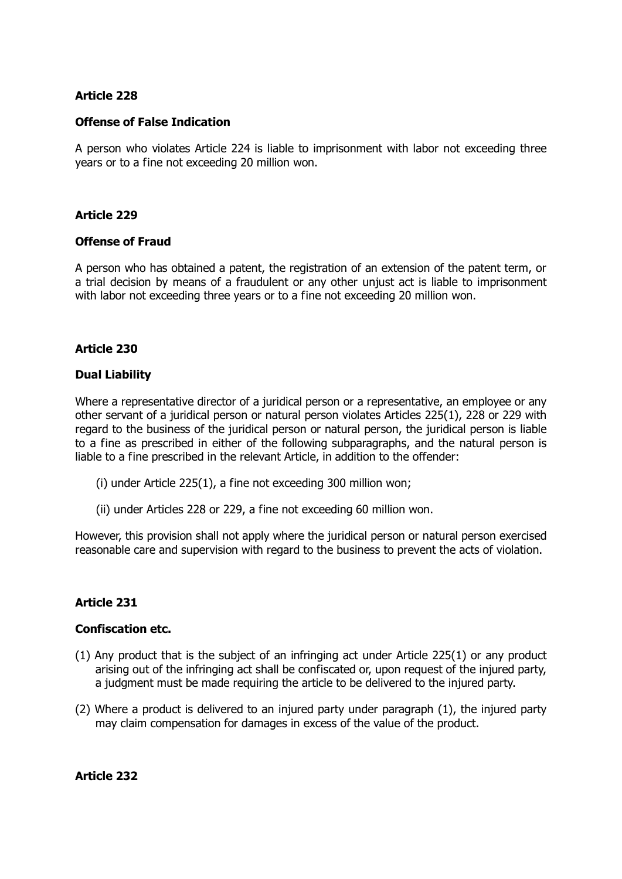### **Offense of False Indication**

A person who violates Article 224 is liable to imprisonment with labor not exceeding three years or to a fine not exceeding 20 million won.

### **Article 229**

### **Offense of Fraud**

A person who has obtained a patent, the registration of an extension of the patent term, or a trial decision by means of a fraudulent or any other unjust act is liable to imprisonment with labor not exceeding three years or to a fine not exceeding 20 million won.

### **Article 230**

### **Dual Liability**

Where a representative director of a juridical person or a representative, an employee or any other servant of a juridical person or natural person violates Articles 225(1), 228 or 229 with regard to the business of the juridical person or natural person, the juridical person is liable to a fine as prescribed in either of the following subparagraphs, and the natural person is liable to a fine prescribed in the relevant Article, in addition to the offender:

- (i) under Article 225(1), a fine not exceeding 300 million won;
- (ii) under Articles 228 or 229, a fine not exceeding 60 million won.

However, this provision shall not apply where the juridical person or natural person exercised reasonable care and supervision with regard to the business to prevent the acts of violation.

### **Article 231**

### **Confiscation etc.**

- (1) Any product that is the subject of an infringing act under Article 225(1) or any product arising out of the infringing act shall be confiscated or, upon request of the injured party, a judgment must be made requiring the article to be delivered to the injured party.
- (2) Where a product is delivered to an injured party under paragraph (1), the injured party may claim compensation for damages in excess of the value of the product.

**Article 232**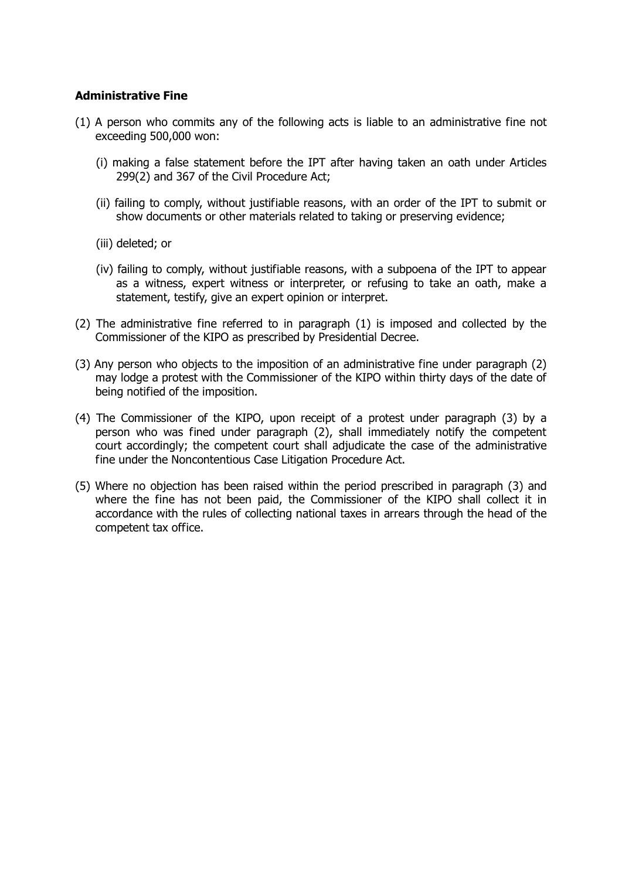### **Administrative Fine**

- (1) A person who commits any of the following acts is liable to an administrative fine not exceeding 500,000 won:
	- (i) making a false statement before the IPT after having taken an oath under Articles 299(2) and 367 of the Civil Procedure Act;
	- (ii) failing to comply, without justifiable reasons, with an order of the IPT to submit or show documents or other materials related to taking or preserving evidence;
	- (iii) deleted; or
	- (iv) failing to comply, without justifiable reasons, with a subpoena of the IPT to appear as a witness, expert witness or interpreter, or refusing to take an oath, make a statement, testify, give an expert opinion or interpret.
- (2) The administrative fine referred to in paragraph (1) is imposed and collected by the Commissioner of the KIPO as prescribed by Presidential Decree.
- (3) Any person who objects to the imposition of an administrative fine under paragraph (2) may lodge a protest with the Commissioner of the KIPO within thirty days of the date of being notified of the imposition.
- (4) The Commissioner of the KIPO, upon receipt of a protest under paragraph (3) by a person who was fined under paragraph (2), shall immediately notify the competent court accordingly; the competent court shall adjudicate the case of the administrative fine under the Noncontentious Case Litigation Procedure Act.
- (5) Where no objection has been raised within the period prescribed in paragraph (3) and where the fine has not been paid, the Commissioner of the KIPO shall collect it in accordance with the rules of collecting national taxes in arrears through the head of the competent tax office.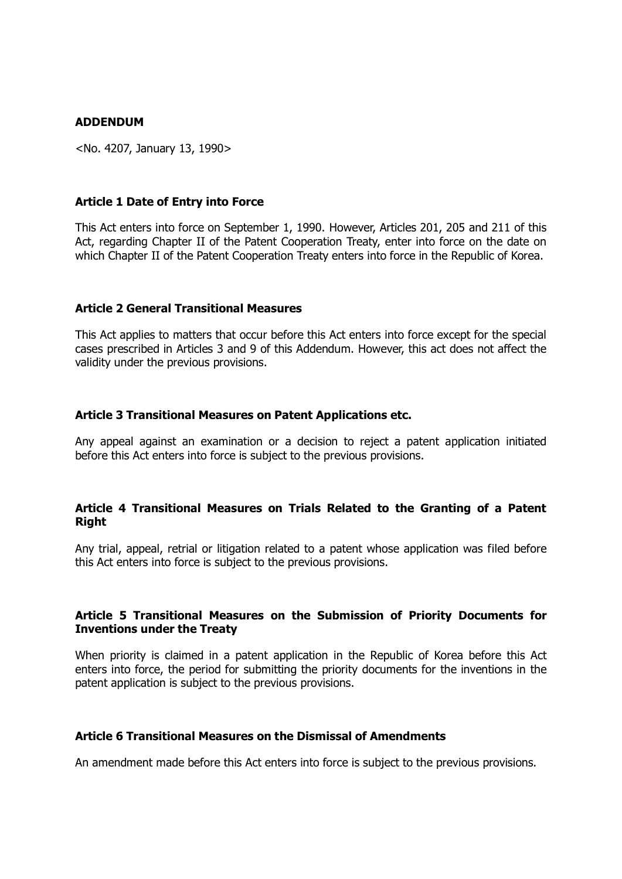#### **ADDENDUM**

<No. 4207, January 13, 1990>

#### **Article 1 Date of Entry into Force**

This Act enters into force on September 1, 1990. However, Articles 201, 205 and 211 of this Act, regarding Chapter II of the Patent Cooperation Treaty, enter into force on the date on which Chapter II of the Patent Cooperation Treaty enters into force in the Republic of Korea.

#### **Article 2 General Transitional Measures**

This Act applies to matters that occur before this Act enters into force except for the special cases prescribed in Articles 3 and 9 of this Addendum. However, this act does not affect the validity under the previous provisions.

#### **Article 3 Transitional Measures on Patent Applications etc.**

Any appeal against an examination or a decision to reject a patent application initiated before this Act enters into force is subject to the previous provisions.

#### **Article 4 Transitional Measures on Trials Related to the Granting of a Patent Right**

Any trial, appeal, retrial or litigation related to a patent whose application was filed before this Act enters into force is subject to the previous provisions.

### **Article 5 Transitional Measures on the Submission of Priority Documents for Inventions under the Treaty**

When priority is claimed in a patent application in the Republic of Korea before this Act enters into force, the period for submitting the priority documents for the inventions in the patent application is subject to the previous provisions.

#### **Article 6 Transitional Measures on the Dismissal of Amendments**

An amendment made before this Act enters into force is subject to the previous provisions.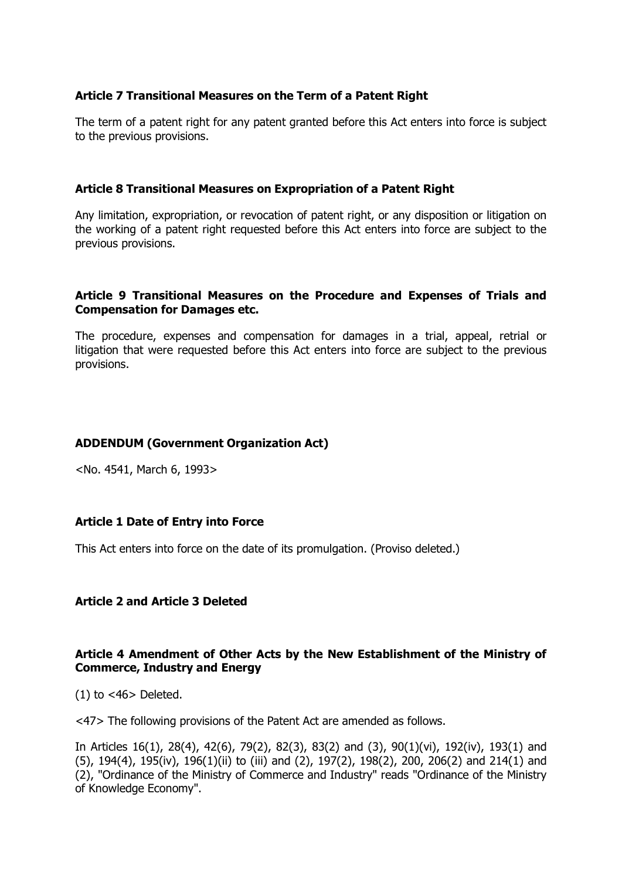### **Article 7 Transitional Measures on the Term of a Patent Right**

The term of a patent right for any patent granted before this Act enters into force is subject to the previous provisions.

### **Article 8 Transitional Measures on Expropriation of a Patent Right**

Any limitation, expropriation, or revocation of patent right, or any disposition or litigation on the working of a patent right requested before this Act enters into force are subject to the previous provisions.

### **Article 9 Transitional Measures on the Procedure and Expenses of Trials and Compensation for Damages etc.**

The procedure, expenses and compensation for damages in a trial, appeal, retrial or litigation that were requested before this Act enters into force are subject to the previous provisions.

### **ADDENDUM (Government Organization Act)**

<No. 4541, March 6, 1993>

# **Article 1 Date of Entry into Force**

This Act enters into force on the date of its promulgation. (Proviso deleted.)

### **Article 2 and Article 3 Deleted**

### **Article 4 Amendment of Other Acts by the New Establishment of the Ministry of Commerce, Industry and Energy**

 $(1)$  to  $<$ 46 $>$  Deleted.

<47> The following provisions of the Patent Act are amended as follows.

In Articles 16(1), 28(4), 42(6), 79(2), 82(3), 83(2) and (3), 90(1)(vi), 192(iv), 193(1) and (5), 194(4), 195(iv), 196(1)(ii) to (iii) and (2), 197(2), 198(2), 200, 206(2) and 214(1) and (2), "Ordinance of the Ministry of Commerce and Industry" reads "Ordinance of the Ministry of Knowledge Economy".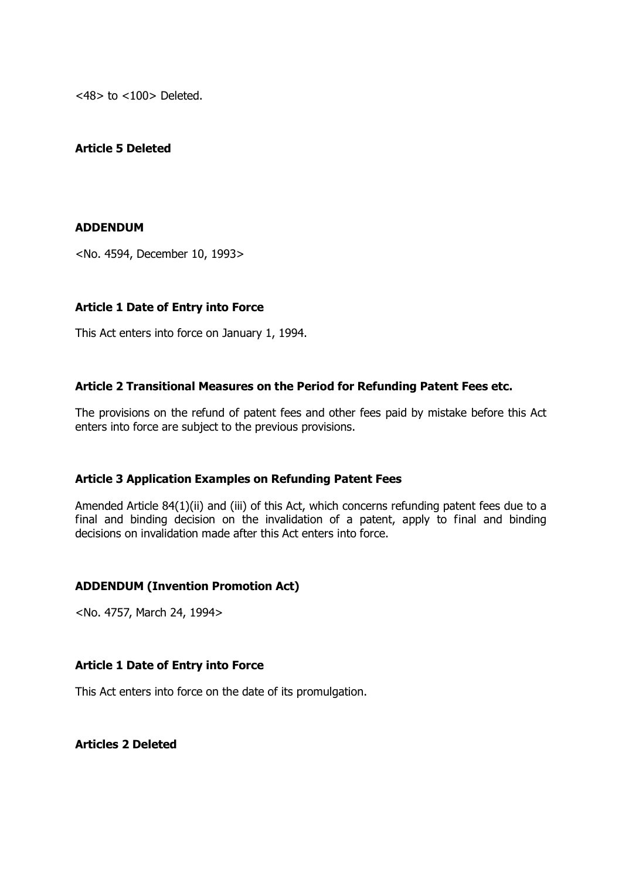<48> to <100> Deleted.

# **Article 5 Deleted**

## **ADDENDUM**

<No. 4594, December 10, 1993>

## **Article 1 Date of Entry into Force**

This Act enters into force on January 1, 1994.

## **Article 2 Transitional Measures on the Period for Refunding Patent Fees etc.**

The provisions on the refund of patent fees and other fees paid by mistake before this Act enters into force are subject to the previous provisions.

## **Article 3 Application Examples on Refunding Patent Fees**

Amended Article 84(1)(ii) and (iii) of this Act, which concerns refunding patent fees due to a final and binding decision on the invalidation of a patent, apply to final and binding decisions on invalidation made after this Act enters into force.

# **ADDENDUM (Invention Promotion Act)**

<No. 4757, March 24, 1994>

## **Article 1 Date of Entry into Force**

This Act enters into force on the date of its promulgation.

**Articles 2 Deleted**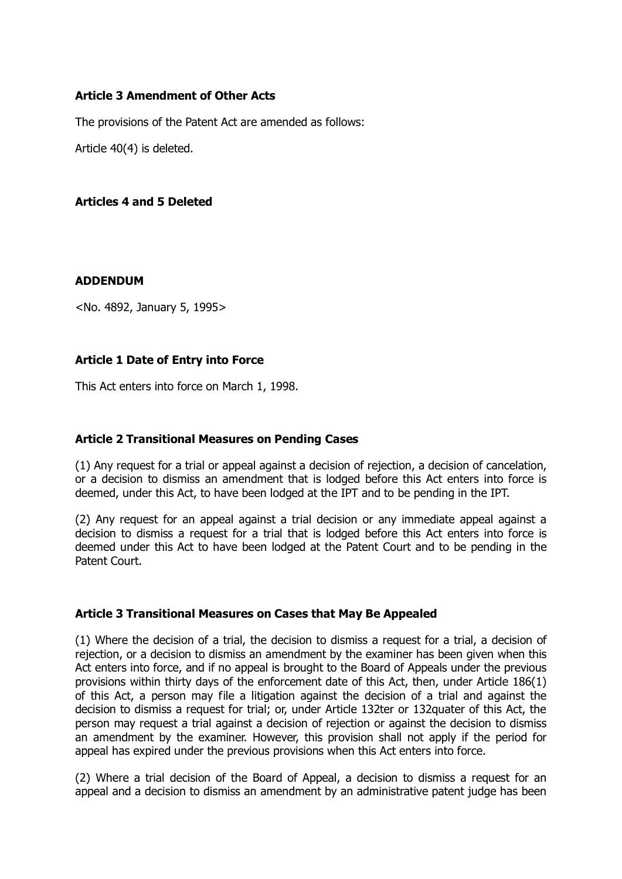# **Article 3 Amendment of Other Acts**

The provisions of the Patent Act are amended as follows:

Article 40(4) is deleted.

## **Articles 4 and 5 Deleted**

## **ADDENDUM**

<No. 4892, January 5, 1995>

## **Article 1 Date of Entry into Force**

This Act enters into force on March 1, 1998.

## **Article 2 Transitional Measures on Pending Cases**

(1) Any request for a trial or appeal against a decision of rejection, a decision of cancelation, or a decision to dismiss an amendment that is lodged before this Act enters into force is deemed, under this Act, to have been lodged at the IPT and to be pending in the IPT.

(2) Any request for an appeal against a trial decision or any immediate appeal against a decision to dismiss a request for a trial that is lodged before this Act enters into force is deemed under this Act to have been lodged at the Patent Court and to be pending in the Patent Court.

## **Article 3 Transitional Measures on Cases that May Be Appealed**

(1) Where the decision of a trial, the decision to dismiss a request for a trial, a decision of rejection, or a decision to dismiss an amendment by the examiner has been given when this Act enters into force, and if no appeal is brought to the Board of Appeals under the previous provisions within thirty days of the enforcement date of this Act, then, under Article 186(1) of this Act, a person may file a litigation against the decision of a trial and against the decision to dismiss a request for trial; or, under Article 132ter or 132quater of this Act, the person may request a trial against a decision of rejection or against the decision to dismiss an amendment by the examiner. However, this provision shall not apply if the period for appeal has expired under the previous provisions when this Act enters into force.

(2) Where a trial decision of the Board of Appeal, a decision to dismiss a request for an appeal and a decision to dismiss an amendment by an administrative patent judge has been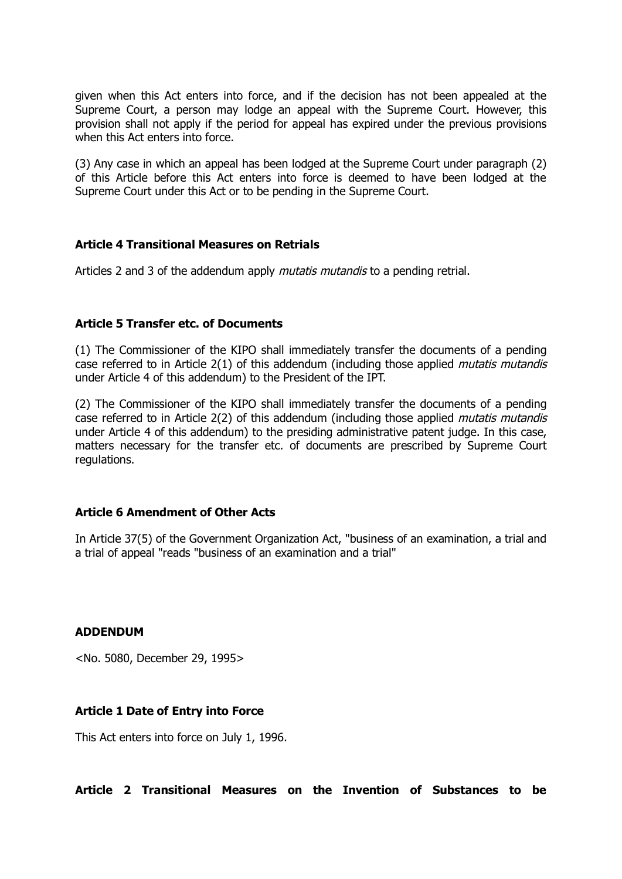given when this Act enters into force, and if the decision has not been appealed at the Supreme Court, a person may lodge an appeal with the Supreme Court. However, this provision shall not apply if the period for appeal has expired under the previous provisions when this Act enters into force.

(3) Any case in which an appeal has been lodged at the Supreme Court under paragraph (2) of this Article before this Act enters into force is deemed to have been lodged at the Supreme Court under this Act or to be pending in the Supreme Court.

## **Article 4 Transitional Measures on Retrials**

Articles 2 and 3 of the addendum apply *mutatis mutandis* to a pending retrial.

#### **Article 5 Transfer etc. of Documents**

(1) The Commissioner of the KIPO shall immediately transfer the documents of a pending case referred to in Article 2(1) of this addendum (including those applied *mutatis mutandis* under Article 4 of this addendum) to the President of the IPT.

(2) The Commissioner of the KIPO shall immediately transfer the documents of a pending case referred to in Article 2(2) of this addendum (including those applied *mutatis mutandis* under Article 4 of this addendum) to the presiding administrative patent judge. In this case, matters necessary for the transfer etc. of documents are prescribed by Supreme Court regulations.

#### **Article 6 Amendment of Other Acts**

In Article 37(5) of the Government Organization Act, "business of an examination, a trial and a trial of appeal "reads "business of an examination and a trial"

#### **ADDENDUM**

<No. 5080, December 29, 1995>

#### **Article 1 Date of Entry into Force**

This Act enters into force on July 1, 1996.

**Article 2 Transitional Measures on the Invention of Substances to be**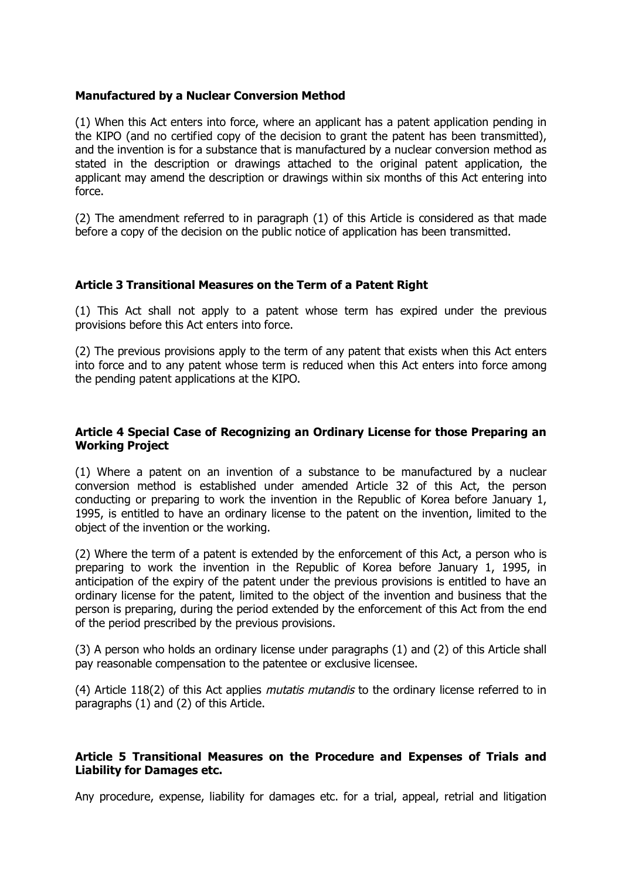## **Manufactured by a Nuclear Conversion Method**

(1) When this Act enters into force, where an applicant has a patent application pending in the KIPO (and no certified copy of the decision to grant the patent has been transmitted), and the invention is for a substance that is manufactured by a nuclear conversion method as stated in the description or drawings attached to the original patent application, the applicant may amend the description or drawings within six months of this Act entering into force.

(2) The amendment referred to in paragraph (1) of this Article is considered as that made before a copy of the decision on the public notice of application has been transmitted.

## **Article 3 Transitional Measures on the Term of a Patent Right**

(1) This Act shall not apply to a patent whose term has expired under the previous provisions before this Act enters into force.

(2) The previous provisions apply to the term of any patent that exists when this Act enters into force and to any patent whose term is reduced when this Act enters into force among the pending patent applications at the KIPO.

## **Article 4 Special Case of Recognizing an Ordinary License for those Preparing an Working Project**

(1) Where a patent on an invention of a substance to be manufactured by a nuclear conversion method is established under amended Article 32 of this Act, the person conducting or preparing to work the invention in the Republic of Korea before January 1, 1995, is entitled to have an ordinary license to the patent on the invention, limited to the object of the invention or the working.

(2) Where the term of a patent is extended by the enforcement of this Act, a person who is preparing to work the invention in the Republic of Korea before January 1, 1995, in anticipation of the expiry of the patent under the previous provisions is entitled to have an ordinary license for the patent, limited to the object of the invention and business that the person is preparing, during the period extended by the enforcement of this Act from the end of the period prescribed by the previous provisions.

(3) A person who holds an ordinary license under paragraphs (1) and (2) of this Article shall pay reasonable compensation to the patentee or exclusive licensee.

(4) Article 118(2) of this Act applies *mutatis mutandis* to the ordinary license referred to in paragraphs (1) and (2) of this Article.

## **Article 5 Transitional Measures on the Procedure and Expenses of Trials and Liability for Damages etc.**

Any procedure, expense, liability for damages etc. for a trial, appeal, retrial and litigation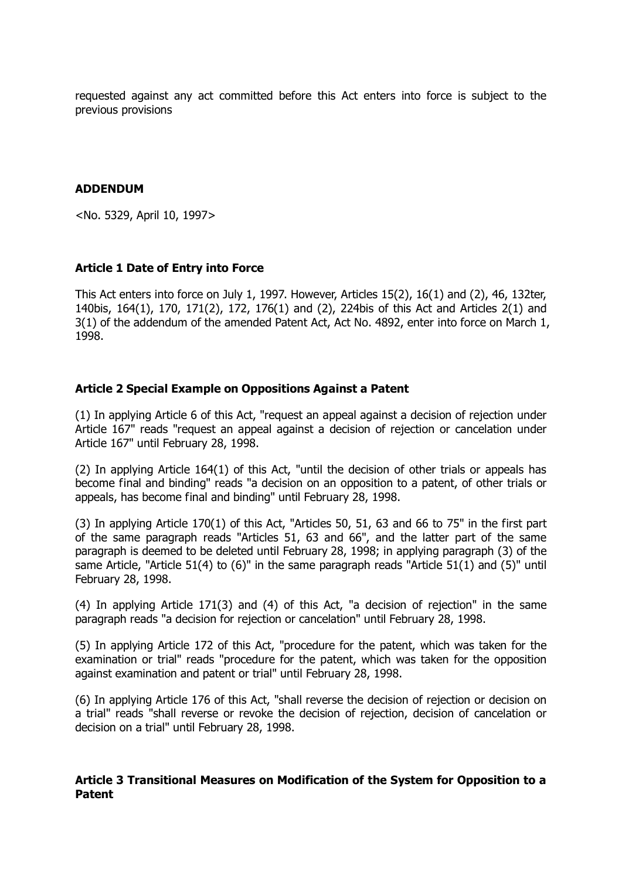requested against any act committed before this Act enters into force is subject to the previous provisions

## **ADDENDUM**

<No. 5329, April 10, 1997>

## **Article 1 Date of Entry into Force**

This Act enters into force on July 1, 1997. However, Articles 15(2), 16(1) and (2), 46, 132ter, 140bis, 164(1), 170, 171(2), 172, 176(1) and (2), 224bis of this Act and Articles 2(1) and 3(1) of the addendum of the amended Patent Act, Act No. 4892, enter into force on March 1, 1998.

## **Article 2 Special Example on Oppositions Against a Patent**

(1) In applying Article 6 of this Act, "request an appeal against a decision of rejection under Article 167" reads "request an appeal against a decision of rejection or cancelation under Article 167" until February 28, 1998.

(2) In applying Article 164(1) of this Act, "until the decision of other trials or appeals has become final and binding" reads "a decision on an opposition to a patent, of other trials or appeals, has become final and binding" until February 28, 1998.

(3) In applying Article 170(1) of this Act, "Articles 50, 51, 63 and 66 to 75" in the first part of the same paragraph reads "Articles 51, 63 and 66", and the latter part of the same paragraph is deemed to be deleted until February 28, 1998; in applying paragraph (3) of the same Article, "Article 51(4) to (6)" in the same paragraph reads "Article 51(1) and (5)" until February 28, 1998.

(4) In applying Article 171(3) and (4) of this Act, "a decision of rejection" in the same paragraph reads "a decision for rejection or cancelation" until February 28, 1998.

(5) In applying Article 172 of this Act, "procedure for the patent, which was taken for the examination or trial" reads "procedure for the patent, which was taken for the opposition against examination and patent or trial" until February 28, 1998.

(6) In applying Article 176 of this Act, "shall reverse the decision of rejection or decision on a trial" reads "shall reverse or revoke the decision of rejection, decision of cancelation or decision on a trial" until February 28, 1998.

## **Article 3 Transitional Measures on Modification of the System for Opposition to a Patent**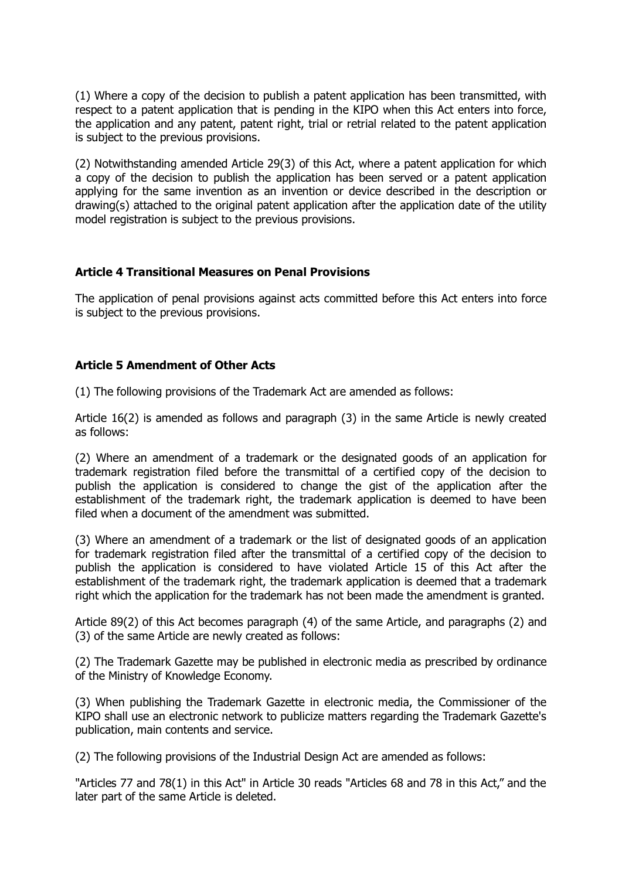(1) Where a copy of the decision to publish a patent application has been transmitted, with respect to a patent application that is pending in the KIPO when this Act enters into force, the application and any patent, patent right, trial or retrial related to the patent application is subject to the previous provisions.

(2) Notwithstanding amended Article 29(3) of this Act, where a patent application for which a copy of the decision to publish the application has been served or a patent application applying for the same invention as an invention or device described in the description or drawing(s) attached to the original patent application after the application date of the utility model registration is subject to the previous provisions.

## **Article 4 Transitional Measures on Penal Provisions**

The application of penal provisions against acts committed before this Act enters into force is subject to the previous provisions.

# **Article 5 Amendment of Other Acts**

(1) The following provisions of the Trademark Act are amended as follows:

Article 16(2) is amended as follows and paragraph (3) in the same Article is newly created as follows:

(2) Where an amendment of a trademark or the designated goods of an application for trademark registration filed before the transmittal of a certified copy of the decision to publish the application is considered to change the gist of the application after the establishment of the trademark right, the trademark application is deemed to have been filed when a document of the amendment was submitted.

(3) Where an amendment of a trademark or the list of designated goods of an application for trademark registration filed after the transmittal of a certified copy of the decision to publish the application is considered to have violated Article 15 of this Act after the establishment of the trademark right, the trademark application is deemed that a trademark right which the application for the trademark has not been made the amendment is granted.

Article 89(2) of this Act becomes paragraph (4) of the same Article, and paragraphs (2) and (3) of the same Article are newly created as follows:

(2) The Trademark Gazette may be published in electronic media as prescribed by ordinance of the Ministry of Knowledge Economy.

(3) When publishing the Trademark Gazette in electronic media, the Commissioner of the KIPO shall use an electronic network to publicize matters regarding the Trademark Gazette's publication, main contents and service.

(2) The following provisions of the Industrial Design Act are amended as follows:

"Articles 77 and 78(1) in this Act" in Article 30 reads "Articles 68 and 78 in this Act," and the later part of the same Article is deleted.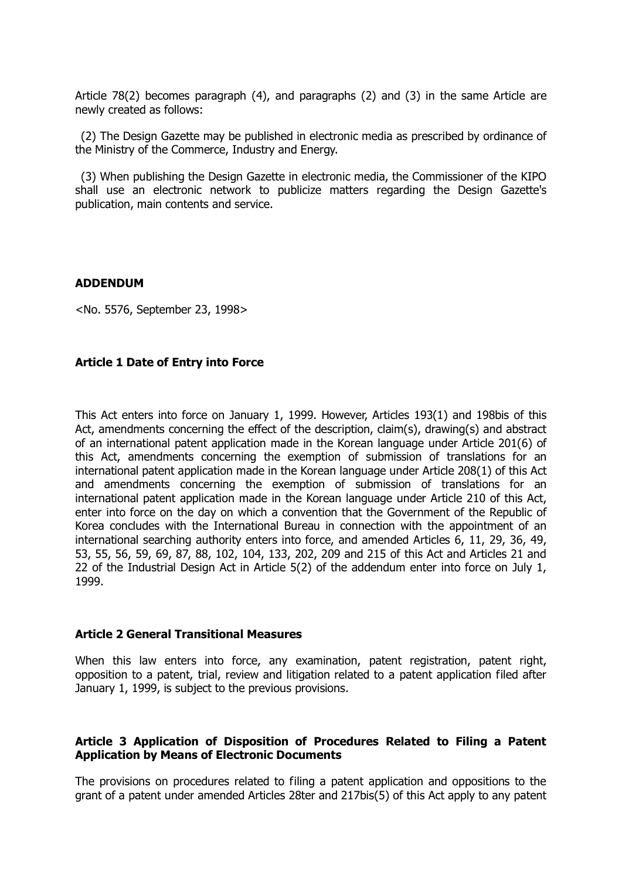Article 78(2) becomes paragraph (4), and paragraphs (2) and (3) in the same Article are newly created as follows:

(2) The Design Gazette may be published in electronic media as prescribed by ordinance of the Ministry of the Commerce, Industry and Energy.

(3) When publishing the Design Gazette in electronic media, the Commissioner of the KIPO shall use an electronic network to publicize matters regarding the Design Gazette's publication, main contents and service.

#### **ADDENDUM**

<No. 5576, September 23, 1998>

## **Article 1 Date of Entry into Force**

This Act enters into force on January 1, 1999. However, Articles 193(1) and 198bis of this Act, amendments concerning the effect of the description, claim(s), drawing(s) and abstract of an international patent application made in the Korean language under Article 201(6) of this Act, amendments concerning the exemption of submission of translations for an international patent application made in the Korean language under Article 208(1) of this Act and amendments concerning the exemption of submission of translations for an international patent application made in the Korean language under Article 210 of this Act, enter into force on the day on which a convention that the Government of the Republic of Korea concludes with the International Bureau in connection with the appointment of an international searching authority enters into force, and amended Articles 6, 11, 29, 36, 49, 53, 55, 56, 59, 69, 87, 88, 102, 104, 133, 202, 209 and 215 of this Act and Articles 21 and 22 of the Industrial Design Act in Article 5(2) of the addendum enter into force on July 1, 1999.

#### **Article 2 General Transitional Measures**

When this law enters into force, any examination, patent registration, patent right, opposition to a patent, trial, review and litigation related to a patent application filed after January 1, 1999, is subject to the previous provisions.

## **Article 3 Application of Disposition of Procedures Related to Filing a Patent Application by Means of Electronic Documents**

The provisions on procedures related to filing a patent application and oppositions to the grant of a patent under amended Articles 28ter and 217bis(5) of this Act apply to any patent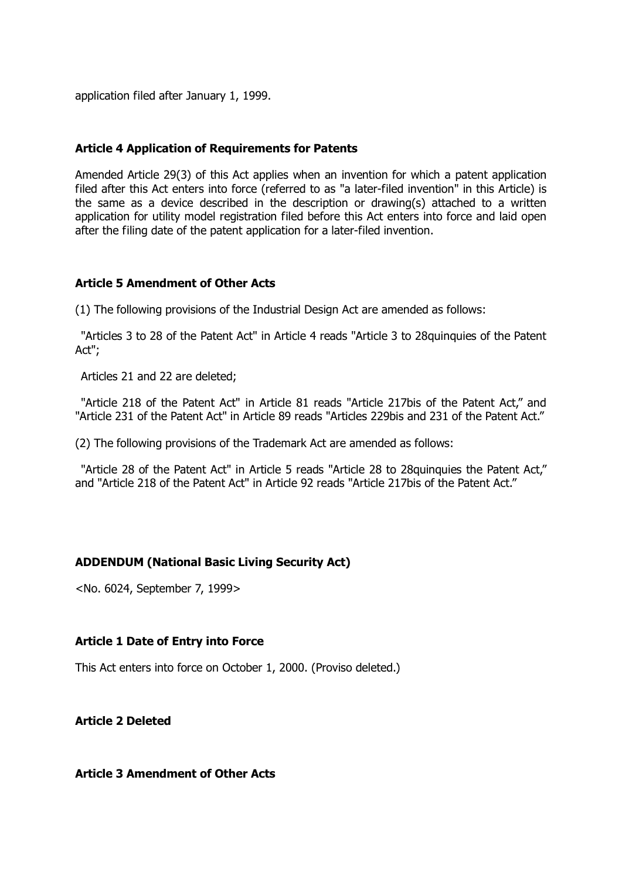application filed after January 1, 1999.

#### **Article 4 Application of Requirements for Patents**

Amended Article 29(3) of this Act applies when an invention for which a patent application filed after this Act enters into force (referred to as "a later-filed invention" in this Article) is the same as a device described in the description or drawing(s) attached to a written application for utility model registration filed before this Act enters into force and laid open after the filing date of the patent application for a later-filed invention.

## **Article 5 Amendment of Other Acts**

(1) The following provisions of the Industrial Design Act are amended as follows:

"Articles 3 to 28 of the Patent Act" in Article 4 reads "Article 3 to 28quinquies of the Patent Act";

Articles 21 and 22 are deleted;

"Article 218 of the Patent Act" in Article 81 reads "Article 217bis of the Patent Act," and "Article 231 of the Patent Act" in Article 89 reads "Articles 229bis and 231 of the Patent Act."

(2) The following provisions of the Trademark Act are amended as follows:

"Article 28 of the Patent Act" in Article 5 reads "Article 28 to 28quinquies the Patent Act," and "Article 218 of the Patent Act" in Article 92 reads "Article 217bis of the Patent Act."

## **ADDENDUM (National Basic Living Security Act)**

<No. 6024, September 7, 1999>

#### **Article 1 Date of Entry into Force**

This Act enters into force on October 1, 2000. (Proviso deleted.)

**Article 2 Deleted**

## **Article 3 Amendment of Other Acts**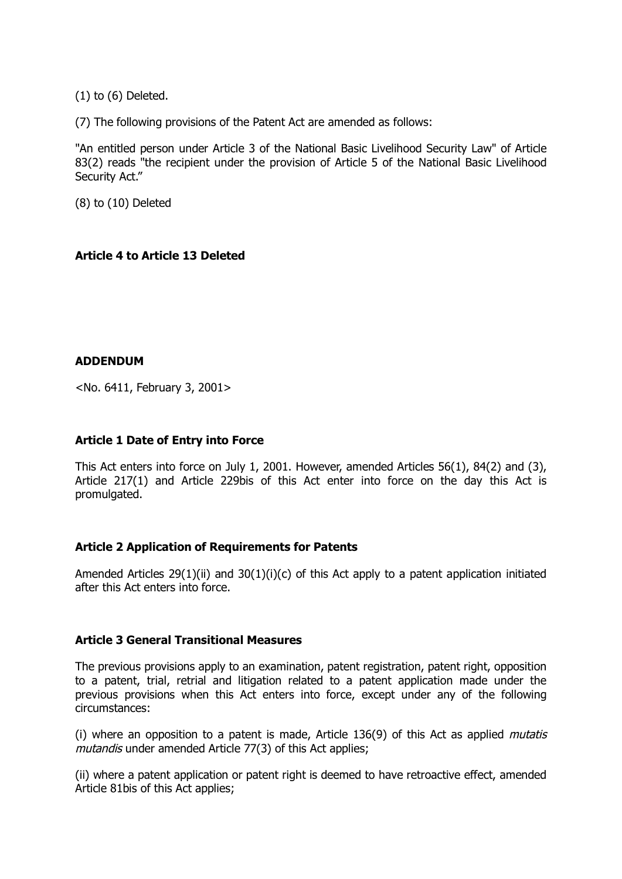(1) to (6) Deleted.

(7) The following provisions of the Patent Act are amended as follows:

"An entitled person under Article 3 of the National Basic Livelihood Security Law" of Article 83(2) reads "the recipient under the provision of Article 5 of the National Basic Livelihood Security Act."

(8) to (10) Deleted

# **Article 4 to Article 13 Deleted**

## **ADDENDUM**

<No. 6411, February 3, 2001>

# **Article 1 Date of Entry into Force**

This Act enters into force on July 1, 2001. However, amended Articles 56(1), 84(2) and (3), Article 217(1) and Article 229bis of this Act enter into force on the day this Act is promulgated.

## **Article 2 Application of Requirements for Patents**

Amended Articles 29(1)(ii) and 30(1)(i)(c) of this Act apply to a patent application initiated after this Act enters into force.

## **Article 3 General Transitional Measures**

The previous provisions apply to an examination, patent registration, patent right, opposition to a patent, trial, retrial and litigation related to a patent application made under the previous provisions when this Act enters into force, except under any of the following circumstances:

(i) where an opposition to a patent is made, Article 136(9) of this Act as applied mutatis mutandis under amended Article 77(3) of this Act applies;

(ii) where a patent application or patent right is deemed to have retroactive effect, amended Article 81bis of this Act applies;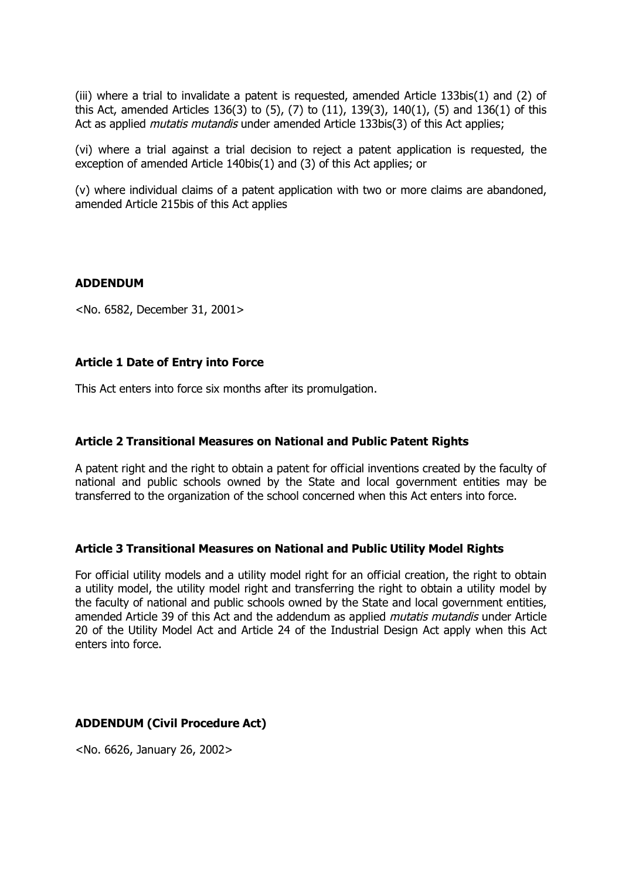(iii) where a trial to invalidate a patent is requested, amended Article 133bis(1) and (2) of this Act, amended Articles 136(3) to (5), (7) to (11), 139(3), 140(1), (5) and 136(1) of this Act as applied *mutatis mutandis* under amended Article 133bis(3) of this Act applies;

(vi) where a trial against a trial decision to reject a patent application is requested, the exception of amended Article 140bis(1) and (3) of this Act applies; or

(v) where individual claims of a patent application with two or more claims are abandoned, amended Article 215bis of this Act applies

#### **ADDENDUM**

<No. 6582, December 31, 2001>

## **Article 1 Date of Entry into Force**

This Act enters into force six months after its promulgation.

## **Article 2 Transitional Measures on National and Public Patent Rights**

A patent right and the right to obtain a patent for official inventions created by the faculty of national and public schools owned by the State and local government entities may be transferred to the organization of the school concerned when this Act enters into force.

## **Article 3 Transitional Measures on National and Public Utility Model Rights**

For official utility models and a utility model right for an official creation, the right to obtain a utility model, the utility model right and transferring the right to obtain a utility model by the faculty of national and public schools owned by the State and local government entities, amended Article 39 of this Act and the addendum as applied *mutatis mutandis* under Article 20 of the Utility Model Act and Article 24 of the Industrial Design Act apply when this Act enters into force.

## **ADDENDUM (Civil Procedure Act)**

<No. 6626, January 26, 2002>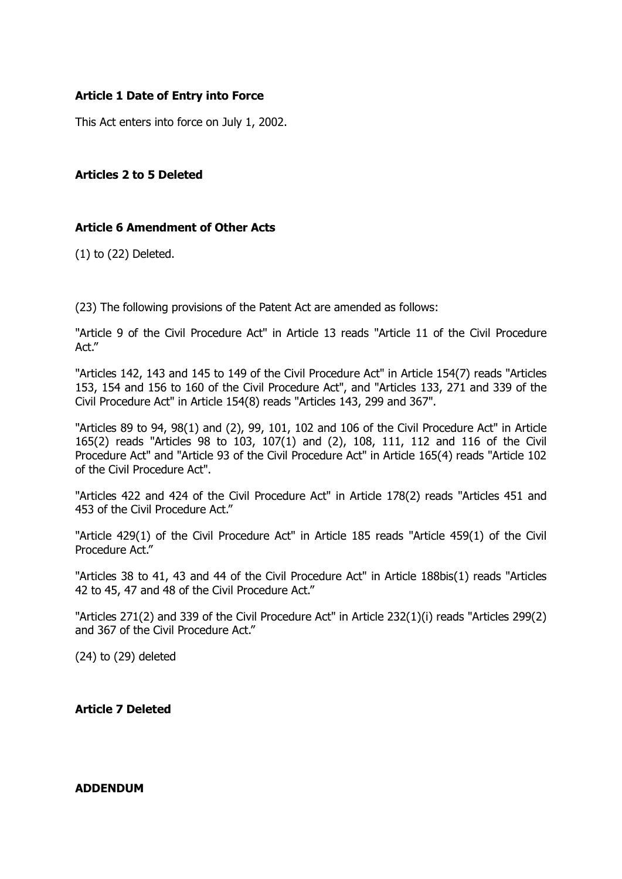# **Article 1 Date of Entry into Force**

This Act enters into force on July 1, 2002.

## **Articles 2 to 5 Deleted**

## **Article 6 Amendment of Other Acts**

(1) to (22) Deleted.

(23) The following provisions of the Patent Act are amended as follows:

"Article 9 of the Civil Procedure Act" in Article 13 reads "Article 11 of the Civil Procedure Act."

"Articles 142, 143 and 145 to 149 of the Civil Procedure Act" in Article 154(7) reads "Articles 153, 154 and 156 to 160 of the Civil Procedure Act", and "Articles 133, 271 and 339 of the Civil Procedure Act" in Article 154(8) reads "Articles 143, 299 and 367".

"Articles 89 to 94, 98(1) and (2), 99, 101, 102 and 106 of the Civil Procedure Act" in Article 165(2) reads "Articles 98 to 103, 107(1) and (2), 108, 111, 112 and 116 of the Civil Procedure Act" and "Article 93 of the Civil Procedure Act" in Article 165(4) reads "Article 102 of the Civil Procedure Act".

"Articles 422 and 424 of the Civil Procedure Act" in Article 178(2) reads "Articles 451 and 453 of the Civil Procedure Act."

"Article 429(1) of the Civil Procedure Act" in Article 185 reads "Article 459(1) of the Civil Procedure Act."

"Articles 38 to 41, 43 and 44 of the Civil Procedure Act" in Article 188bis(1) reads "Articles 42 to 45, 47 and 48 of the Civil Procedure Act."

"Articles 271(2) and 339 of the Civil Procedure Act" in Article 232(1)(i) reads "Articles 299(2) and 367 of the Civil Procedure Act."

(24) to (29) deleted

**Article 7 Deleted**

#### **ADDENDUM**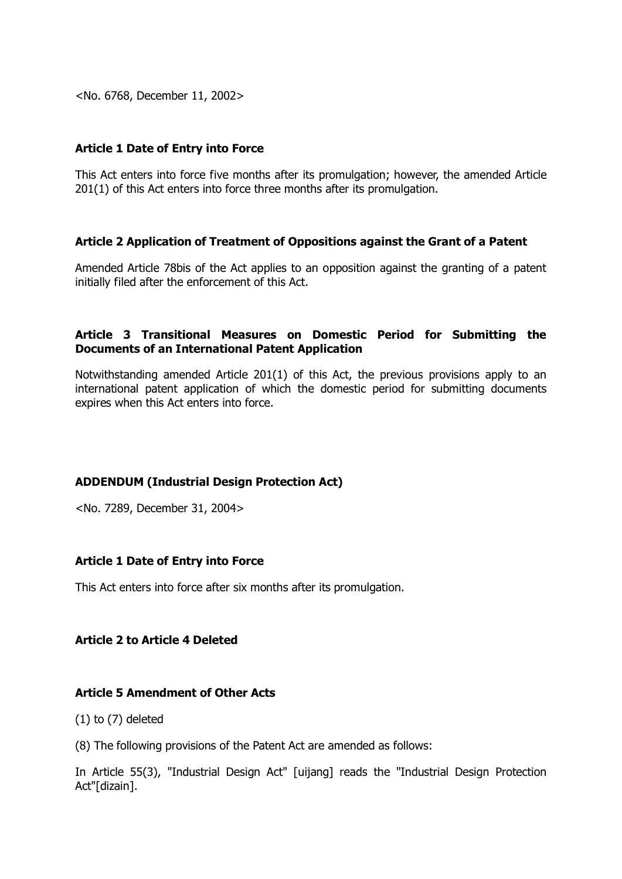<No. 6768, December 11, 2002>

## **Article 1 Date of Entry into Force**

This Act enters into force five months after its promulgation; however, the amended Article 201(1) of this Act enters into force three months after its promulgation.

## **Article 2 Application of Treatment of Oppositions against the Grant of a Patent**

Amended Article 78bis of the Act applies to an opposition against the granting of a patent initially filed after the enforcement of this Act.

## **Article 3 Transitional Measures on Domestic Period for Submitting the Documents of an International Patent Application**

Notwithstanding amended Article 201(1) of this Act, the previous provisions apply to an international patent application of which the domestic period for submitting documents expires when this Act enters into force.

# **ADDENDUM (Industrial Design Protection Act)**

<No. 7289, December 31, 2004>

## **Article 1 Date of Entry into Force**

This Act enters into force after six months after its promulgation.

# **Article 2 to Article 4 Deleted**

## **Article 5 Amendment of Other Acts**

 $(1)$  to  $(7)$  deleted

(8) The following provisions of the Patent Act are amended as follows:

In Article 55(3), "Industrial Design Act" [uijang] reads the "Industrial Design Protection Act"[dizain].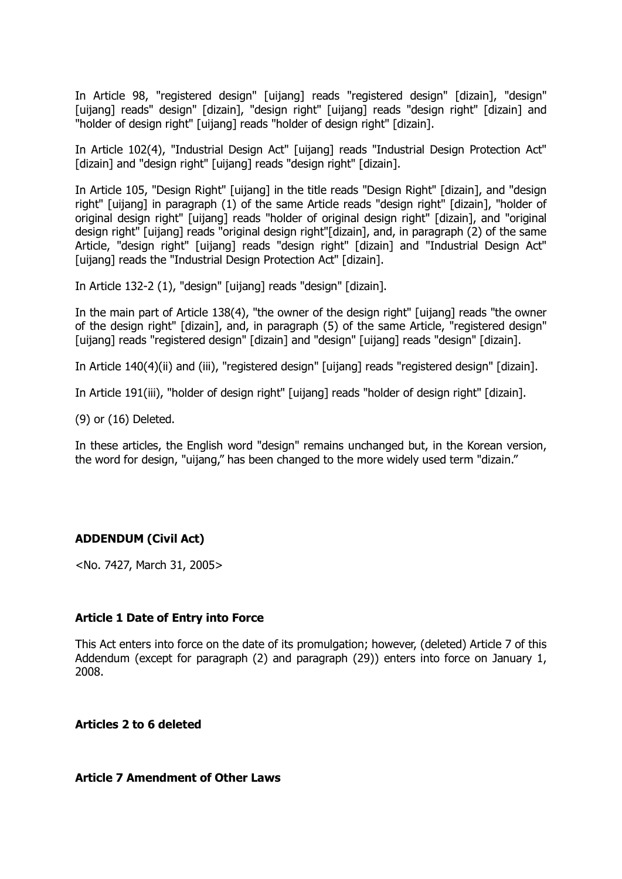In Article 98, "registered design" [uijang] reads "registered design" [dizain], "design" [uijang] reads" design" [dizain], "design right" [uijang] reads "design right" [dizain] and "holder of design right" [uijang] reads "holder of design right" [dizain].

In Article 102(4), "Industrial Design Act" [uijang] reads "Industrial Design Protection Act" [dizain] and "design right" [uijang] reads "design right" [dizain].

In Article 105, "Design Right" [uijang] in the title reads "Design Right" [dizain], and "design right" [uijang] in paragraph (1) of the same Article reads "design right" [dizain], "holder of original design right" [uijang] reads "holder of original design right" [dizain], and "original design right" [uijang] reads "original design right"[dizain], and, in paragraph (2) of the same Article, "design right" [uijang] reads "design right" [dizain] and "Industrial Design Act" [uijang] reads the "Industrial Design Protection Act" [dizain].

In Article 132-2 (1), "design" [uijang] reads "design" [dizain].

In the main part of Article 138(4), "the owner of the design right" [uijang] reads "the owner of the design right" [dizain], and, in paragraph (5) of the same Article, "registered design" [uijang] reads "registered design" [dizain] and "design" [uijang] reads "design" [dizain].

In Article 140(4)(ii) and (iii), "registered design" [uijang] reads "registered design" [dizain].

In Article 191(iii), "holder of design right" [uijang] reads "holder of design right" [dizain].

(9) or (16) Deleted.

In these articles, the English word "design" remains unchanged but, in the Korean version, the word for design, "uijang," has been changed to the more widely used term "dizain."

## **ADDENDUM (Civil Act)**

<No. 7427, March 31, 2005>

#### **Article 1 Date of Entry into Force**

This Act enters into force on the date of its promulgation; however, (deleted) Article 7 of this Addendum (except for paragraph (2) and paragraph (29)) enters into force on January 1, 2008.

**Articles 2 to 6 deleted**

#### **Article 7 Amendment of Other Laws**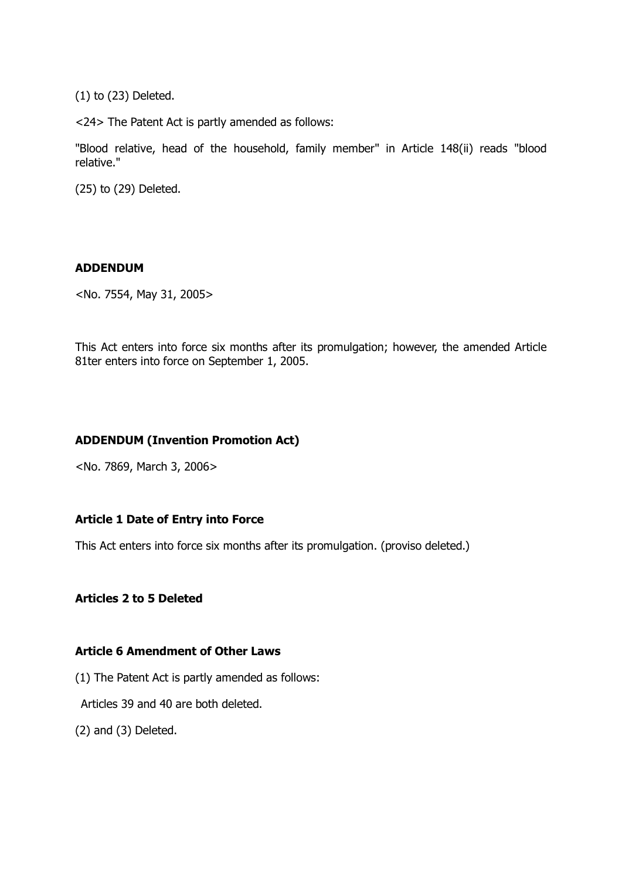(1) to (23) Deleted.

<24> The Patent Act is partly amended as follows:

"Blood relative, head of the household, family member" in Article 148(ii) reads "blood relative."

(25) to (29) Deleted.

## **ADDENDUM**

<No. 7554, May 31, 2005>

This Act enters into force six months after its promulgation; however, the amended Article 81ter enters into force on September 1, 2005.

# **ADDENDUM (Invention Promotion Act)**

<No. 7869, March 3, 2006>

# **Article 1 Date of Entry into Force**

This Act enters into force six months after its promulgation. (proviso deleted.)

## **Articles 2 to 5 Deleted**

## **Article 6 Amendment of Other Laws**

- (1) The Patent Act is partly amended as follows:
- Articles 39 and 40 are both deleted.
- (2) and (3) Deleted.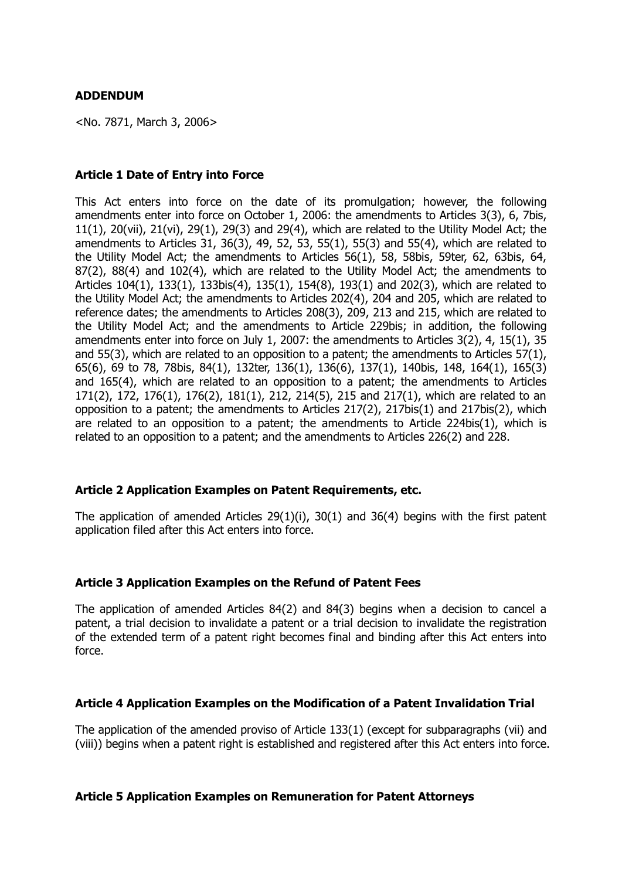<No. 7871, March 3, 2006>

## **Article 1 Date of Entry into Force**

This Act enters into force on the date of its promulgation; however, the following amendments enter into force on October 1, 2006: the amendments to Articles 3(3), 6, 7bis, 11(1), 20(vii), 21(vi), 29(1), 29(3) and 29(4), which are related to the Utility Model Act; the amendments to Articles 31, 36(3), 49, 52, 53, 55(1), 55(3) and 55(4), which are related to the Utility Model Act; the amendments to Articles 56(1), 58, 58bis, 59ter, 62, 63bis, 64, 87(2), 88(4) and 102(4), which are related to the Utility Model Act; the amendments to Articles 104(1), 133(1), 133bis(4), 135(1), 154(8), 193(1) and 202(3), which are related to the Utility Model Act; the amendments to Articles 202(4), 204 and 205, which are related to reference dates; the amendments to Articles 208(3), 209, 213 and 215, which are related to the Utility Model Act; and the amendments to Article 229bis; in addition, the following amendments enter into force on July 1, 2007: the amendments to Articles 3(2), 4, 15(1), 35 and 55(3), which are related to an opposition to a patent; the amendments to Articles 57(1), 65(6), 69 to 78, 78bis, 84(1), 132ter, 136(1), 136(6), 137(1), 140bis, 148, 164(1), 165(3) and 165(4), which are related to an opposition to a patent; the amendments to Articles 171(2), 172, 176(1), 176(2), 181(1), 212, 214(5), 215 and 217(1), which are related to an opposition to a patent; the amendments to Articles 217(2), 217bis(1) and 217bis(2), which are related to an opposition to a patent; the amendments to Article 224bis(1), which is related to an opposition to a patent; and the amendments to Articles 226(2) and 228.

## **Article 2 Application Examples on Patent Requirements, etc.**

The application of amended Articles 29(1)(i), 30(1) and 36(4) begins with the first patent application filed after this Act enters into force.

## **Article 3 Application Examples on the Refund of Patent Fees**

The application of amended Articles 84(2) and 84(3) begins when a decision to cancel a patent, a trial decision to invalidate a patent or a trial decision to invalidate the registration of the extended term of a patent right becomes final and binding after this Act enters into force.

## **Article 4 Application Examples on the Modification of a Patent Invalidation Trial**

The application of the amended proviso of Article 133(1) (except for subparagraphs (vii) and (viii)) begins when a patent right is established and registered after this Act enters into force.

## **Article 5 Application Examples on Remuneration for Patent Attorneys**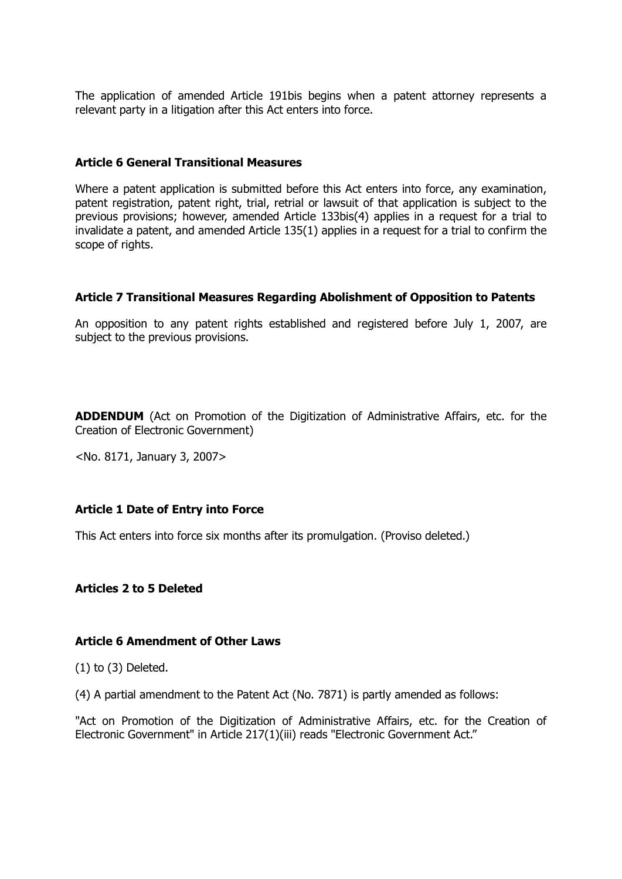The application of amended Article 191bis begins when a patent attorney represents a relevant party in a litigation after this Act enters into force.

## **Article 6 General Transitional Measures**

Where a patent application is submitted before this Act enters into force, any examination, patent registration, patent right, trial, retrial or lawsuit of that application is subject to the previous provisions; however, amended Article 133bis(4) applies in a request for a trial to invalidate a patent, and amended Article 135(1) applies in a request for a trial to confirm the scope of rights.

#### **Article 7 Transitional Measures Regarding Abolishment of Opposition to Patents**

An opposition to any patent rights established and registered before July 1, 2007, are subject to the previous provisions.

**ADDENDUM** (Act on Promotion of the Digitization of Administrative Affairs, etc. for the Creation of Electronic Government)

<No. 8171, January 3, 2007>

#### **Article 1 Date of Entry into Force**

This Act enters into force six months after its promulgation. (Proviso deleted.)

## **Articles 2 to 5 Deleted**

#### **Article 6 Amendment of Other Laws**

(1) to (3) Deleted.

(4) A partial amendment to the Patent Act (No. 7871) is partly amended as follows:

"Act on Promotion of the Digitization of Administrative Affairs, etc. for the Creation of Electronic Government" in Article 217(1)(iii) reads "Electronic Government Act."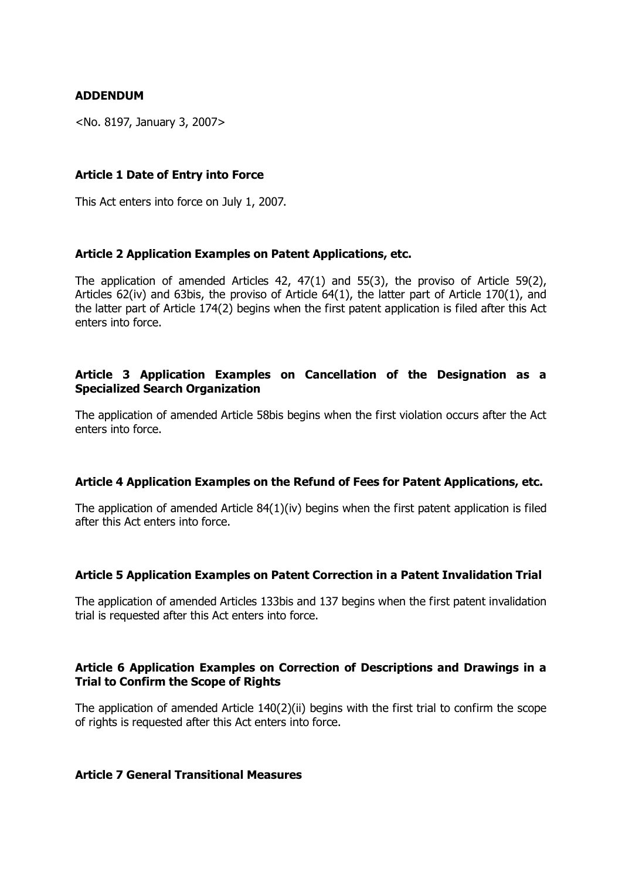## **ADDENDUM**

<No. 8197, January 3, 2007>

## **Article 1 Date of Entry into Force**

This Act enters into force on July 1, 2007.

## **Article 2 Application Examples on Patent Applications, etc.**

The application of amended Articles 42, 47(1) and 55(3), the proviso of Article 59(2), Articles 62(iv) and 63bis, the proviso of Article 64(1), the latter part of Article 170(1), and the latter part of Article 174(2) begins when the first patent application is filed after this Act enters into force.

## **Article 3 Application Examples on Cancellation of the Designation as a Specialized Search Organization**

The application of amended Article 58bis begins when the first violation occurs after the Act enters into force.

## **Article 4 Application Examples on the Refund of Fees for Patent Applications, etc.**

The application of amended Article  $84(1)(iv)$  begins when the first patent application is filed after this Act enters into force.

## **Article 5 Application Examples on Patent Correction in a Patent Invalidation Trial**

The application of amended Articles 133bis and 137 begins when the first patent invalidation trial is requested after this Act enters into force.

# **Article 6 Application Examples on Correction of Descriptions and Drawings in a Trial to Confirm the Scope of Rights**

The application of amended Article 140(2)(ii) begins with the first trial to confirm the scope of rights is requested after this Act enters into force.

## **Article 7 General Transitional Measures**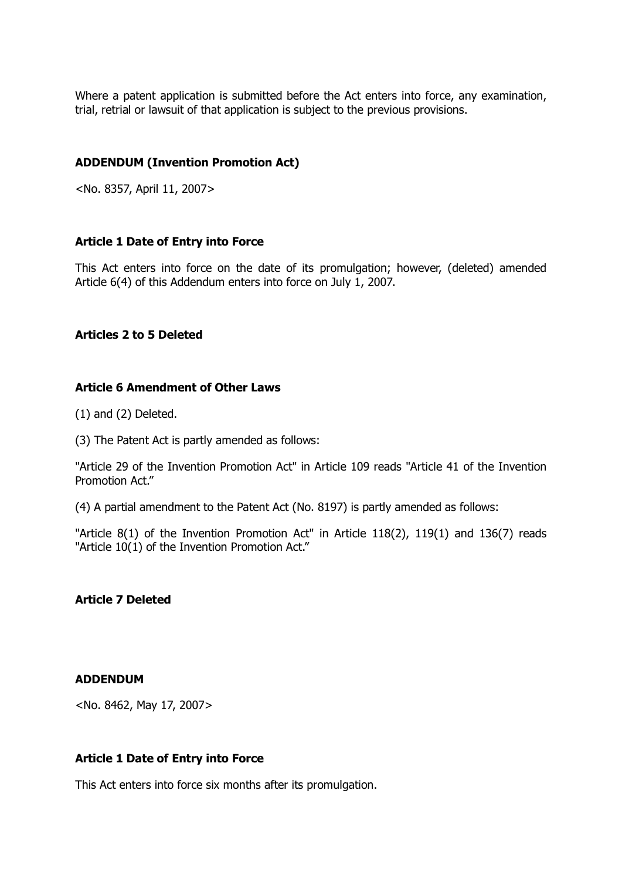Where a patent application is submitted before the Act enters into force, any examination, trial, retrial or lawsuit of that application is subject to the previous provisions.

## **ADDENDUM (Invention Promotion Act)**

<No. 8357, April 11, 2007>

## **Article 1 Date of Entry into Force**

This Act enters into force on the date of its promulgation; however, (deleted) amended Article 6(4) of this Addendum enters into force on July 1, 2007.

#### **Articles 2 to 5 Deleted**

## **Article 6 Amendment of Other Laws**

(1) and (2) Deleted.

(3) The Patent Act is partly amended as follows:

"Article 29 of the Invention Promotion Act" in Article 109 reads "Article 41 of the Invention Promotion Act."

(4) A partial amendment to the Patent Act (No. 8197) is partly amended as follows:

"Article 8(1) of the Invention Promotion Act" in Article 118(2), 119(1) and 136(7) reads "Article 10(1) of the Invention Promotion Act."

## **Article 7 Deleted**

#### **ADDENDUM**

<No. 8462, May 17, 2007>

#### **Article 1 Date of Entry into Force**

This Act enters into force six months after its promulgation.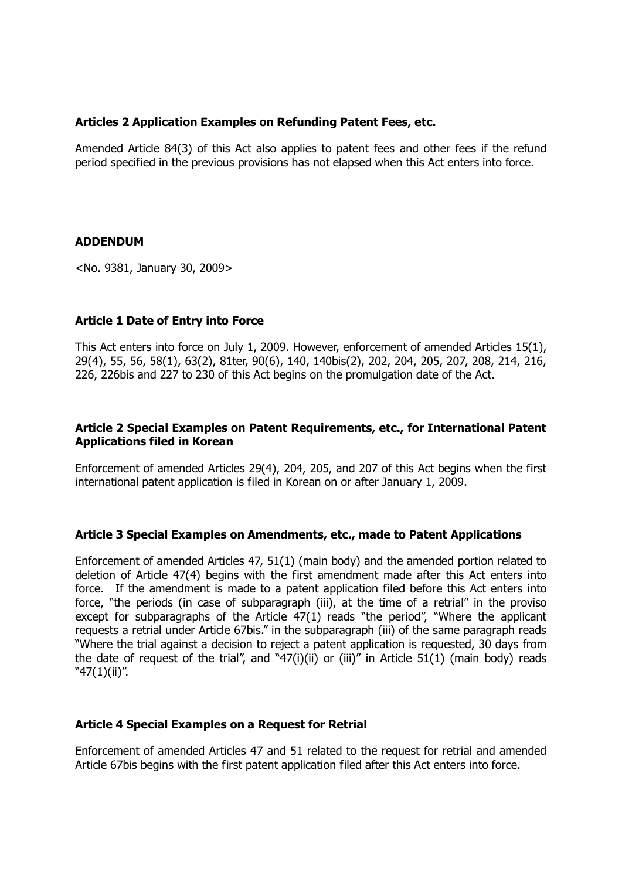## **Articles 2 Application Examples on Refunding Patent Fees, etc.**

Amended Article 84(3) of this Act also applies to patent fees and other fees if the refund period specified in the previous provisions has not elapsed when this Act enters into force.

## **ADDENDUM**

<No. 9381, January 30, 2009>

## **Article 1 Date of Entry into Force**

This Act enters into force on July 1, 2009. However, enforcement of amended Articles 15(1), 29(4), 55, 56, 58(1), 63(2), 81ter, 90(6), 140, 140bis(2), 202, 204, 205, 207, 208, 214, 216, 226, 226bis and 227 to 230 of this Act begins on the promulgation date of the Act.

## **Article 2 Special Examples on Patent Requirements, etc., for International Patent Applications filed in Korean**

Enforcement of amended Articles 29(4), 204, 205, and 207 of this Act begins when the first international patent application is filed in Korean on or after January 1, 2009.

## **Article 3 Special Examples on Amendments, etc., made to Patent Applications**

Enforcement of amended Articles 47, 51(1) (main body) and the amended portion related to deletion of Article 47(4) begins with the first amendment made after this Act enters into force. If the amendment is made to a patent application filed before this Act enters into force, "the periods (in case of subparagraph (iii), at the time of a retrial" in the proviso except for subparagraphs of the Article  $47(1)$  reads "the period", "Where the applicant requests a retrial under Article 67bis." in the subparagraph (iii) of the same paragraph reads "Where the trial against a decision to reject a patent application is requested, 30 days from the date of request of the trial", and "47(i)(ii) or (iii)" in Article  $51(1)$  (main body) reads "47(1)(ii)".

## **Article 4 Special Examples on a Request for Retrial**

Enforcement of amended Articles 47 and 51 related to the request for retrial and amended Article 67bis begins with the first patent application filed after this Act enters into force.